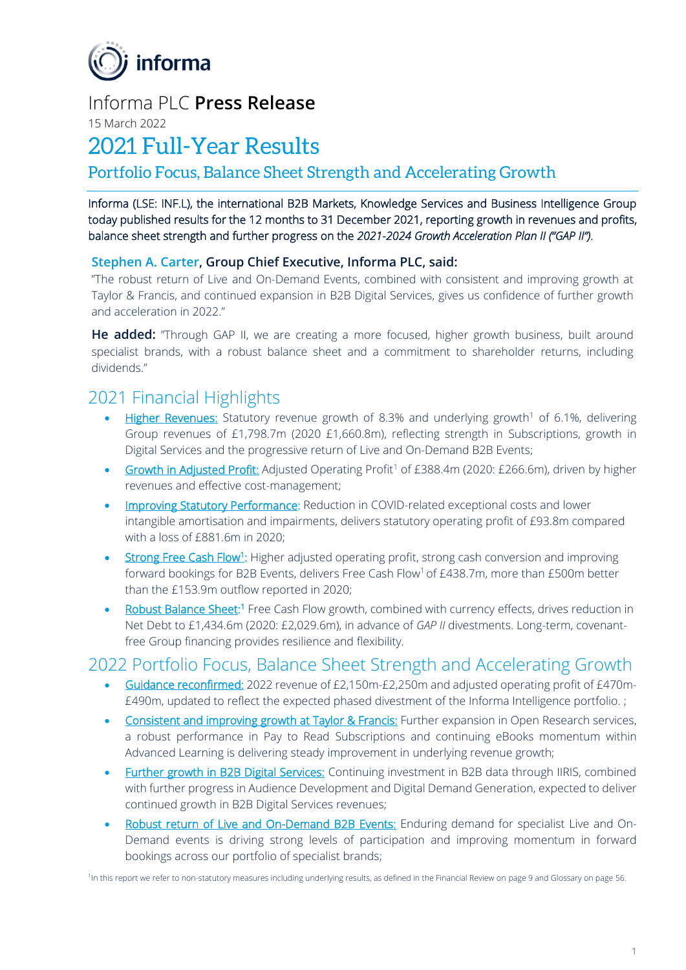

# Informa PLC **Press Release**

15 March 2022

# 2021 Full-Year Results

# Portfolio Focus, Balance Sheet Strength and Accelerating Growth

Informa (LSE: INF.L), the international B2B Markets, Knowledge Services and Business Intelligence Group today published results for the 12 months to 31 December 2021, reporting growth in revenues and profits, balance sheet strength and further progress on the *2021-2024 Growth Acceleration Plan II ("GAP II")*.

# **Stephen A. Carter, Group Chief Executive, Informa PLC, said:**

"The robust return of Live and On-Demand Events, combined with consistent and improving growth at Taylor & Francis, and continued expansion in B2B Digital Services, gives us confidence of further growth and acceleration in 2022."

**He added:** "Through GAP II, we are creating a more focused, higher growth business, built around specialist brands, with a robust balance sheet and a commitment to shareholder returns, including dividends."

# 2021 Financial Highlights

- Higher Revenues: Statutory revenue growth of 8.3% and underlying growth<sup>1</sup> of 6.1%, delivering Group revenues of £1,798.7m (2020 £1,660.8m), reflecting strength in Subscriptions, growth in Digital Services and the progressive return of Live and On-Demand B2B Events;
- Growth in Adjusted Profit: Adjusted Operating Profit<sup>1</sup> of £388.4m (2020: £266.6m), driven by higher revenues and effective cost-management;
- Improving Statutory Performance: Reduction in COVID-related exceptional costs and lower intangible amortisation and impairments, delivers statutory operating profit of £93.8m compared with a loss of £881.6m in 2020;
- Strong Free Cash Flow<sup>1</sup>: Higher adjusted operating profit, strong cash conversion and improving forward bookings for B2B Events, delivers Free Cash Flow<sup>1</sup> of £438.7m, more than £500m better than the £153.9m outflow reported in 2020;
- Robust Balance Sheet:<sup>1</sup> Free Cash Flow growth, combined with currency effects, drives reduction in Net Debt to £1,434.6m (2020: £2,029.6m), in advance of *GAP II* divestments. Long-term, covenantfree Group financing provides resilience and flexibility.

# 2022 Portfolio Focus, Balance Sheet Strength and Accelerating Growth

- Guidance reconfirmed: 2022 revenue of £2,150m-£2,250m and adjusted operating profit of £470m- £490m, updated to reflect the expected phased divestment of the Informa Intelligence portfolio. ;
- Consistent and improving growth at Taylor & Francis: Further expansion in Open Research services, a robust performance in Pay to Read Subscriptions and continuing eBooks momentum within Advanced Learning is delivering steady improvement in underlying revenue growth;
- Further growth in B2B Digital Services: Continuing investment in B2B data through IIRIS, combined with further progress in Audience Development and Digital Demand Generation, expected to deliver continued growth in B2B Digital Services revenues;
- Robust return of Live and On-Demand B2B Events: Enduring demand for specialist Live and On-Demand events is driving strong levels of participation and improving momentum in forward bookings across our portfolio of specialist brands;

<sup>1</sup>In this report we refer to non-statutory measures including underlying results, as defined in the Financial Review on page 9 and Glossary on page 56.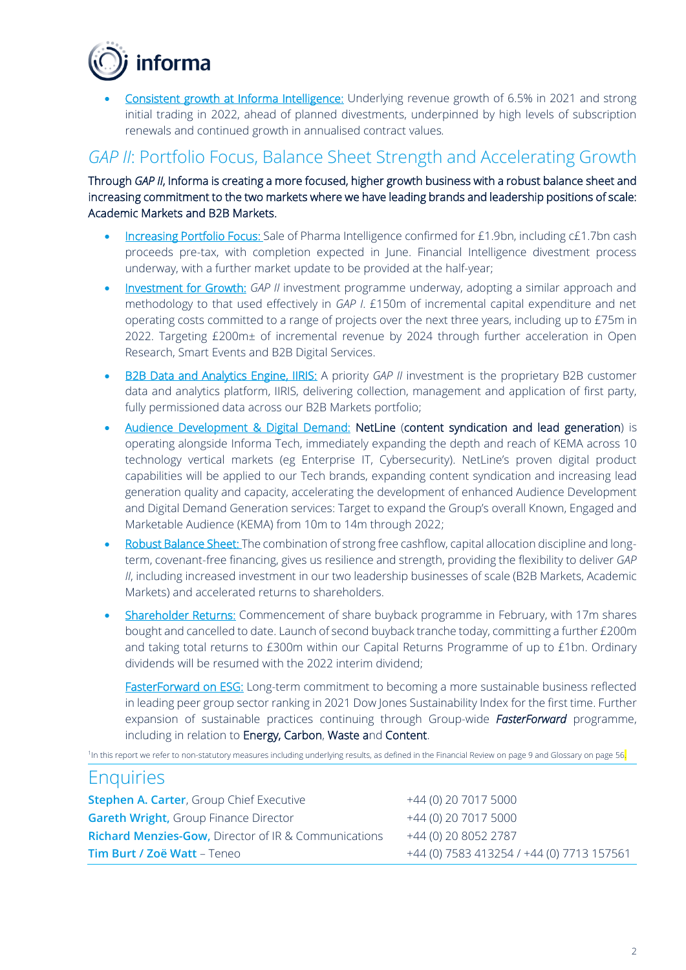

• Consistent growth at Informa Intelligence: Underlying revenue growth of 6.5% in 2021 and strong initial trading in 2022, ahead of planned divestments, underpinned by high levels of subscription renewals and continued growth in annualised contract values*.*

# *GAP II*: Portfolio Focus, Balance Sheet Strength and Accelerating Growth

Through *GAP II*, Informa is creating a more focused, higher growth business with a robust balance sheet and increasing commitment to the two markets where we have leading brands and leadership positions of scale: Academic Markets and B2B Markets.

- Increasing Portfolio Focus: Sale of Pharma Intelligence confirmed for £1.9bn, including c£1.7bn cash proceeds pre-tax, with completion expected in June. Financial Intelligence divestment process underway, with a further market update to be provided at the half-year;
- Investment for Growth: *GAP II* investment programme underway, adopting a similar approach and methodology to that used effectively in *GAP I*. £150m of incremental capital expenditure and net operating costs committed to a range of projects over the next three years, including up to £75m in 2022. Targeting £200m± of incremental revenue by 2024 through further acceleration in Open Research, Smart Events and B2B Digital Services.
- B2B Data and Analytics Engine, IIRIS: A priority *GAP II* investment is the proprietary B2B customer data and analytics platform, IIRIS, delivering collection, management and application of first party, fully permissioned data across our B2B Markets portfolio;
- Audience Development & Digital Demand: NetLine (content syndication and lead generation) is operating alongside Informa Tech, immediately expanding the depth and reach of KEMA across 10 technology vertical markets (eg Enterprise IT, Cybersecurity). NetLine's proven digital product capabilities will be applied to our Tech brands, expanding content syndication and increasing lead generation quality and capacity, accelerating the development of enhanced Audience Development and Digital Demand Generation services: Target to expand the Group's overall Known, Engaged and Marketable Audience (KEMA) from 10m to 14m through 2022;
- Robust Balance Sheet: The combination of strong free cashflow, capital allocation discipline and longterm, covenant-free financing, gives us resilience and strength, providing the flexibility to deliver *GAP II*, including increased investment in our two leadership businesses of scale (B2B Markets, Academic Markets) and accelerated returns to shareholders.
- Shareholder Returns: Commencement of share buyback programme in February, with 17m shares bought and cancelled to date. Launch of second buyback tranche today, committing a further £200m and taking total returns to £300m within our Capital Returns Programme of up to £1bn. Ordinary dividends will be resumed with the 2022 interim dividend;

FasterForward on ESG: Long-term commitment to becoming a more sustainable business reflected in leading peer group sector ranking in 2021 Dow Jones Sustainability Index for the first time. Further expansion of sustainable practices continuing through Group-wide *FasterForward* programme, including in relation to Energy, Carbon, Waste and Content.

<sup>1</sup>In this report we refer to non-statutory measures including underlying results, as defined in the Financial Review on page 9 and Glossary on page 56

# **Enquiries**

| +44 (0) 20 7017 5000                      |
|-------------------------------------------|
| +44 (0) 20 7017 5000                      |
| +44 (0) 20 8052 2787                      |
| +44 (0) 7583 413254 / +44 (0) 7713 157561 |
|                                           |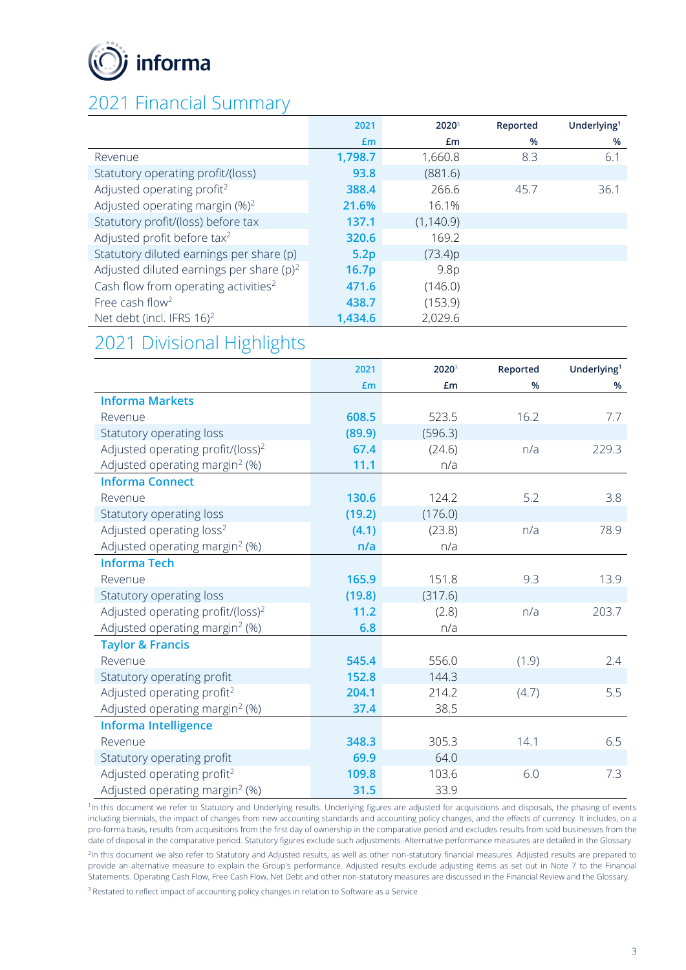

# 2021 Financial Summary

|                                                  | 2021              | $2020^3$   | Reported | Underlying <sup>1</sup> |
|--------------------------------------------------|-------------------|------------|----------|-------------------------|
|                                                  | £m                | £m         | %        | %                       |
| Revenue                                          | 1,798.7           | 1,660.8    | 8.3      | 6.1                     |
| Statutory operating profit/(loss)                | 93.8              | (881.6)    |          |                         |
| Adjusted operating profit <sup>2</sup>           | 388.4             | 266.6      | 45.7     | 36.1                    |
| Adjusted operating margin $(\%)^2$               | 21.6%             | 16.1%      |          |                         |
| Statutory profit/(loss) before tax               | 137.1             | (1, 140.9) |          |                         |
| Adjusted profit before tax <sup>2</sup>          | 320.6             | 169.2      |          |                         |
| Statutory diluted earnings per share (p)         | 5.2p              | (73.4)p    |          |                         |
| Adjusted diluted earnings per share $(p)^2$      | 16.7 <sub>p</sub> | 9.8p       |          |                         |
| Cash flow from operating activities <sup>2</sup> | 471.6             | (146.0)    |          |                         |
| Free cash flow <sup>2</sup>                      | 438.7             | (153.9)    |          |                         |
| Net debt (incl. IFRS 16) <sup>2</sup>            | 1,434.6           | 2,029.6    |          |                         |

# 2021 Divisional Highlights

|                                               | 2021   | 2020    | Reported | Underlying <sup>1</sup> |
|-----------------------------------------------|--------|---------|----------|-------------------------|
|                                               | £m     | £m      | %        | %                       |
| <b>Informa Markets</b>                        |        |         |          |                         |
| Revenue                                       | 608.5  | 523.5   | 16.2     | 7.7                     |
| Statutory operating loss                      | (89.9) | (596.3) |          |                         |
| Adjusted operating profit/(loss) <sup>2</sup> | 67.4   | (24.6)  | n/a      | 229.3                   |
| Adjusted operating margin <sup>2</sup> (%)    | 11.1   | n/a     |          |                         |
| <b>Informa Connect</b>                        |        |         |          |                         |
| Revenue                                       | 130.6  | 124.2   | 5.2      | 3.8                     |
| Statutory operating loss                      | (19.2) | (176.0) |          |                         |
| Adjusted operating loss <sup>2</sup>          | (4.1)  | (23.8)  | n/a      | 78.9                    |
| Adjusted operating margin <sup>2</sup> (%)    | n/a    | n/a     |          |                         |
| <b>Informa Tech</b>                           |        |         |          |                         |
| Revenue                                       | 165.9  | 151.8   | 9.3      | 13.9                    |
| Statutory operating loss                      | (19.8) | (317.6) |          |                         |
| Adjusted operating profit/(loss) <sup>2</sup> | 11.2   | (2.8)   | n/a      | 203.7                   |
| Adjusted operating margin <sup>2</sup> (%)    | 6.8    | n/a     |          |                         |
| <b>Taylor &amp; Francis</b>                   |        |         |          |                         |
| Revenue                                       | 545.4  | 556.0   | (1.9)    | 2.4                     |
| Statutory operating profit                    | 152.8  | 144.3   |          |                         |
| Adjusted operating profit <sup>2</sup>        | 204.1  | 214.2   | (4.7)    | 5.5                     |
| Adjusted operating margin <sup>2</sup> (%)    | 37.4   | 38.5    |          |                         |
| <b>Informa Intelligence</b>                   |        |         |          |                         |
| Revenue                                       | 348.3  | 305.3   | 14.1     | 6.5                     |
| Statutory operating profit                    | 69.9   | 64.0    |          |                         |
| Adjusted operating profit <sup>2</sup>        | 109.8  | 103.6   | 6.0      | 7.3                     |
| Adjusted operating margin <sup>2</sup> (%)    | 31.5   | 33.9    |          |                         |

<sup>1</sup>In this document we refer to Statutory and Underlying results. Underlying figures are adjusted for acquisitions and disposals, the phasing of events including biennials, the impact of changes from new accounting standards and accounting policy changes, and the effects of currency. It includes, on a pro-forma basis, results from acquisitions from the first day of ownership in the comparative period and excludes results from sold businesses from the date of disposal in the comparative period. Statutory figures exclude such adjustments. Alternative performance measures are detailed in the Glossary. 2 In this document we also refer to Statutory and Adjusted results, as well as other non-statutory financial measures. Adjusted results are prepared to provide an alternative measure to explain the Group's performance. Adjusted results exclude adjusting items as set out in Note 7 to the Financial Statements. Operating Cash Flow, Free Cash Flow, Net Debt and other non-statutory measures are discussed in the Financial Review and the Glossary. <sup>3</sup> Restated to reflect impact of accounting policy changes in relation to Software as a Service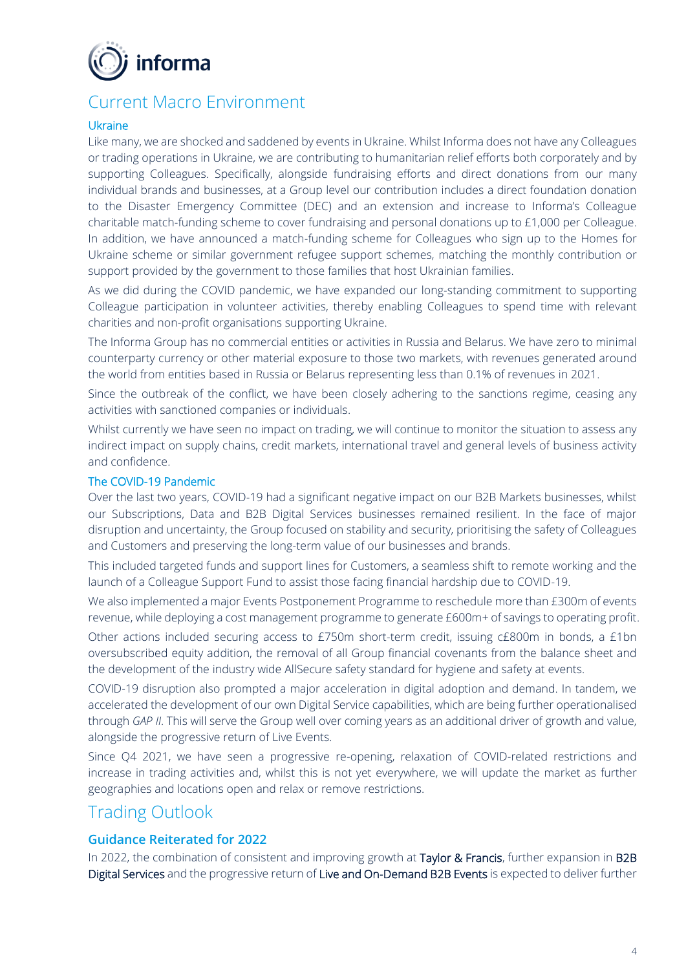

# Current Macro Environment

#### Ukraine

Like many, we are shocked and saddened by events in Ukraine. Whilst Informa does not have any Colleagues or trading operations in Ukraine, we are contributing to humanitarian relief efforts both corporately and by supporting Colleagues. Specifically, alongside fundraising efforts and direct donations from our many individual brands and businesses, at a Group level our contribution includes a direct foundation donation to the Disaster Emergency Committee (DEC) and an extension and increase to Informa's Colleague charitable match-funding scheme to cover fundraising and personal donations up to £1,000 per Colleague. In addition, we have announced a match-funding scheme for Colleagues who sign up to the Homes for Ukraine scheme or similar government refugee support schemes, matching the monthly contribution or support provided by the government to those families that host Ukrainian families.

As we did during the COVID pandemic, we have expanded our long-standing commitment to supporting Colleague participation in volunteer activities, thereby enabling Colleagues to spend time with relevant charities and non-profit organisations supporting Ukraine.

The Informa Group has no commercial entities or activities in Russia and Belarus. We have zero to minimal counterparty currency or other material exposure to those two markets, with revenues generated around the world from entities based in Russia or Belarus representing less than 0.1% of revenues in 2021.

Since the outbreak of the conflict, we have been closely adhering to the sanctions regime, ceasing any activities with sanctioned companies or individuals.

Whilst currently we have seen no impact on trading, we will continue to monitor the situation to assess any indirect impact on supply chains, credit markets, international travel and general levels of business activity and confidence.

#### The COVID-19 Pandemic

Over the last two years, COVID-19 had a significant negative impact on our B2B Markets businesses, whilst our Subscriptions, Data and B2B Digital Services businesses remained resilient. In the face of major disruption and uncertainty, the Group focused on stability and security, prioritising the safety of Colleagues and Customers and preserving the long-term value of our businesses and brands.

This included targeted funds and support lines for Customers, a seamless shift to remote working and the launch of a Colleague Support Fund to assist those facing financial hardship due to COVID-19.

We also implemented a major Events Postponement Programme to reschedule more than £300m of events revenue, while deploying a cost management programme to generate £600m+ of savings to operating profit.

Other actions included securing access to £750m short-term credit, issuing c£800m in bonds, a £1bn oversubscribed equity addition, the removal of all Group financial covenants from the balance sheet and the development of the industry wide AllSecure safety standard for hygiene and safety at events.

COVID-19 disruption also prompted a major acceleration in digital adoption and demand. In tandem, we accelerated the development of our own Digital Service capabilities, which are being further operationalised through *GAP II*. This will serve the Group well over coming years as an additional driver of growth and value, alongside the progressive return of Live Events.

Since Q4 2021, we have seen a progressive re-opening, relaxation of COVID-related restrictions and increase in trading activities and, whilst this is not yet everywhere, we will update the market as further geographies and locations open and relax or remove restrictions.

# Trading Outlook

# **Guidance Reiterated for 2022**

In 2022, the combination of consistent and improving growth at Taylor & Francis, further expansion in B2B Digital Services and the progressive return of Live and On-Demand B2B Events is expected to deliver further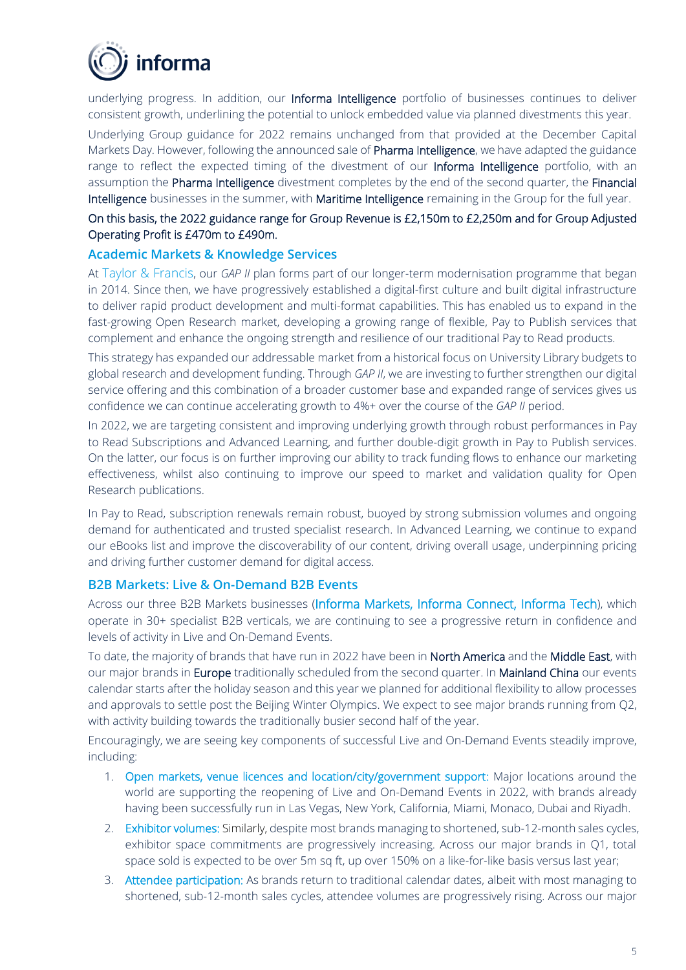

underlying progress. In addition, our Informa Intelligence portfolio of businesses continues to deliver consistent growth, underlining the potential to unlock embedded value via planned divestments this year.

Underlying Group guidance for 2022 remains unchanged from that provided at the December Capital Markets Day. However, following the announced sale of Pharma Intelligence, we have adapted the guidance range to reflect the expected timing of the divestment of our Informa Intelligence portfolio, with an assumption the Pharma Intelligence divestment completes by the end of the second quarter, the Financial Intelligence businesses in the summer, with Maritime Intelligence remaining in the Group for the full year.

# On this basis, the 2022 guidance range for Group Revenue is £2,150m to £2,250m and for Group Adjusted Operating Profit is £470m to £490m.

## **Academic Markets & Knowledge Services**

At Taylor & Francis, our *GAP II* plan forms part of our longer-term modernisation programme that began in 2014. Since then, we have progressively established a digital-first culture and built digital infrastructure to deliver rapid product development and multi-format capabilities. This has enabled us to expand in the fast-growing Open Research market, developing a growing range of flexible, Pay to Publish services that complement and enhance the ongoing strength and resilience of our traditional Pay to Read products.

This strategy has expanded our addressable market from a historical focus on University Library budgets to global research and development funding. Through *GAP II*, we are investing to further strengthen our digital service offering and this combination of a broader customer base and expanded range of services gives us confidence we can continue accelerating growth to 4%+ over the course of the *GAP II* period.

In 2022, we are targeting consistent and improving underlying growth through robust performances in Pay to Read Subscriptions and Advanced Learning, and further double-digit growth in Pay to Publish services. On the latter, our focus is on further improving our ability to track funding flows to enhance our marketing effectiveness, whilst also continuing to improve our speed to market and validation quality for Open Research publications.

In Pay to Read, subscription renewals remain robust, buoyed by strong submission volumes and ongoing demand for authenticated and trusted specialist research. In Advanced Learning, we continue to expand our eBooks list and improve the discoverability of our content, driving overall usage, underpinning pricing and driving further customer demand for digital access.

#### **B2B Markets: Live & On-Demand B2B Events**

Across our three B2B Markets businesses (Informa Markets, Informa Connect, Informa Tech), which operate in 30+ specialist B2B verticals, we are continuing to see a progressive return in confidence and levels of activity in Live and On-Demand Events.

To date, the majority of brands that have run in 2022 have been in North America and the Middle East, with our major brands in Europe traditionally scheduled from the second quarter. In Mainland China our events calendar starts after the holiday season and this year we planned for additional flexibility to allow processes and approvals to settle post the Beijing Winter Olympics. We expect to see major brands running from Q2, with activity building towards the traditionally busier second half of the year.

Encouragingly, we are seeing key components of successful Live and On-Demand Events steadily improve, including:

- 1. Open markets, venue licences and location/city/government support: Major locations around the world are supporting the reopening of Live and On-Demand Events in 2022, with brands already having been successfully run in Las Vegas, New York, California, Miami, Monaco, Dubai and Riyadh.
- 2. Exhibitor volumes: Similarly, despite most brands managing to shortened, sub-12-month sales cycles, exhibitor space commitments are progressively increasing. Across our major brands in Q1, total space sold is expected to be over 5m sq ft, up over 150% on a like-for-like basis versus last year;
- 3. Attendee participation: As brands return to traditional calendar dates, albeit with most managing to shortened, sub-12-month sales cycles, attendee volumes are progressively rising. Across our major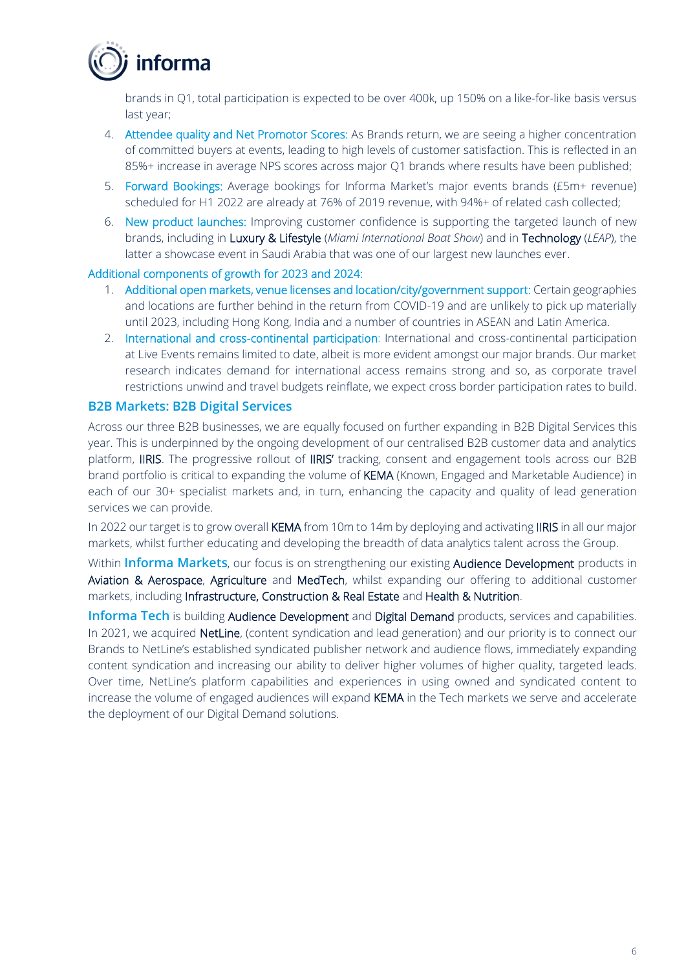

brands in Q1, total participation is expected to be over 400k, up 150% on a like-for-like basis versus last year;

- 4. Attendee quality and Net Promotor Scores: As Brands return, we are seeing a higher concentration of committed buyers at events, leading to high levels of customer satisfaction. This is reflected in an 85%+ increase in average NPS scores across major Q1 brands where results have been published;
- 5. Forward Bookings: Average bookings for Informa Market's major events brands (£5m+ revenue) scheduled for H1 2022 are already at 76% of 2019 revenue, with 94%+ of related cash collected;
- 6. New product launches: Improving customer confidence is supporting the targeted launch of new brands, including in Luxury & Lifestyle (*Miami International Boat Show*) and in Technology (*LEAP*), the latter a showcase event in Saudi Arabia that was one of our largest new launches ever.

#### Additional components of growth for 2023 and 2024:

- 1. Additional open markets, venue licenses and location/city/government support: Certain geographies and locations are further behind in the return from COVID-19 and are unlikely to pick up materially until 2023, including Hong Kong, India and a number of countries in ASEAN and Latin America.
- 2. International and cross-continental participation: International and cross-continental participation at Live Events remains limited to date, albeit is more evident amongst our major brands. Our market research indicates demand for international access remains strong and so, as corporate travel restrictions unwind and travel budgets reinflate, we expect cross border participation rates to build.

#### **B2B Markets: B2B Digital Services**

Across our three B2B businesses, we are equally focused on further expanding in B2B Digital Services this year. This is underpinned by the ongoing development of our centralised B2B customer data and analytics platform, IIRIS. The progressive rollout of IIRIS' tracking, consent and engagement tools across our B2B brand portfolio is critical to expanding the volume of KEMA (Known, Engaged and Marketable Audience) in each of our 30+ specialist markets and, in turn, enhancing the capacity and quality of lead generation services we can provide.

In 2022 our target is to grow overall KEMA from 10m to 14m by deploying and activating IIRIS in all our major markets, whilst further educating and developing the breadth of data analytics talent across the Group.

Within **Informa Markets**, our focus is on strengthening our existing Audience Development products in Aviation & Aerospace, Agriculture and MedTech, whilst expanding our offering to additional customer markets, including Infrastructure, Construction & Real Estate and Health & Nutrition.

**Informa Tech** is building Audience Development and Digital Demand products, services and capabilities. In 2021, we acquired NetLine, (content syndication and lead generation) and our priority is to connect our Brands to NetLine's established syndicated publisher network and audience flows, immediately expanding content syndication and increasing our ability to deliver higher volumes of higher quality, targeted leads. Over time, NetLine's platform capabilities and experiences in using owned and syndicated content to increase the volume of engaged audiences will expand KEMA in the Tech markets we serve and accelerate the deployment of our Digital Demand solutions.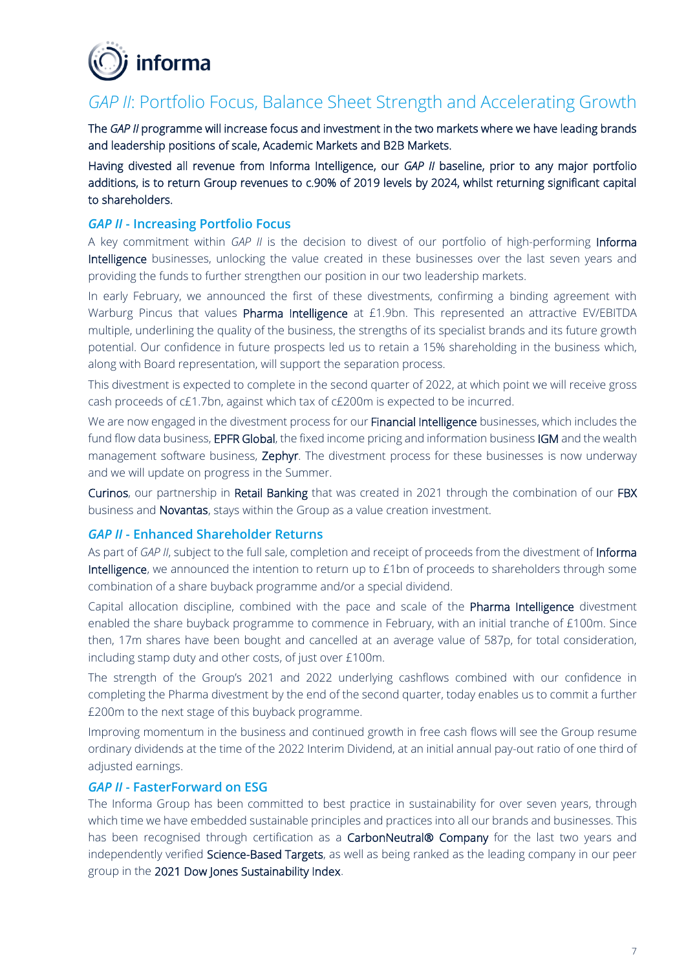

# *GAP II*: Portfolio Focus, Balance Sheet Strength and Accelerating Growth

The *GAP II* programme will increase focus and investment in the two markets where we have leading brands and leadership positions of scale, Academic Markets and B2B Markets.

Having divested all revenue from Informa Intelligence, our *GAP II* baseline, prior to any major portfolio additions, is to return Group revenues to c.90% of 2019 levels by 2024, whilst returning significant capital to shareholders.

#### *GAP II* **- Increasing Portfolio Focus**

A key commitment within *GAP II* is the decision to divest of our portfolio of high-performing Informa Intelligence businesses, unlocking the value created in these businesses over the last seven years and providing the funds to further strengthen our position in our two leadership markets.

In early February, we announced the first of these divestments, confirming a binding agreement with Warburg Pincus that values Pharma Intelligence at £1.9bn. This represented an attractive EV/EBITDA multiple, underlining the quality of the business, the strengths of its specialist brands and its future growth potential. Our confidence in future prospects led us to retain a 15% shareholding in the business which, along with Board representation, will support the separation process.

This divestment is expected to complete in the second quarter of 2022, at which point we will receive gross cash proceeds of c£1.7bn, against which tax of c£200m is expected to be incurred.

We are now engaged in the divestment process for our Financial Intelligence businesses, which includes the fund flow data business, **EPFR Global**, the fixed income pricing and information business IGM and the wealth management software business, Zephyr. The divestment process for these businesses is now underway and we will update on progress in the Summer.

Curinos, our partnership in Retail Banking that was created in 2021 through the combination of our FBX business and Novantas, stays within the Group as a value creation investment.

## *GAP II* **- Enhanced Shareholder Returns**

As part of *GAP II*, subject to the full sale, completion and receipt of proceeds from the divestment of Informa Intelligence, we announced the intention to return up to £1bn of proceeds to shareholders through some combination of a share buyback programme and/or a special dividend.

Capital allocation discipline, combined with the pace and scale of the Pharma Intelligence divestment enabled the share buyback programme to commence in February, with an initial tranche of £100m. Since then, 17m shares have been bought and cancelled at an average value of 587p, for total consideration, including stamp duty and other costs, of just over £100m.

The strength of the Group's 2021 and 2022 underlying cashflows combined with our confidence in completing the Pharma divestment by the end of the second quarter, today enables us to commit a further £200m to the next stage of this buyback programme.

Improving momentum in the business and continued growth in free cash flows will see the Group resume ordinary dividends at the time of the 2022 Interim Dividend, at an initial annual pay-out ratio of one third of adjusted earnings.

## *GAP II* **- FasterForward on ESG**

The Informa Group has been committed to best practice in sustainability for over seven years, through which time we have embedded sustainable principles and practices into all our brands and businesses. This has been recognised through certification as a CarbonNeutral® Company for the last two years and independently verified Science-Based Targets, as well as being ranked as the leading company in our peer group in the 2021 Dow Jones Sustainability Index.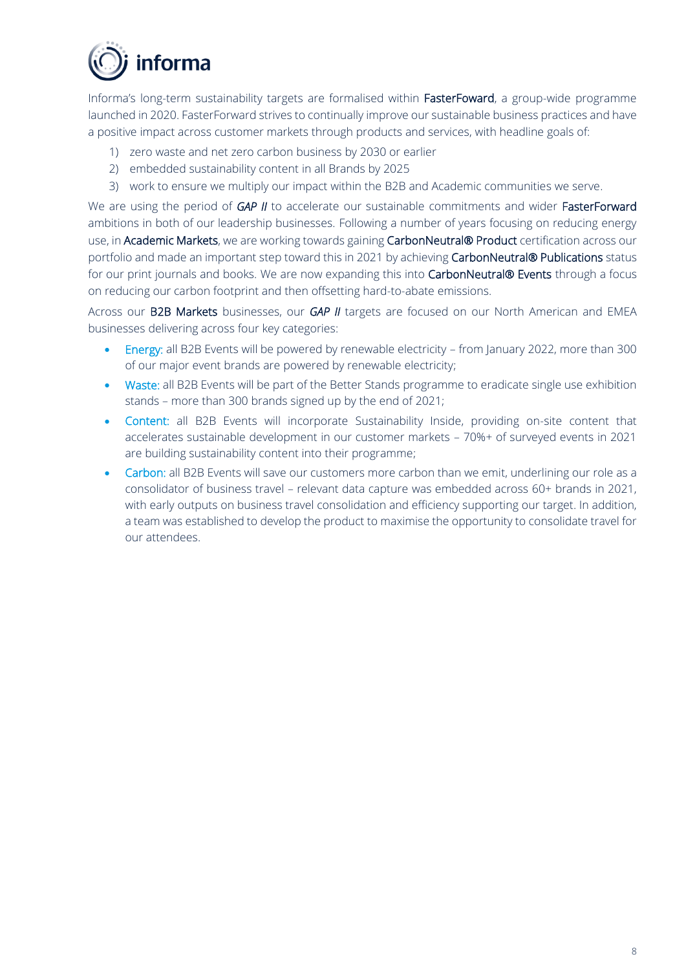

Informa's long-term sustainability targets are formalised within FasterFoward, a group-wide programme launched in 2020. FasterForward strives to continually improve our sustainable business practices and have a positive impact across customer markets through products and services, with headline goals of:

- 1) zero waste and net zero carbon business by 2030 or earlier
- 2) embedded sustainability content in all Brands by 2025
- 3) work to ensure we multiply our impact within the B2B and Academic communities we serve.

We are using the period of **GAP II** to accelerate our sustainable commitments and wider **FasterForward** ambitions in both of our leadership businesses. Following a number of years focusing on reducing energy use, in Academic Markets, we are working towards gaining CarbonNeutral® Product certification across our portfolio and made an important step toward this in 2021 by achieving CarbonNeutral® Publications status for our print journals and books. We are now expanding this into CarbonNeutral® Events through a focus on reducing our carbon footprint and then offsetting hard-to-abate emissions.

Across our B2B Markets businesses, our *GAP II* targets are focused on our North American and EMEA businesses delivering across four key categories:

- Energy: all B2B Events will be powered by renewable electricity from January 2022, more than 300 of our major event brands are powered by renewable electricity;
- Waste: all B2B Events will be part of the Better Stands programme to eradicate single use exhibition stands – more than 300 brands signed up by the end of 2021;
- Content: all B2B Events will incorporate Sustainability Inside, providing on-site content that accelerates sustainable development in our customer markets – 70%+ of surveyed events in 2021 are building sustainability content into their programme;
- Carbon: all B2B Events will save our customers more carbon than we emit, underlining our role as a consolidator of business travel – relevant data capture was embedded across 60+ brands in 2021, with early outputs on business travel consolidation and efficiency supporting our target. In addition, a team was established to develop the product to maximise the opportunity to consolidate travel for our attendees.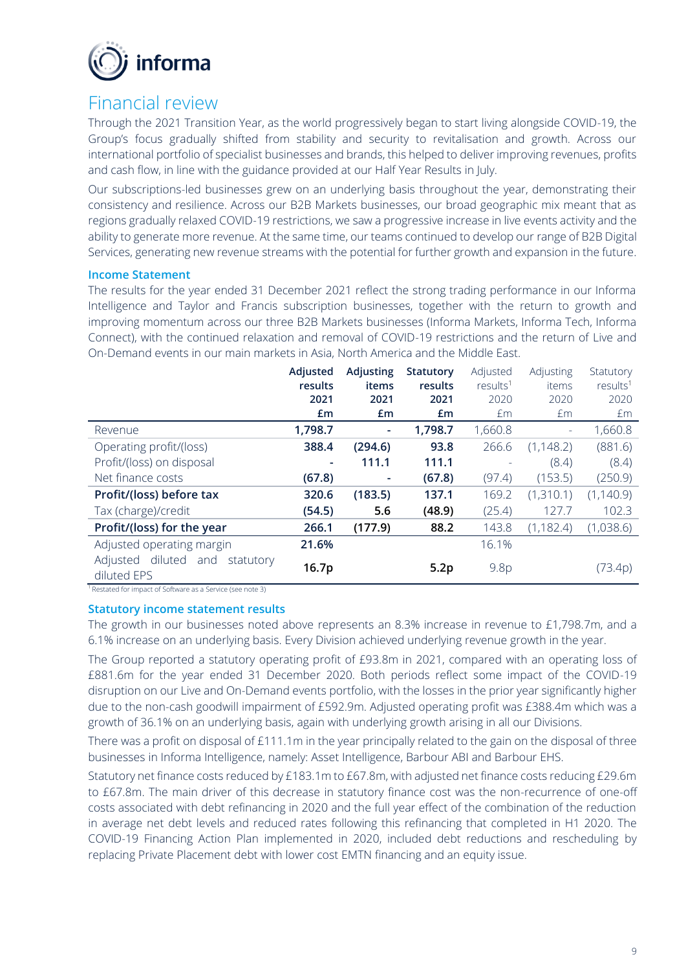

# Financial review

Through the 2021 Transition Year, as the world progressively began to start living alongside COVID-19, the Group's focus gradually shifted from stability and security to revitalisation and growth. Across our international portfolio of specialist businesses and brands, this helped to deliver improving revenues, profits and cash flow, in line with the guidance provided at our Half Year Results in July.

Our subscriptions-led businesses grew on an underlying basis throughout the year, demonstrating their consistency and resilience. Across our B2B Markets businesses, our broad geographic mix meant that as regions gradually relaxed COVID-19 restrictions, we saw a progressive increase in live events activity and the ability to generate more revenue. At the same time, our teams continued to develop our range of B2B Digital Services, generating new revenue streams with the potential for further growth and expansion in the future.

#### **Income Statement**

The results for the year ended 31 December 2021 reflect the strong trading performance in our Informa Intelligence and Taylor and Francis subscription businesses, together with the return to growth and improving momentum across our three B2B Markets businesses (Informa Markets, Informa Tech, Informa Connect), with the continued relaxation and removal of COVID-19 restrictions and the return of Live and On-Demand events in our main markets in Asia, North America and the Middle East.

|                                                  | Adjusted | Adjusting | <b>Statutory</b> | Adjusted             | Adjusting         | Statutory            |
|--------------------------------------------------|----------|-----------|------------------|----------------------|-------------------|----------------------|
|                                                  | results  | items     | results          | results <sup>1</sup> | items             | results <sup>1</sup> |
|                                                  | 2021     | 2021      | 2021             | 2020                 | 2020              | 2020                 |
|                                                  | Em       | £m        | £m               | £m                   | £m                | £m                   |
| Revenue                                          | 1,798.7  | ۰         | 1,798.7          | 1,660.8              | $\qquad \qquad -$ | 1,660.8              |
| Operating profit/(loss)                          | 388.4    | (294.6)   | 93.8             | 266.6                | (1, 148.2)        | (881.6)              |
| Profit/(loss) on disposal                        | ٠        | 111.1     | 111.1            |                      | (8.4)             | (8.4)                |
| Net finance costs                                | (67.8)   |           | (67.8)           | (97.4)               | (153.5)           | (250.9)              |
| Profit/(loss) before tax                         | 320.6    | (183.5)   | 137.1            | 169.2                | (1,310.1)         | (1, 140.9)           |
| Tax (charge)/credit                              | (54.5)   | 5.6       | (48.9)           | (25.4)               | 127.7             | 102.3                |
| Profit/(loss) for the year                       | 266.1    | (177.9)   | 88.2             | 143.8                | (1, 182.4)        | (1,038.6)            |
| Adjusted operating margin                        | 21.6%    |           |                  | 16.1%                |                   |                      |
| Adjusted diluted and<br>statutory<br>diluted EPS | 16.7p    |           | 5.2p             | 9.8 <sub>p</sub>     |                   | (73.4p)              |

<sup>1</sup>Restated for impact of Software as a Service (see note 3)

#### **Statutory income statement results**

The growth in our businesses noted above represents an 8.3% increase in revenue to £1,798.7m, and a 6.1% increase on an underlying basis. Every Division achieved underlying revenue growth in the year.

The Group reported a statutory operating profit of £93.8m in 2021, compared with an operating loss of £881.6m for the year ended 31 December 2020. Both periods reflect some impact of the COVID-19 disruption on our Live and On-Demand events portfolio, with the losses in the prior year significantly higher due to the non-cash goodwill impairment of £592.9m. Adjusted operating profit was £388.4m which was a growth of 36.1% on an underlying basis, again with underlying growth arising in all our Divisions.

There was a profit on disposal of £111.1m in the year principally related to the gain on the disposal of three businesses in Informa Intelligence, namely: Asset Intelligence, Barbour ABI and Barbour EHS.

Statutory net finance costs reduced by £183.1m to £67.8m, with adjusted net finance costs reducing £29.6m to £67.8m. The main driver of this decrease in statutory finance cost was the non-recurrence of one-off costs associated with debt refinancing in 2020 and the full year effect of the combination of the reduction in average net debt levels and reduced rates following this refinancing that completed in H1 2020. The COVID-19 Financing Action Plan implemented in 2020, included debt reductions and rescheduling by replacing Private Placement debt with lower cost EMTN financing and an equity issue.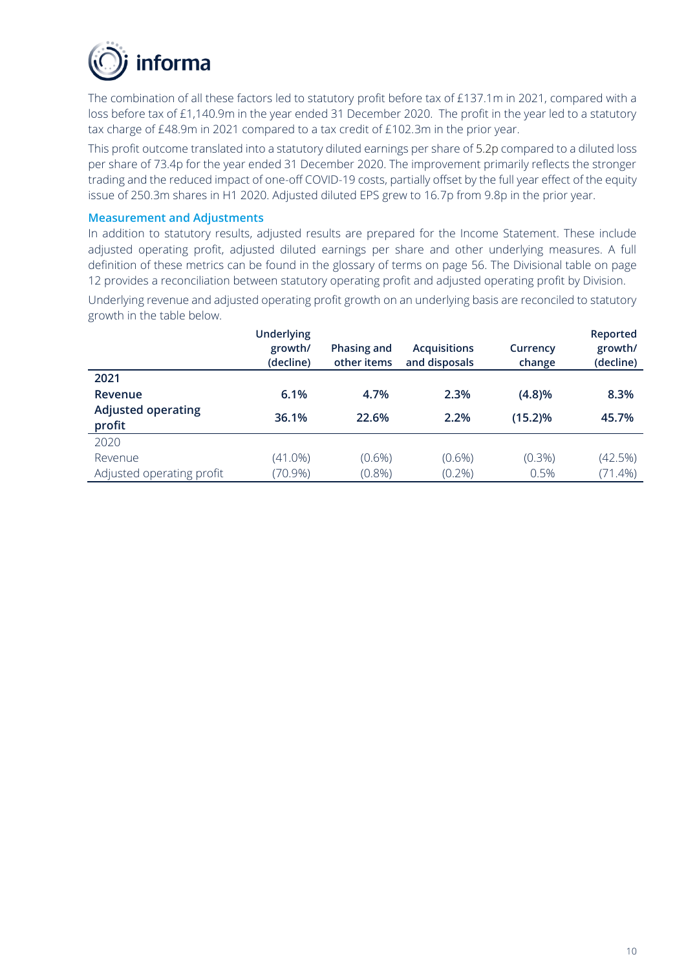

The combination of all these factors led to statutory profit before tax of £137.1m in 2021, compared with a loss before tax of £1,140.9m in the year ended 31 December 2020. The profit in the year led to a statutory tax charge of £48.9m in 2021 compared to a tax credit of £102.3m in the prior year.

This profit outcome translated into a statutory diluted earnings per share of 5.2p compared to a diluted loss per share of 73.4p for the year ended 31 December 2020. The improvement primarily reflects the stronger trading and the reduced impact of one-off COVID-19 costs, partially offset by the full year effect of the equity issue of 250.3m shares in H1 2020. Adjusted diluted EPS grew to 16.7p from 9.8p in the prior year.

#### **Measurement and Adjustments**

In addition to statutory results, adjusted results are prepared for the Income Statement. These include adjusted operating profit, adjusted diluted earnings per share and other underlying measures. A full definition of these metrics can be found in the glossary of terms on page 56. The Divisional table on page 12 provides a reconciliation between statutory operating profit and adjusted operating profit by Division.

Underlying revenue and adjusted operating profit growth on an underlying basis are reconciled to statutory growth in the table below.

|                                     | <b>Underlying</b><br>growth/<br>(decline) | Phasing and<br>other items | <b>Acquisitions</b><br>and disposals | Currency<br>change | Reported<br>growth/<br>(decline) |
|-------------------------------------|-------------------------------------------|----------------------------|--------------------------------------|--------------------|----------------------------------|
| 2021                                |                                           |                            |                                      |                    |                                  |
| Revenue                             | 6.1%                                      | 4.7%                       | 2.3%                                 | (4.8)%             | 8.3%                             |
| <b>Adjusted operating</b><br>profit | 36.1%                                     | 22.6%                      | 2.2%                                 | (15.2)%            | 45.7%                            |
| 2020                                |                                           |                            |                                      |                    |                                  |
| Revenue                             | $(41.0\%)$                                | $(0.6\%)$                  | $(0.6\%)$                            | $(0.3\%)$          | (42.5%)                          |
| Adjusted operating profit           | $(70.9\%)$                                | $(0.8\%)$                  | $(0.2\%)$                            | 0.5%               | $(71.4\%)$                       |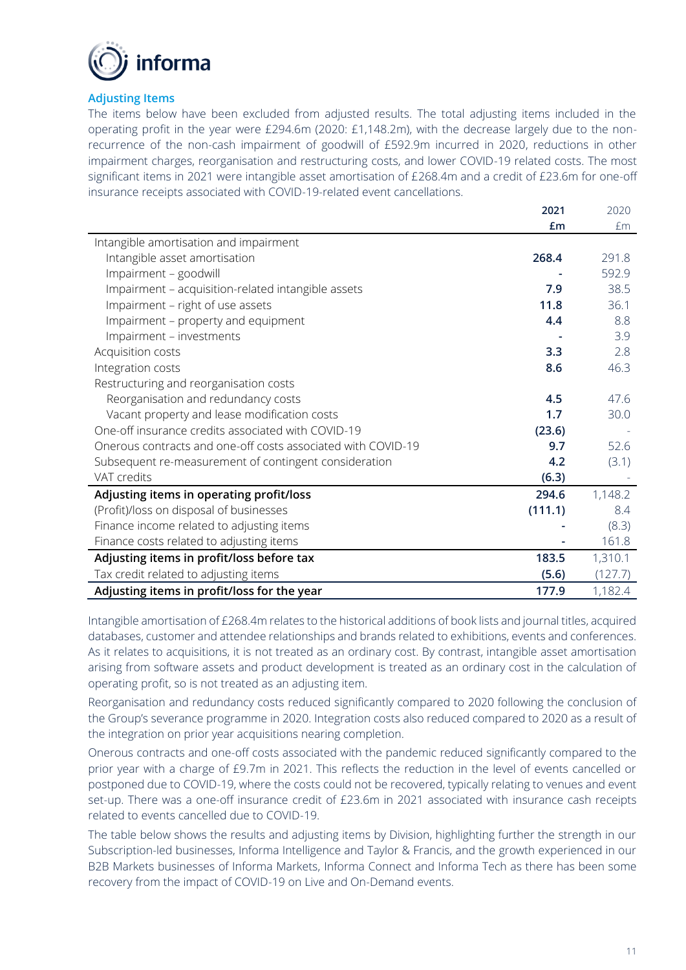

## **Adjusting Items**

The items below have been excluded from adjusted results. The total adjusting items included in the operating profit in the year were £294.6m (2020: £1,148.2m), with the decrease largely due to the nonrecurrence of the non-cash impairment of goodwill of £592.9m incurred in 2020, reductions in other impairment charges, reorganisation and restructuring costs, and lower COVID-19 related costs. The most significant items in 2021 were intangible asset amortisation of £268.4m and a credit of £23.6m for one-off insurance receipts associated with COVID-19-related event cancellations.

|                                                              | 2021    | 2020    |
|--------------------------------------------------------------|---------|---------|
|                                                              | £m      | £m      |
| Intangible amortisation and impairment                       |         |         |
| Intangible asset amortisation                                | 268.4   | 291.8   |
| Impairment - goodwill                                        |         | 592.9   |
| Impairment - acquisition-related intangible assets           | 7.9     | 38.5    |
| Impairment - right of use assets                             | 11.8    | 36.1    |
| Impairment - property and equipment                          | 4.4     | 8.8     |
| Impairment - investments                                     |         | 3.9     |
| Acquisition costs                                            | 3.3     | 2.8     |
| Integration costs                                            | 8.6     | 46.3    |
| Restructuring and reorganisation costs                       |         |         |
| Reorganisation and redundancy costs                          | 4.5     | 47.6    |
| Vacant property and lease modification costs                 | 1.7     | 30.0    |
| One-off insurance credits associated with COVID-19           | (23.6)  |         |
| Onerous contracts and one-off costs associated with COVID-19 | 9.7     | 52.6    |
| Subsequent re-measurement of contingent consideration        | 4.2     | (3.1)   |
| VAT credits                                                  | (6.3)   |         |
| Adjusting items in operating profit/loss                     | 294.6   | 1,148.2 |
| (Profit)/loss on disposal of businesses                      | (111.1) | 8.4     |
| Finance income related to adjusting items                    |         | (8.3)   |
| Finance costs related to adjusting items                     |         | 161.8   |
| Adjusting items in profit/loss before tax                    | 183.5   | 1,310.1 |
| Tax credit related to adjusting items                        | (5.6)   | (127.7) |
| Adjusting items in profit/loss for the year                  | 177.9   | 1,182.4 |

Intangible amortisation of £268.4m relates to the historical additions of book lists and journal titles, acquired databases, customer and attendee relationships and brands related to exhibitions, events and conferences. As it relates to acquisitions, it is not treated as an ordinary cost. By contrast, intangible asset amortisation arising from software assets and product development is treated as an ordinary cost in the calculation of operating profit, so is not treated as an adjusting item.

Reorganisation and redundancy costs reduced significantly compared to 2020 following the conclusion of the Group's severance programme in 2020. Integration costs also reduced compared to 2020 as a result of the integration on prior year acquisitions nearing completion.

Onerous contracts and one-off costs associated with the pandemic reduced significantly compared to the prior year with a charge of £9.7m in 2021. This reflects the reduction in the level of events cancelled or postponed due to COVID-19, where the costs could not be recovered, typically relating to venues and event set-up. There was a one-off insurance credit of £23.6m in 2021 associated with insurance cash receipts related to events cancelled due to COVID-19.

The table below shows the results and adjusting items by Division, highlighting further the strength in our Subscription-led businesses, Informa Intelligence and Taylor & Francis, and the growth experienced in our B2B Markets businesses of Informa Markets, Informa Connect and Informa Tech as there has been some recovery from the impact of COVID-19 on Live and On-Demand events.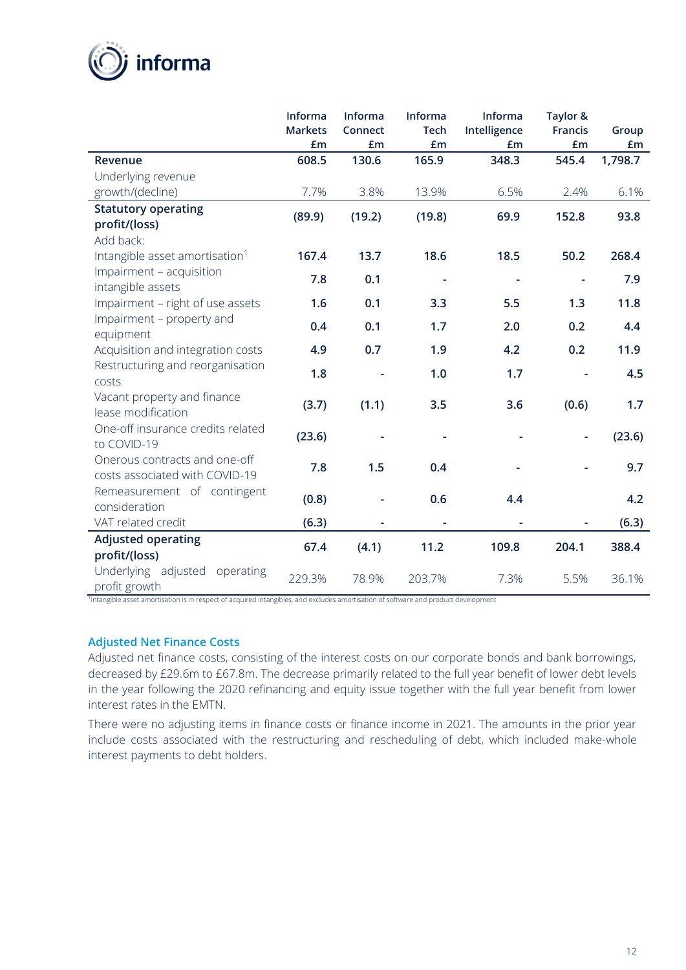

|                                                                 | Informa<br><b>Markets</b><br>£m | Informa<br>Connect<br>£m | Informa<br><b>Tech</b><br>£m | Informa<br>Intelligence<br>£m | Taylor &<br><b>Francis</b><br>£m | Group<br>£m |
|-----------------------------------------------------------------|---------------------------------|--------------------------|------------------------------|-------------------------------|----------------------------------|-------------|
| <b>Revenue</b>                                                  | 608.5                           | 130.6                    | 165.9                        | 348.3                         | 545.4                            | 1,798.7     |
| Underlying revenue                                              |                                 |                          |                              |                               |                                  |             |
| growth/(decline)                                                | 7.7%                            | 3.8%                     | 13.9%                        | 6.5%                          | 2.4%                             | 6.1%        |
| <b>Statutory operating</b>                                      | (89.9)                          | (19.2)                   | (19.8)                       | 69.9                          | 152.8                            | 93.8        |
| profit/(loss)                                                   |                                 |                          |                              |                               |                                  |             |
| Add back:                                                       |                                 |                          |                              |                               |                                  |             |
| Intangible asset amortisation <sup>1</sup>                      | 167.4                           | 13.7                     | 18.6                         | 18.5                          | 50.2                             | 268.4       |
| Impairment - acquisition<br>intangible assets                   | 7.8                             | 0.1                      |                              | $\blacksquare$                |                                  | 7.9         |
| Impairment - right of use assets                                | 1.6                             | 0.1                      | 3.3                          | 5.5                           | 1.3                              | 11.8        |
| Impairment - property and<br>equipment                          | 0.4                             | 0.1                      | 1.7                          | 2.0                           | 0.2                              | 4.4         |
| Acquisition and integration costs                               | 4.9                             | 0.7                      | 1.9                          | 4.2                           | 0.2                              | 11.9        |
| Restructuring and reorganisation<br>costs                       | 1.8                             |                          | 1.0                          | 1.7                           |                                  | 4.5         |
| Vacant property and finance<br>lease modification               | (3.7)                           | (1.1)                    | 3.5                          | 3.6                           | (0.6)                            | 1.7         |
| One-off insurance credits related<br>to COVID-19                | (23.6)                          |                          |                              |                               |                                  | (23.6)      |
| Onerous contracts and one-off<br>costs associated with COVID-19 | 7.8                             | 1.5                      | 0.4                          |                               |                                  | 9.7         |
| Remeasurement of contingent<br>consideration                    | (0.8)                           |                          | 0.6                          | 4.4                           |                                  | 4.2         |
| VAT related credit                                              | (6.3)                           |                          |                              |                               |                                  | (6.3)       |
| <b>Adjusted operating</b><br>profit/(loss)                      | 67.4                            | (4.1)                    | 11.2                         | 109.8                         | 204.1                            | 388.4       |
| Underlying adjusted<br>operating<br>profit growth               | 229.3%                          | 78.9%                    | 203.7%                       | 7.3%                          | 5.5%                             | 36.1%       |

1 Intangible asset amortisation is in respect of acquired intangibles, and excludes amortisation of software and product development

#### **Adjusted Net Finance Costs**

Adjusted net finance costs, consisting of the interest costs on our corporate bonds and bank borrowings, decreased by £29.6m to £67.8m. The decrease primarily related to the full year benefit of lower debt levels in the year following the 2020 refinancing and equity issue together with the full year benefit from lower interest rates in the EMTN.

There were no adjusting items in finance costs or finance income in 2021. The amounts in the prior year include costs associated with the restructuring and rescheduling of debt, which included make-whole interest payments to debt holders.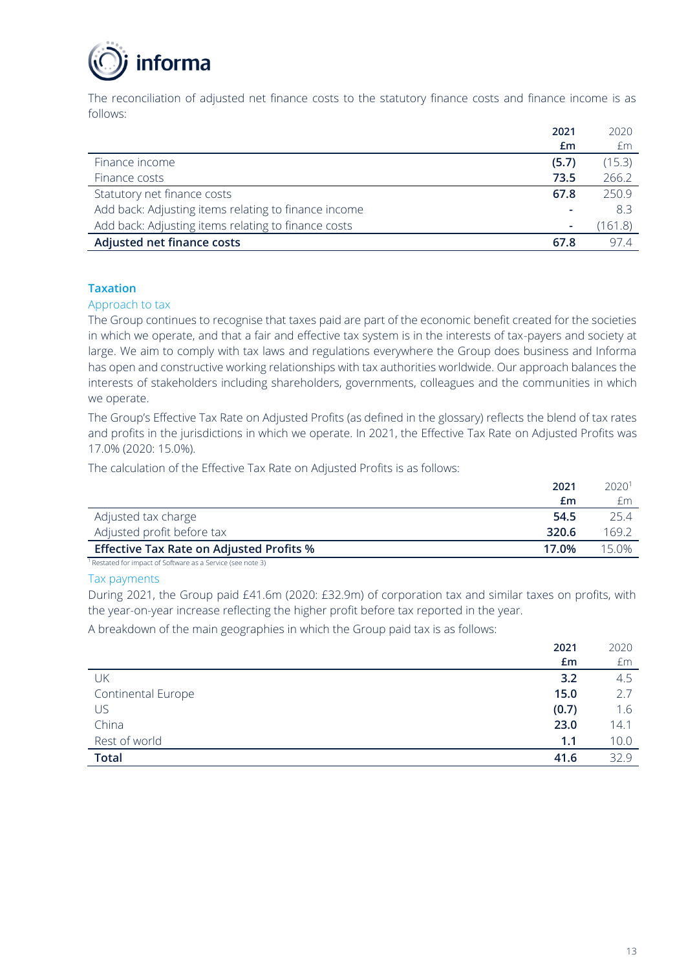

The reconciliation of adjusted net finance costs to the statutory finance costs and finance income is as follows:

|                                                      | 2021  | 2020    |
|------------------------------------------------------|-------|---------|
|                                                      | £m    | £m      |
| Finance income                                       | (5.7) | (15.3)  |
| Finance costs                                        | 73.5  | 266.2   |
| Statutory net finance costs                          | 67.8  | 250.9   |
| Add back: Adjusting items relating to finance income |       | 83      |
| Add back: Adjusting items relating to finance costs  |       | (161.8) |
| Adjusted net finance costs                           | 67.8  | 97.4    |

#### **Taxation**

#### Approach to tax

The Group continues to recognise that taxes paid are part of the economic benefit created for the societies in which we operate, and that a fair and effective tax system is in the interests of tax-payers and society at large. We aim to comply with tax laws and regulations everywhere the Group does business and Informa has open and constructive working relationships with tax authorities worldwide. Our approach balances the interests of stakeholders including shareholders, governments, colleagues and the communities in which we operate.

The Group's Effective Tax Rate on Adjusted Profits (as defined in the glossary) reflects the blend of tax rates and profits in the jurisdictions in which we operate. In 2021, the Effective Tax Rate on Adjusted Profits was 17.0% (2020: 15.0%).

The calculation of the Effective Tax Rate on Adjusted Profits is as follows:

|                                                 | 2021  | 2020 <sup>1</sup> |
|-------------------------------------------------|-------|-------------------|
|                                                 | £m    |                   |
| Adjusted tax charge                             | 54.5  | 25.4              |
| Adjusted profit before tax                      | 320.6 | 169.2             |
| <b>Effective Tax Rate on Adjusted Profits %</b> | 17.0% | 15.0%             |

<sup>1</sup>Restated for impact of Software as a Service (see note 3)

#### Tax payments

During 2021, the Group paid £41.6m (2020: £32.9m) of corporation tax and similar taxes on profits, with the year-on-year increase reflecting the higher profit before tax reported in the year.

A breakdown of the main geographies in which the Group paid tax is as follows:

|                           | 2021  | 2020 |
|---------------------------|-------|------|
|                           | £m    | £m   |
| UK                        | 3.2   | 4.5  |
| <b>Continental Europe</b> | 15.0  | 2.7  |
| US                        | (0.7) | 1.6  |
| China                     | 23.0  | 14.1 |
| Rest of world             | 1.1   | 10.0 |
| <b>Total</b>              | 41.6  | 32.9 |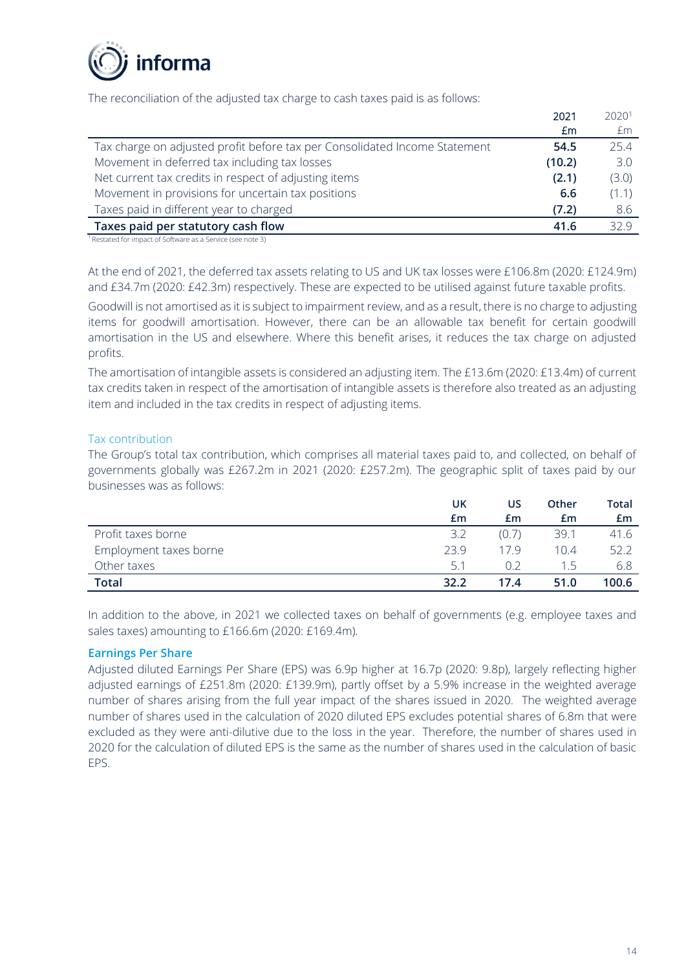

The reconciliation of the adjusted tax charge to cash taxes paid is as follows:

|                                                                            | 2021   | 2020 <sup>1</sup> |
|----------------------------------------------------------------------------|--------|-------------------|
|                                                                            | £m     | Em                |
| Tax charge on adjusted profit before tax per Consolidated Income Statement | 54.5   | 25.4              |
| Movement in deferred tax including tax losses                              | (10.2) | 3.0               |
| Net current tax credits in respect of adjusting items                      | (2.1)  | (3.0)             |
| Movement in provisions for uncertain tax positions                         | 6.6    | (1.1)             |
| Taxes paid in different year to charged                                    | (7.2)  | 8.6               |
| Taxes paid per statutory cash flow                                         | 41.6   | 329               |

<sup>1</sup> Restated for impact of Software as a Service (see note 3)

At the end of 2021, the deferred tax assets relating to US and UK tax losses were £106.8m (2020: £124.9m) and £34.7m (2020: £42.3m) respectively. These are expected to be utilised against future taxable profits.

Goodwill is not amortised as it is subject to impairment review, and as a result, there is no charge to adjusting items for goodwill amortisation. However, there can be an allowable tax benefit for certain goodwill amortisation in the US and elsewhere. Where this benefit arises, it reduces the tax charge on adjusted profits.

The amortisation of intangible assets is considered an adjusting item. The £13.6m (2020: £13.4m) of current tax credits taken in respect of the amortisation of intangible assets is therefore also treated as an adjusting item and included in the tax credits in respect of adjusting items.

#### Tax contribution

The Group's total tax contribution, which comprises all material taxes paid to, and collected, on behalf of governments globally was £267.2m in 2021 (2020: £257.2m). The geographic split of taxes paid by our businesses was as follows:

|                        | <b>UK</b> | บร    | Other | Total |
|------------------------|-----------|-------|-------|-------|
|                        | £m        | £m    | £m    | £m.   |
| Profit taxes borne     | 3.2       | (0.7) | 39.1  | 41.6  |
| Employment taxes borne | 239       | 179   | 10.4  | 52.2  |
| Other taxes            | 51        |       | 15    |       |
| <b>Total</b>           | 32.2      | 17.4  | 51.0  | 100.6 |

In addition to the above, in 2021 we collected taxes on behalf of governments (e.g. employee taxes and sales taxes) amounting to £166.6m (2020: £169.4m).

#### **Earnings Per Share**

Adjusted diluted Earnings Per Share (EPS) was 6.9p higher at 16.7p (2020: 9.8p), largely reflecting higher adjusted earnings of £251.8m (2020: £139.9m), partly offset by a 5.9% increase in the weighted average number of shares arising from the full year impact of the shares issued in 2020. The weighted average number of shares used in the calculation of 2020 diluted EPS excludes potential shares of 6.8m that were excluded as they were anti-dilutive due to the loss in the year. Therefore, the number of shares used in 2020 for the calculation of diluted EPS is the same as the number of shares used in the calculation of basic EPS.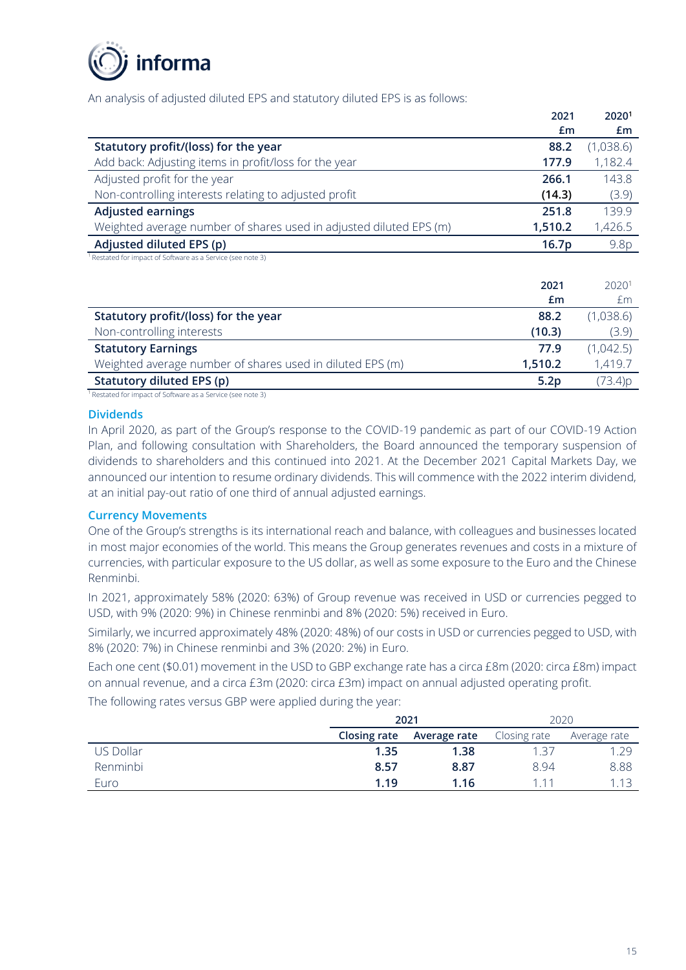

An analysis of adjusted diluted EPS and statutory diluted EPS is as follows:

|                                                                    | 2021              | 20201     |
|--------------------------------------------------------------------|-------------------|-----------|
|                                                                    | £m                | Em        |
| Statutory profit/(loss) for the year                               | 88.2              | (1,038.6) |
| Add back: Adjusting items in profit/loss for the year              | 177.9             | 1,182.4   |
| Adjusted profit for the year                                       | 266.1             | 143.8     |
| Non-controlling interests relating to adjusted profit              | (14.3)            | (3.9)     |
| <b>Adjusted earnings</b>                                           | 251.8             | 139.9     |
| Weighted average number of shares used in adjusted diluted EPS (m) | 1,510.2           | 1,426.5   |
| Adjusted diluted EPS (p)                                           | 16.7 <sub>p</sub> | 9.8p      |
| Restated for impact of Software as a Service (see note 3)          |                   |           |

<sup>1</sup> Restated for impact of Software as a Service (see note 3)

|                                                                             | 2021             | 2020 <sup>1</sup> |
|-----------------------------------------------------------------------------|------------------|-------------------|
|                                                                             | £m               | £m                |
| Statutory profit/(loss) for the year                                        | 88.2             | (1,038.6)         |
| Non-controlling interests                                                   | (10.3)           | (3.9)             |
| <b>Statutory Earnings</b>                                                   | 77.9             | (1,042.5)         |
| Weighted average number of shares used in diluted EPS (m)                   | 1.510.2          | 1,419.7           |
| Statutory diluted EPS (p)                                                   | 5.2 <sub>p</sub> | (73.4)p           |
| $\frac{1}{2}$ Destated for impact of Cofficients as a Capital (see pote 2). |                  |                   |

Restated for impact of Software as a Service (see note 3)

#### **Dividends**

In April 2020, as part of the Group's response to the COVID-19 pandemic as part of our COVID-19 Action Plan, and following consultation with Shareholders, the Board announced the temporary suspension of dividends to shareholders and this continued into 2021. At the December 2021 Capital Markets Day, we announced our intention to resume ordinary dividends. This will commence with the 2022 interim dividend, at an initial pay-out ratio of one third of annual adjusted earnings.

## **Currency Movements**

One of the Group's strengths is its international reach and balance, with colleagues and businesses located in most major economies of the world. This means the Group generates revenues and costs in a mixture of currencies, with particular exposure to the US dollar, as well as some exposure to the Euro and the Chinese Renminbi.

In 2021, approximately 58% (2020: 63%) of Group revenue was received in USD or currencies pegged to USD, with 9% (2020: 9%) in Chinese renminbi and 8% (2020: 5%) received in Euro.

Similarly, we incurred approximately 48% (2020: 48%) of our costs in USD or currencies pegged to USD, with 8% (2020: 7%) in Chinese renminbi and 3% (2020: 2%) in Euro.

Each one cent (\$0.01) movement in the USD to GBP exchange rate has a circa £8m (2020: circa £8m) impact on annual revenue, and a circa £3m (2020: circa £3m) impact on annual adjusted operating profit.

The following rates versus GBP were applied during the year:

|           | 2021         |              |              | 2020         |
|-----------|--------------|--------------|--------------|--------------|
|           | Closing rate | Average rate | Closing rate | Average rate |
| US Dollar | 1.35         | 1.38         | 1.37         | 1.29         |
| Renminbi  | 8.57         | 8.87         | 8.94         | 8.88         |
| Euro      | 1.19         | 1.16         | 1 1 1        | 1.13         |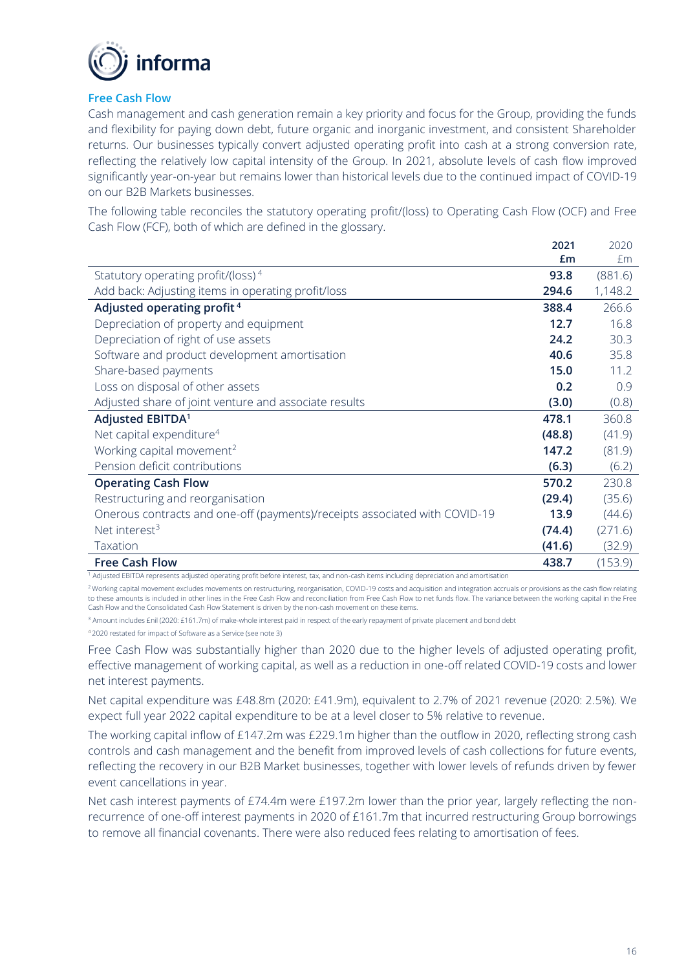

#### **Free Cash Flow**

Cash management and cash generation remain a key priority and focus for the Group, providing the funds and flexibility for paying down debt, future organic and inorganic investment, and consistent Shareholder returns. Our businesses typically convert adjusted operating profit into cash at a strong conversion rate, reflecting the relatively low capital intensity of the Group. In 2021, absolute levels of cash flow improved significantly year-on-year but remains lower than historical levels due to the continued impact of COVID-19 on our B2B Markets businesses.

The following table reconciles the statutory operating profit/(loss) to Operating Cash Flow (OCF) and Free Cash Flow (FCF), both of which are defined in the glossary.

|                                                                            | 2021   | 2020    |
|----------------------------------------------------------------------------|--------|---------|
|                                                                            | Em     | £m      |
| Statutory operating profit/(loss) $4$                                      | 93.8   | (881.6) |
| Add back: Adjusting items in operating profit/loss                         | 294.6  | 1,148.2 |
| Adjusted operating profit <sup>4</sup>                                     | 388.4  | 266.6   |
| Depreciation of property and equipment                                     | 12.7   | 16.8    |
| Depreciation of right of use assets                                        | 24.2   | 30.3    |
| Software and product development amortisation                              | 40.6   | 35.8    |
| Share-based payments                                                       | 15.0   | 11.2    |
| Loss on disposal of other assets                                           | 0.2    | 0.9     |
| Adjusted share of joint venture and associate results                      | (3.0)  | (0.8)   |
| Adjusted EBITDA <sup>1</sup>                                               | 478.1  | 360.8   |
| Net capital expenditure <sup>4</sup>                                       | (48.8) | (41.9)  |
| Working capital movement <sup>2</sup>                                      | 147.2  | (81.9)  |
| Pension deficit contributions                                              | (6.3)  | (6.2)   |
| <b>Operating Cash Flow</b>                                                 | 570.2  | 230.8   |
| Restructuring and reorganisation                                           | (29.4) | (35.6)  |
| Onerous contracts and one-off (payments)/receipts associated with COVID-19 | 13.9   | (44.6)  |
| Net interest <sup>3</sup>                                                  | (74.4) | (271.6) |
| Taxation                                                                   | (41.6) | (32.9)  |
| <b>Free Cash Flow</b>                                                      | 438.7  | (153.9) |

 $<sup>1</sup>$  Adjusted EBITDA represents adjusted operating profit before interest, tax, and non-cash items including depreciation and amortisation</sup>

<sup>2</sup> Working capital movement excludes movements on restructuring, reorganisation, COVID-19 costs and acquisition and integration accruals or provisions as the cash flow relating to these amounts is included in other lines in the Free Cash Flow and reconciliation from Free Cash Flow to net funds flow. The variance between the working capital in the Free Cash Flow and the Consolidated Cash Flow Statement is driven by the non-cash movement on these items.

<sup>3</sup> Amount includes £nil (2020: £161.7m) of make-whole interest paid in respect of the early repayment of private placement and bond debt

<sup>4</sup> 2020 restated for impact of Software as a Service (see note 3)

Free Cash Flow was substantially higher than 2020 due to the higher levels of adjusted operating profit, effective management of working capital, as well as a reduction in one-off related COVID-19 costs and lower net interest payments.

Net capital expenditure was £48.8m (2020: £41.9m), equivalent to 2.7% of 2021 revenue (2020: 2.5%). We expect full year 2022 capital expenditure to be at a level closer to 5% relative to revenue.

The working capital inflow of £147.2m was £229.1m higher than the outflow in 2020, reflecting strong cash controls and cash management and the benefit from improved levels of cash collections for future events, reflecting the recovery in our B2B Market businesses, together with lower levels of refunds driven by fewer event cancellations in year.

Net cash interest payments of £74.4m were £197.2m lower than the prior year, largely reflecting the nonrecurrence of one-off interest payments in 2020 of £161.7m that incurred restructuring Group borrowings to remove all financial covenants. There were also reduced fees relating to amortisation of fees.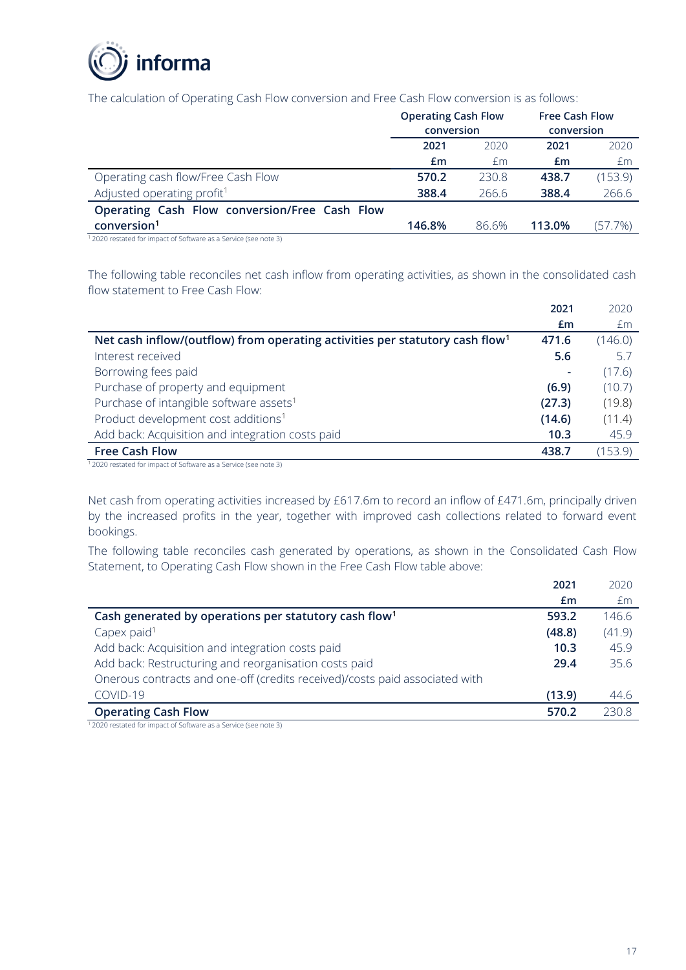

The calculation of Operating Cash Flow conversion and Free Cash Flow conversion is as follows:

| <b>Operating Cash Flow</b><br>conversion |       | <b>Free Cash Flow</b><br>conversion |         |
|------------------------------------------|-------|-------------------------------------|---------|
| 2021                                     | 2020  | 2021                                | 2020    |
| £m                                       | Em    | £m                                  | £m      |
| 570.2                                    | 230.8 | 438.7                               | (153.9) |
| 388.4                                    | 266.6 | 388.4                               | 266.6   |
|                                          |       |                                     |         |
| 146.8%                                   | 86.6% | 113.0%                              | (57.7%) |
|                                          |       |                                     |         |

<sup>1</sup>2020 restated for impact of Software as a Service (see note 3)

The following table reconciles net cash inflow from operating activities, as shown in the consolidated cash flow statement to Free Cash Flow:

|                                                                                          | 2021   | 2020    |
|------------------------------------------------------------------------------------------|--------|---------|
|                                                                                          | Em     | £m      |
| Net cash inflow/(outflow) from operating activities per statutory cash flow <sup>1</sup> | 471.6  | (146.0) |
| Interest received                                                                        | 5.6    | 5.7     |
| Borrowing fees paid                                                                      |        | (17.6)  |
| Purchase of property and equipment                                                       | (6.9)  | (10.7)  |
| Purchase of intangible software assets <sup>1</sup>                                      | (27.3) | (19.8)  |
| Product development cost additions <sup>1</sup>                                          | (14.6) | (11.4)  |
| Add back: Acquisition and integration costs paid                                         | 10.3   | 45.9    |
| <b>Free Cash Flow</b>                                                                    | 438.7  | (153.9) |

<sup>1</sup>2020 restated for impact of Software as a Service (see note 3)

Net cash from operating activities increased by £617.6m to record an inflow of £471.6m, principally driven by the increased profits in the year, together with improved cash collections related to forward event bookings.

The following table reconciles cash generated by operations, as shown in the Consolidated Cash Flow Statement, to Operating Cash Flow shown in the Free Cash Flow table above:

|                                                                             | 2021   | 2020   |
|-----------------------------------------------------------------------------|--------|--------|
|                                                                             | £m     | £m     |
| Cash generated by operations per statutory cash flow <sup>1</sup>           | 593.2  | 146.6  |
| Capex paid $1$                                                              | (48.8) | (41.9) |
| Add back: Acquisition and integration costs paid                            | 10.3   | 45.9   |
| Add back: Restructuring and reorganisation costs paid                       | 29.4   | 35.6   |
| Onerous contracts and one-off (credits received)/costs paid associated with |        |        |
| COVID-19                                                                    | (13.9) | 44.6   |
| <b>Operating Cash Flow</b>                                                  | 570.2  | 230.8  |

<sup>1</sup>2020 restated for impact of Software as a Service (see note 3)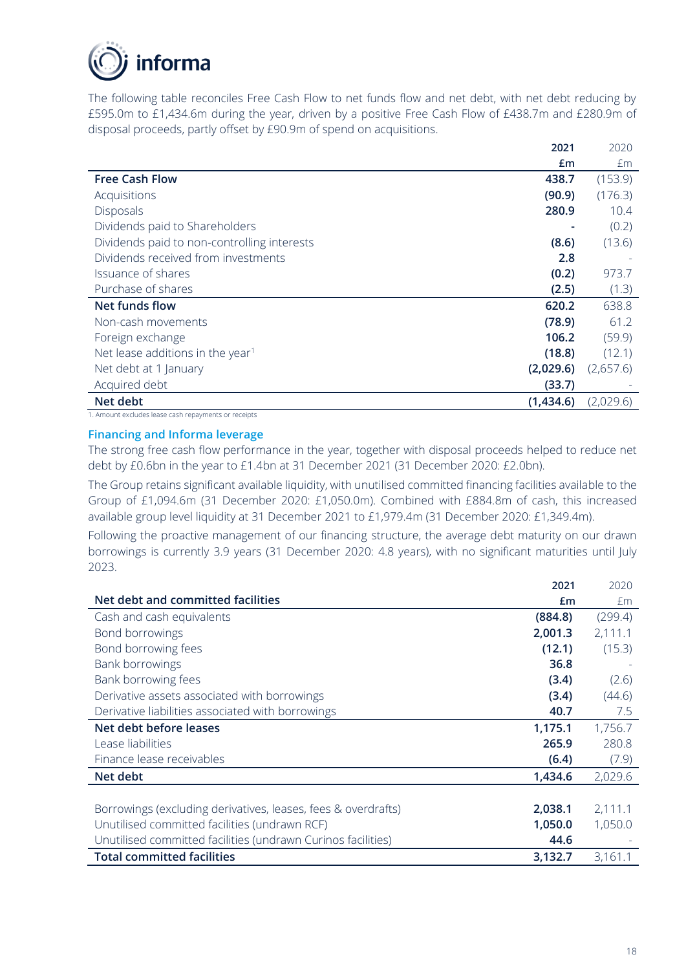

The following table reconciles Free Cash Flow to net funds flow and net debt, with net debt reducing by £595.0m to £1,434.6m during the year, driven by a positive Free Cash Flow of £438.7m and £280.9m of disposal proceeds, partly offset by £90.9m of spend on acquisitions.

|                                              | 2021      | 2020      |
|----------------------------------------------|-----------|-----------|
|                                              | £m        | £m        |
| <b>Free Cash Flow</b>                        | 438.7     | (153.9)   |
| Acquisitions                                 | (90.9)    | (176.3)   |
| <b>Disposals</b>                             | 280.9     | 10.4      |
| Dividends paid to Shareholders               |           | (0.2)     |
| Dividends paid to non-controlling interests  | (8.6)     | (13.6)    |
| Dividends received from investments          | 2.8       |           |
| Issuance of shares                           | (0.2)     | 973.7     |
| Purchase of shares                           | (2.5)     | (1.3)     |
| Net funds flow                               | 620.2     | 638.8     |
| Non-cash movements                           | (78.9)    | 61.2      |
| Foreign exchange                             | 106.2     | (59.9)    |
| Net lease additions in the year <sup>1</sup> | (18.8)    | (12.1)    |
| Net debt at 1 January                        | (2,029.6) | (2,657.6) |
| Acquired debt                                | (33.7)    |           |
| Net debt                                     | (1,434.6) | (2,029.6) |

1. Amount excludes lease cash repayments or receipts

## **Financing and Informa leverage**

The strong free cash flow performance in the year, together with disposal proceeds helped to reduce net debt by £0.6bn in the year to £1.4bn at 31 December 2021 (31 December 2020: £2.0bn).

The Group retains significant available liquidity, with unutilised committed financing facilities available to the Group of £1,094.6m (31 December 2020: £1,050.0m). Combined with £884.8m of cash, this increased available group level liquidity at 31 December 2021 to £1,979.4m (31 December 2020: £1,349.4m).

Following the proactive management of our financing structure, the average debt maturity on our drawn borrowings is currently 3.9 years (31 December 2020: 4.8 years), with no significant maturities until July 2023.

|                                                               | 2021    | 2020    |
|---------------------------------------------------------------|---------|---------|
| Net debt and committed facilities                             | £m      | Em      |
| Cash and cash equivalents                                     | (884.8) | (299.4) |
| Bond borrowings                                               | 2,001.3 | 2,111.1 |
| Bond borrowing fees                                           | (12.1)  | (15.3)  |
| Bank borrowings                                               | 36.8    |         |
| Bank borrowing fees                                           | (3.4)   | (2.6)   |
| Derivative assets associated with borrowings                  | (3.4)   | (44.6)  |
| Derivative liabilities associated with borrowings             | 40.7    | 7.5     |
| Net debt before leases                                        | 1,175.1 | 1,756.7 |
| Lease liabilities                                             | 265.9   | 280.8   |
| Finance lease receivables                                     | (6.4)   | (7.9)   |
| Net debt                                                      | 1,434.6 | 2,029.6 |
|                                                               |         |         |
| Borrowings (excluding derivatives, leases, fees & overdrafts) | 2,038.1 | 2,111.1 |
| Unutilised committed facilities (undrawn RCF)                 | 1,050.0 | 1,050.0 |
| Unutilised committed facilities (undrawn Curinos facilities)  | 44.6    |         |
| <b>Total committed facilities</b>                             | 3,132.7 | 3,161.1 |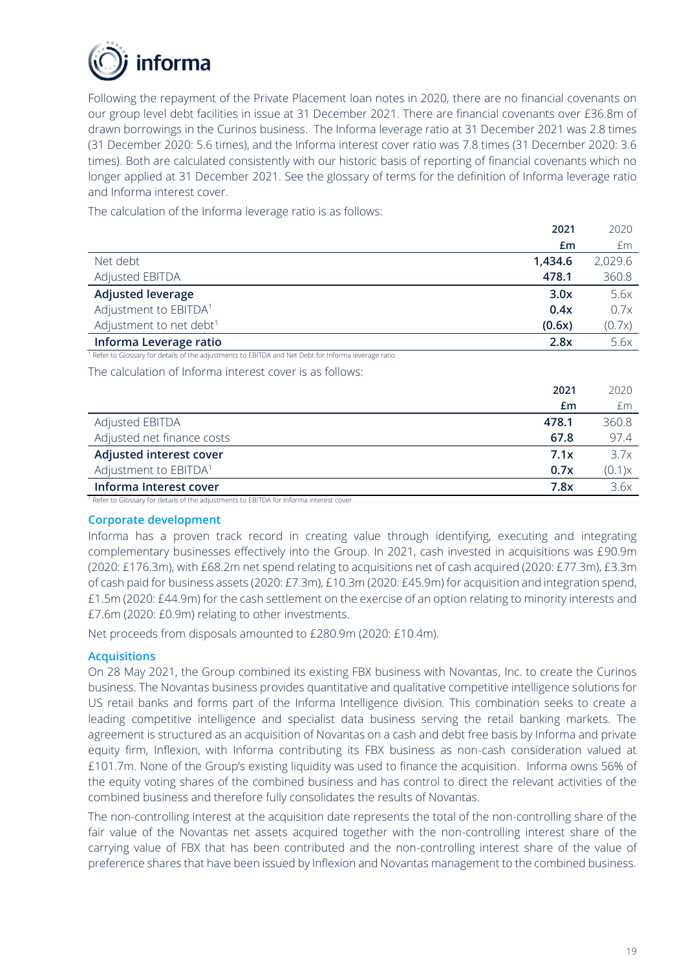

Following the repayment of the Private Placement loan notes in 2020, there are no financial covenants on our group level debt facilities in issue at 31 December 2021. There are financial covenants over £36.8m of drawn borrowings in the Curinos business. The Informa leverage ratio at 31 December 2021 was 2.8 times (31 December 2020: 5.6 times), and the Informa interest cover ratio was 7.8 times (31 December 2020: 3.6 times). Both are calculated consistently with our historic basis of reporting of financial covenants which no longer applied at 31 December 2021. See the glossary of terms for the definition of Informa leverage ratio and Informa interest cover.

The calculation of the Informa leverage ratio is as follows:

|                                                                                                                 | 2021    | 2020    |
|-----------------------------------------------------------------------------------------------------------------|---------|---------|
|                                                                                                                 | Em      | £m      |
| Net debt                                                                                                        | 1,434.6 | 2,029.6 |
| <b>Adjusted EBITDA</b>                                                                                          | 478.1   | 360.8   |
| <b>Adjusted leverage</b>                                                                                        | 3.0x    | 5.6x    |
| Adjustment to EBITDA <sup>1</sup>                                                                               | 0.4x    | 0.7x    |
| Adjustment to net debt <sup>1</sup>                                                                             | (0.6x)  | (0.7x)  |
| Informa Leverage ratio                                                                                          | 2.8x    | 5.6x    |
| <sup>1</sup> Refer to Glossary for details of the adjustments to EBITDA and Net Debt for Informa leverage ratio |         |         |
| The calculation of Informa interest cover is as follows:                                                        |         |         |
|                                                                                                                 | 2021    | 2020    |
|                                                                                                                 | £m      | £m      |
| Adjusted EBITDA                                                                                                 | 478.1   | 360.8   |
| $\mathbf{A}$ and $\mathbf{A}$ and $\mathbf{A}$ and $\mathbf{A}$ and $\mathbf{A}$                                |         |         |

| Adjusted net finance costs | 67.8 | 97 4   |
|----------------------------|------|--------|
| Adjusted interest cover    | 7.1x | 3.7x   |
| Adjustment to EBITDA1      | 0.7x | (0.1)x |
| Informa Interest cover     | 7.8x | 3.6x   |

<sup>1</sup> Refer to Glossary for details of the adjustments to EBITDA for Informa interest cover

#### **Corporate development**

Informa has a proven track record in creating value through identifying, executing and integrating complementary businesses effectively into the Group. In 2021, cash invested in acquisitions was £90.9m (2020: £176.3m), with £68.2m net spend relating to acquisitions net of cash acquired (2020: £77.3m), £3.3m of cash paid for business assets (2020: £7.3m), £10.3m (2020: £45.9m) for acquisition and integration spend, £1.5m (2020: £44.9m) for the cash settlement on the exercise of an option relating to minority interests and £7.6m (2020: £0.9m) relating to other investments.

Net proceeds from disposals amounted to £280.9m (2020: £10.4m).

#### **Acquisitions**

On 28 May 2021, the Group combined its existing FBX business with Novantas, Inc. to create the Curinos business. The Novantas business provides quantitative and qualitative competitive intelligence solutions for US retail banks and forms part of the Informa Intelligence division. This combination seeks to create a leading competitive intelligence and specialist data business serving the retail banking markets. The agreement is structured as an acquisition of Novantas on a cash and debt free basis by Informa and private equity firm, Inflexion, with Informa contributing its FBX business as non-cash consideration valued at £101.7m. None of the Group's existing liquidity was used to finance the acquisition. Informa owns 56% of the equity voting shares of the combined business and has control to direct the relevant activities of the combined business and therefore fully consolidates the results of Novantas.

The non-controlling interest at the acquisition date represents the total of the non-controlling share of the fair value of the Novantas net assets acquired together with the non-controlling interest share of the carrying value of FBX that has been contributed and the non-controlling interest share of the value of preference shares that have been issued by Inflexion and Novantas management to the combined business.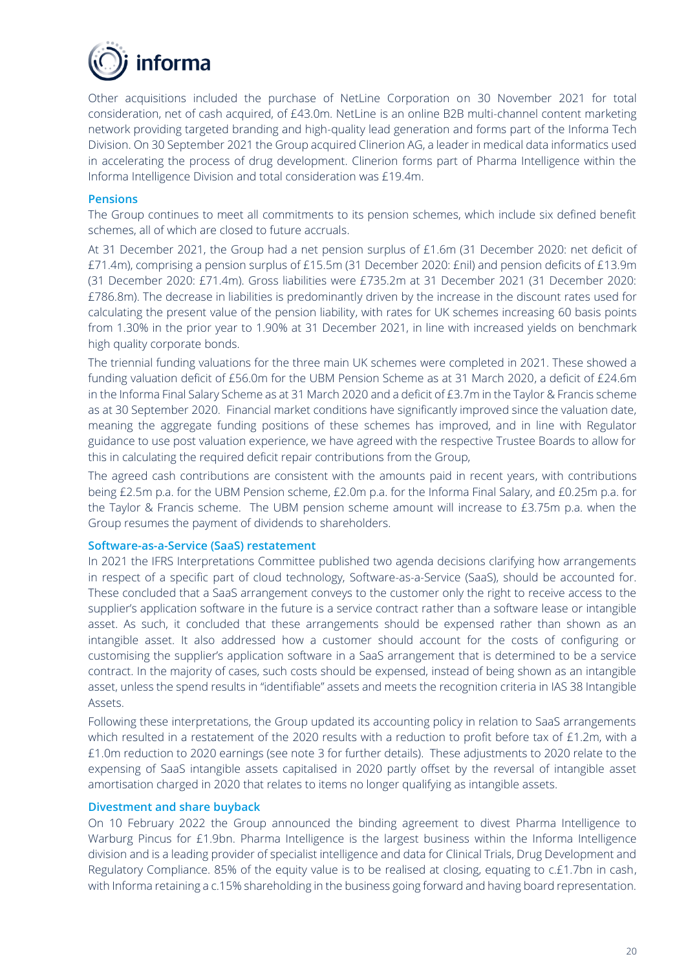

Other acquisitions included the purchase of NetLine Corporation on 30 November 2021 for total consideration, net of cash acquired, of £43.0m. NetLine is an online B2B multi-channel content marketing network providing targeted branding and high-quality lead generation and forms part of the Informa Tech Division. On 30 September 2021 the Group acquired Clinerion AG, a leader in medical data informatics used in accelerating the process of drug development. Clinerion forms part of Pharma Intelligence within the Informa Intelligence Division and total consideration was £19.4m.

#### **Pensions**

The Group continues to meet all commitments to its pension schemes, which include six defined benefit schemes, all of which are closed to future accruals.

At 31 December 2021, the Group had a net pension surplus of £1.6m (31 December 2020: net deficit of £71.4m), comprising a pension surplus of £15.5m (31 December 2020: £nil) and pension deficits of £13.9m (31 December 2020: £71.4m). Gross liabilities were £735.2m at 31 December 2021 (31 December 2020: £786.8m). The decrease in liabilities is predominantly driven by the increase in the discount rates used for calculating the present value of the pension liability, with rates for UK schemes increasing 60 basis points from 1.30% in the prior year to 1.90% at 31 December 2021, in line with increased yields on benchmark high quality corporate bonds.

The triennial funding valuations for the three main UK schemes were completed in 2021. These showed a funding valuation deficit of £56.0m for the UBM Pension Scheme as at 31 March 2020, a deficit of £24.6m in the Informa Final Salary Scheme as at 31 March 2020 and a deficit of £3.7m in the Taylor & Francis scheme as at 30 September 2020. Financial market conditions have significantly improved since the valuation date, meaning the aggregate funding positions of these schemes has improved, and in line with Regulator guidance to use post valuation experience, we have agreed with the respective Trustee Boards to allow for this in calculating the required deficit repair contributions from the Group,

The agreed cash contributions are consistent with the amounts paid in recent years, with contributions being £2.5m p.a. for the UBM Pension scheme, £2.0m p.a. for the Informa Final Salary, and £0.25m p.a. for the Taylor & Francis scheme. The UBM pension scheme amount will increase to £3.75m p.a. when the Group resumes the payment of dividends to shareholders.

#### **Software-as-a-Service (SaaS) restatement**

In 2021 the IFRS Interpretations Committee published two agenda decisions clarifying how arrangements in respect of a specific part of cloud technology, Software-as-a-Service (SaaS), should be accounted for. These concluded that a SaaS arrangement conveys to the customer only the right to receive access to the supplier's application software in the future is a service contract rather than a software lease or intangible asset. As such, it concluded that these arrangements should be expensed rather than shown as an intangible asset. It also addressed how a customer should account for the costs of configuring or customising the supplier's application software in a SaaS arrangement that is determined to be a service contract. In the majority of cases, such costs should be expensed, instead of being shown as an intangible asset, unless the spend results in "identifiable" assets and meets the recognition criteria in IAS 38 Intangible Assets.

Following these interpretations, the Group updated its accounting policy in relation to SaaS arrangements which resulted in a restatement of the 2020 results with a reduction to profit before tax of £1.2m, with a £1.0m reduction to 2020 earnings (see note 3 for further details). These adjustments to 2020 relate to the expensing of SaaS intangible assets capitalised in 2020 partly offset by the reversal of intangible asset amortisation charged in 2020 that relates to items no longer qualifying as intangible assets.

#### **Divestment and share buyback**

On 10 February 2022 the Group announced the binding agreement to divest Pharma Intelligence to Warburg Pincus for £1.9bn. Pharma Intelligence is the largest business within the Informa Intelligence division and is a leading provider of specialist intelligence and data for Clinical Trials, Drug Development and Regulatory Compliance. 85% of the equity value is to be realised at closing, equating to c.£1.7bn in cash, with Informa retaining a c.15% shareholding in the business going forward and having board representation.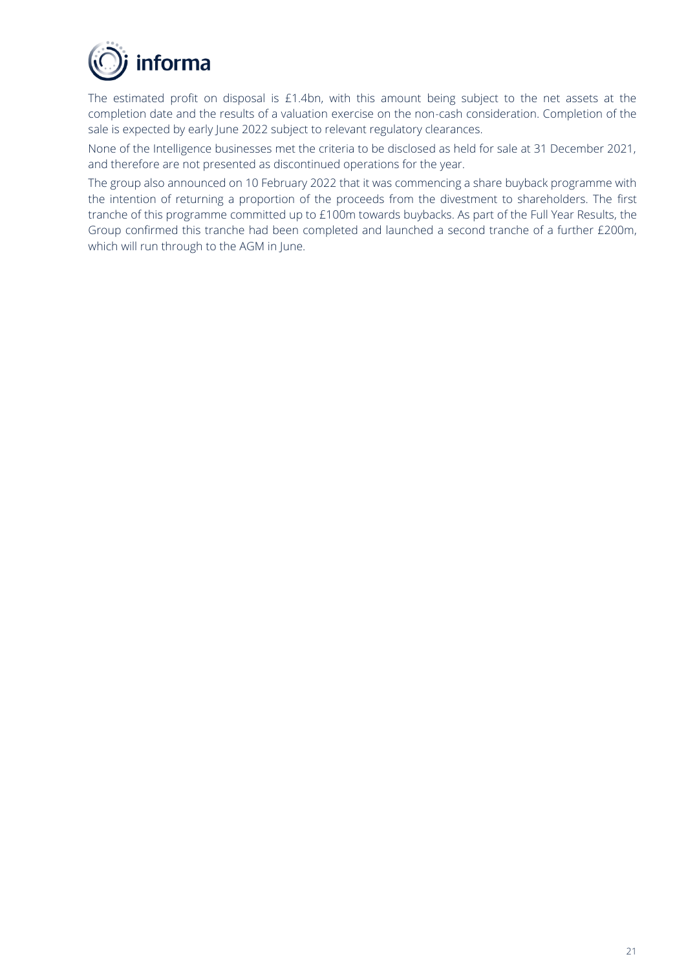

The estimated profit on disposal is £1.4bn, with this amount being subject to the net assets at the completion date and the results of a valuation exercise on the non-cash consideration. Completion of the sale is expected by early June 2022 subject to relevant regulatory clearances.

None of the Intelligence businesses met the criteria to be disclosed as held for sale at 31 December 2021, and therefore are not presented as discontinued operations for the year.

The group also announced on 10 February 2022 that it was commencing a share buyback programme with the intention of returning a proportion of the proceeds from the divestment to shareholders. The first tranche of this programme committed up to £100m towards buybacks. As part of the Full Year Results, the Group confirmed this tranche had been completed and launched a second tranche of a further £200m, which will run through to the AGM in June.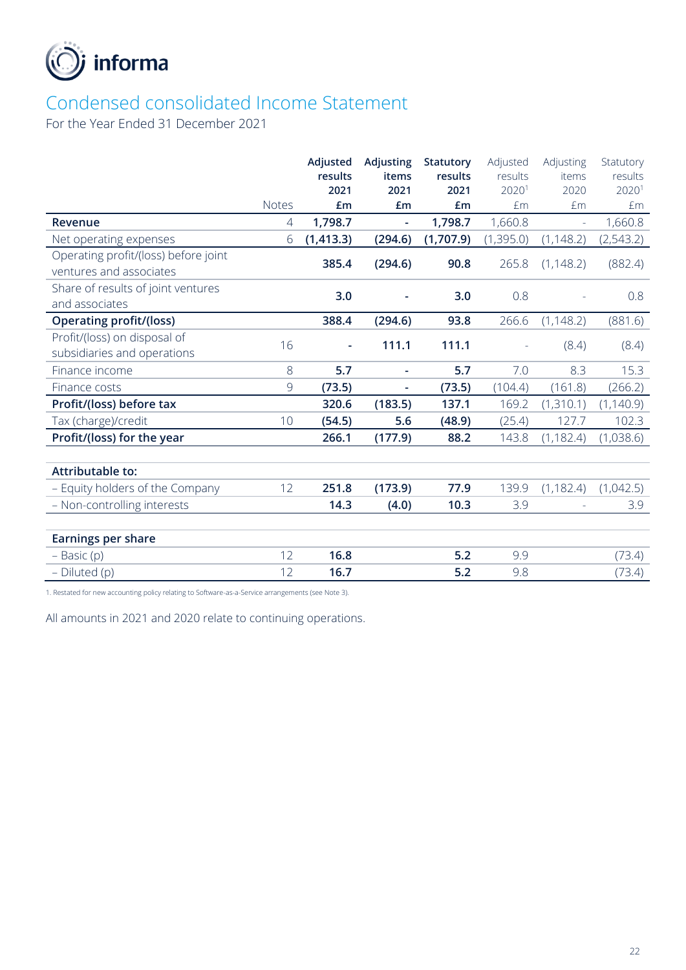

# Condensed consolidated Income Statement

For the Year Ended 31 December 2021

| results    |
|------------|
|            |
| 20201      |
| £m         |
| 1,660.8    |
| (2,543.2)  |
|            |
| (882.4)    |
|            |
| 0.8        |
| (881.6)    |
| (8.4)      |
|            |
| 15.3       |
| (266.2)    |
| (1, 140.9) |
| 102.3      |
| (1,038.6)  |
|            |
|            |
| (1,042.5)  |
| 3.9        |
|            |
|            |
| (73.4)     |
| (73.4)     |
|            |

1. Restated for new accounting policy relating to Software-as-a-Service arrangements (see Note 3).

All amounts in 2021 and 2020 relate to continuing operations.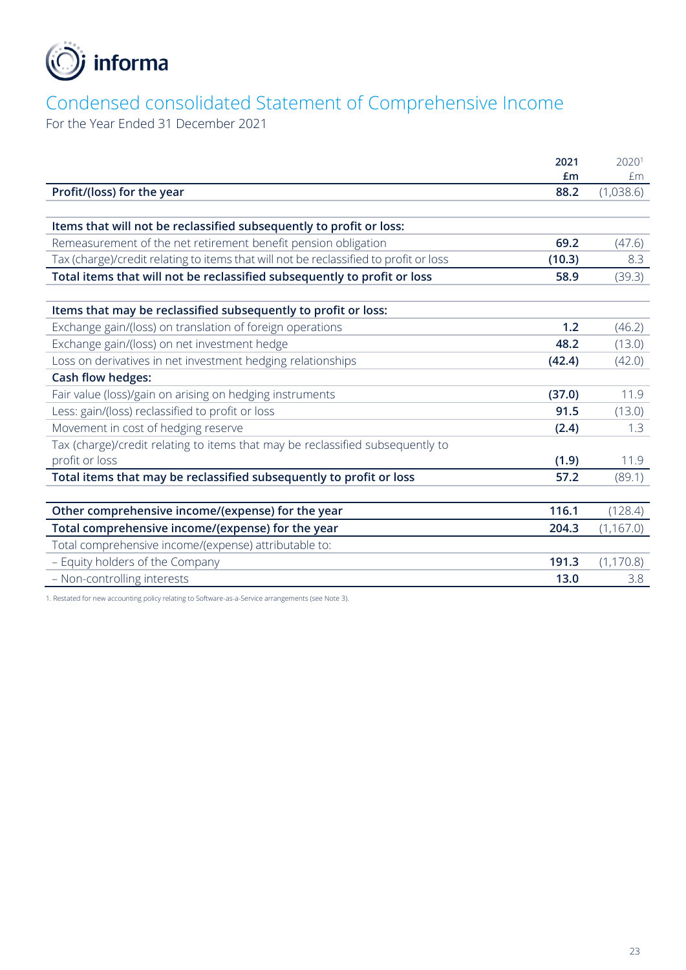

# Condensed consolidated Statement of Comprehensive Income

For the Year Ended 31 December 2021

|                                                                                       | 2021   | 20201      |
|---------------------------------------------------------------------------------------|--------|------------|
|                                                                                       | £m     | £m         |
| Profit/(loss) for the year                                                            | 88.2   | (1,038.6)  |
|                                                                                       |        |            |
| Items that will not be reclassified subsequently to profit or loss:                   |        |            |
| Remeasurement of the net retirement benefit pension obligation                        | 69.2   | (47.6)     |
| Tax (charge)/credit relating to items that will not be reclassified to profit or loss | (10.3) | 8.3        |
| Total items that will not be reclassified subsequently to profit or loss              | 58.9   | (39.3)     |
|                                                                                       |        |            |
| Items that may be reclassified subsequently to profit or loss:                        |        |            |
| Exchange gain/(loss) on translation of foreign operations                             | 1.2    | (46.2)     |
| Exchange gain/(loss) on net investment hedge                                          | 48.2   | (13.0)     |
| Loss on derivatives in net investment hedging relationships                           | (42.4) | (42.0)     |
| <b>Cash flow hedges:</b>                                                              |        |            |
| Fair value (loss)/gain on arising on hedging instruments                              | (37.0) | 11.9       |
| Less: gain/(loss) reclassified to profit or loss                                      | 91.5   | (13.0)     |
| Movement in cost of hedging reserve                                                   | (2.4)  | 1.3        |
| Tax (charge)/credit relating to items that may be reclassified subsequently to        |        |            |
| profit or loss                                                                        | (1.9)  | 11.9       |
| Total items that may be reclassified subsequently to profit or loss                   | 57.2   | (89.1)     |
|                                                                                       |        |            |
| Other comprehensive income/(expense) for the year                                     | 116.1  | (128.4)    |
| Total comprehensive income/(expense) for the year                                     | 204.3  | (1, 167.0) |
| Total comprehensive income/(expense) attributable to:                                 |        |            |
| - Equity holders of the Company                                                       | 191.3  | (1, 170.8) |
| - Non-controlling interests                                                           | 13.0   | 3.8        |

1. Restated for new accounting policy relating to Software-as-a-Service arrangements (see Note 3).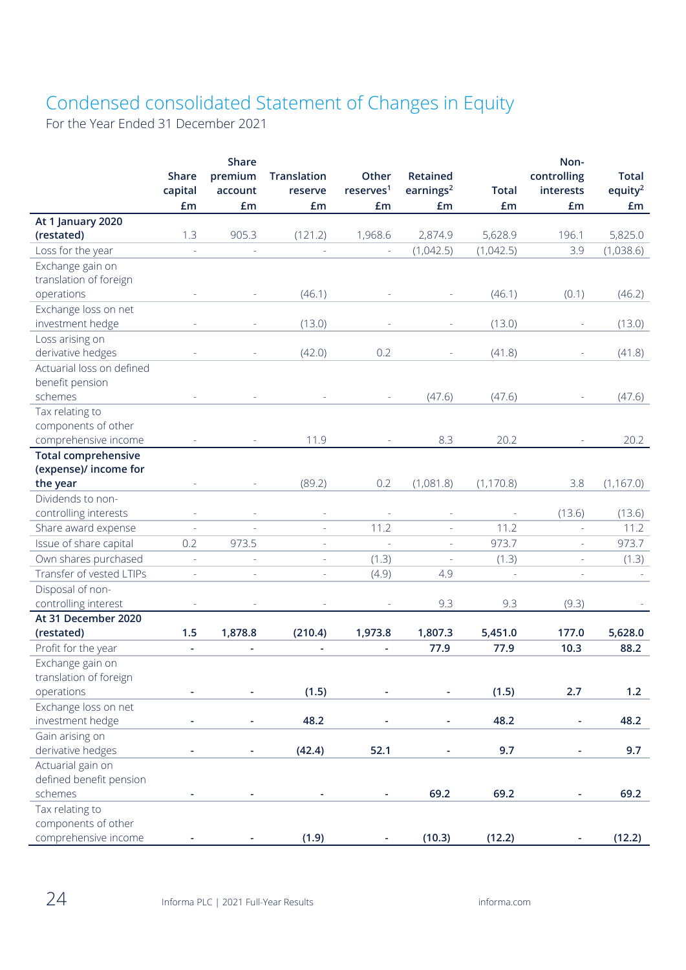# Condensed consolidated Statement of Changes in Equity

For the Year Ended 31 December 2021

|                                             | <b>Share</b><br>capital<br>£m | Share<br>premium<br>account<br>£m | <b>Translation</b><br>reserve<br>£m | Other<br>reserves <sup>1</sup><br>£m | Retained<br>earnings <sup>2</sup><br>£m | <b>Total</b><br>£m | Non-<br>controlling<br>interests<br>£m | <b>Total</b><br>equity <sup>2</sup><br>£m |
|---------------------------------------------|-------------------------------|-----------------------------------|-------------------------------------|--------------------------------------|-----------------------------------------|--------------------|----------------------------------------|-------------------------------------------|
| At 1 January 2020                           |                               |                                   |                                     |                                      |                                         |                    |                                        |                                           |
| (restated)                                  | 1.3                           | 905.3                             | (121.2)                             | 1,968.6                              | 2,874.9                                 | 5,628.9            | 196.1                                  | 5,825.0                                   |
| Loss for the year                           | $\overline{\phantom{a}}$      |                                   |                                     |                                      | (1,042.5)                               | (1,042.5)          | 3.9                                    | (1,038.6)                                 |
| Exchange gain on                            |                               |                                   |                                     |                                      |                                         |                    |                                        |                                           |
| translation of foreign                      |                               |                                   |                                     |                                      |                                         |                    |                                        |                                           |
| operations                                  |                               |                                   | (46.1)                              |                                      |                                         | (46.1)             | (0.1)                                  | (46.2)                                    |
| Exchange loss on net                        |                               |                                   |                                     |                                      |                                         |                    |                                        |                                           |
| investment hedge                            |                               |                                   | (13.0)                              |                                      |                                         | (13.0)             | $\overline{\phantom{a}}$               | (13.0)                                    |
| Loss arising on                             |                               |                                   |                                     |                                      |                                         |                    |                                        |                                           |
| derivative hedges                           |                               |                                   | (42.0)                              | 0.2                                  |                                         | (41.8)             |                                        | (41.8)                                    |
| Actuarial loss on defined                   |                               |                                   |                                     |                                      |                                         |                    |                                        |                                           |
| benefit pension                             |                               |                                   |                                     |                                      |                                         |                    |                                        |                                           |
| schemes                                     |                               |                                   |                                     |                                      | (47.6)                                  | (47.6)             |                                        | (47.6)                                    |
| Tax relating to                             |                               |                                   |                                     |                                      |                                         |                    |                                        |                                           |
| components of other                         |                               |                                   |                                     |                                      |                                         |                    |                                        |                                           |
| comprehensive income                        |                               |                                   | 11.9                                |                                      | 8.3                                     | 20.2               |                                        | 20.2                                      |
| <b>Total comprehensive</b>                  |                               |                                   |                                     |                                      |                                         |                    |                                        |                                           |
| (expense)/ income for                       |                               |                                   |                                     |                                      |                                         |                    |                                        |                                           |
| the year                                    |                               |                                   | (89.2)                              | 0.2                                  | (1,081.8)                               | (1, 170.8)         | 3.8                                    | (1, 167.0)                                |
| Dividends to non-                           |                               |                                   |                                     |                                      |                                         |                    |                                        |                                           |
| controlling interests                       |                               |                                   |                                     |                                      |                                         |                    | (13.6)                                 | (13.6)                                    |
| Share award expense                         |                               |                                   | $\sim$                              | 11.2                                 |                                         | 11.2               | $\overline{a}$                         | 11.2                                      |
| Issue of share capital                      | 0.2                           | 973.5                             | $\overline{\phantom{a}}$            |                                      |                                         | 973.7              | $\bar{\phantom{a}}$                    | 973.7                                     |
| Own shares purchased                        | $\overline{\phantom{a}}$      |                                   | $\bar{a}$                           | (1.3)                                | $\overline{\phantom{a}}$                | (1.3)              | $\sim$                                 | (1.3)                                     |
| Transfer of vested LTIPs                    | $\overline{\phantom{a}}$      |                                   | L,                                  | (4.9)                                | 4.9                                     | $\bar{a}$          | L,                                     |                                           |
| Disposal of non-                            |                               |                                   |                                     |                                      |                                         |                    |                                        |                                           |
| controlling interest<br>At 31 December 2020 |                               |                                   |                                     |                                      | 9.3                                     | 9.3                | (9.3)                                  |                                           |
| (restated)                                  | 1.5                           | 1,878.8                           | (210.4)                             | 1,973.8                              | 1,807.3                                 | 5,451.0            | 177.0                                  | 5,628.0                                   |
| Profit for the year                         |                               |                                   |                                     | ٠                                    | 77.9                                    | 77.9               | 10.3                                   | 88.2                                      |
| Exchange gain on                            | $\blacksquare$                | $\overline{\phantom{a}}$          | $\blacksquare$                      |                                      |                                         |                    |                                        |                                           |
| translation of foreign                      |                               |                                   |                                     |                                      |                                         |                    |                                        |                                           |
| operations                                  |                               |                                   | (1.5)                               |                                      |                                         | (1.5)              | 2.7                                    | 1.2                                       |
| Exchange loss on net                        |                               |                                   |                                     |                                      |                                         |                    |                                        |                                           |
| investment hedge                            |                               |                                   | 48.2                                |                                      |                                         | 48.2               |                                        | 48.2                                      |
| Gain arising on                             |                               |                                   |                                     |                                      |                                         |                    |                                        |                                           |
| derivative hedges                           |                               |                                   | (42.4)                              | 52.1                                 |                                         | 9.7                |                                        | 9.7                                       |
| Actuarial gain on                           |                               |                                   |                                     |                                      |                                         |                    |                                        |                                           |
| defined benefit pension                     |                               |                                   |                                     |                                      |                                         |                    |                                        |                                           |
| schemes                                     |                               |                                   |                                     |                                      | 69.2                                    | 69.2               |                                        | 69.2                                      |
| Tax relating to                             |                               |                                   |                                     |                                      |                                         |                    |                                        |                                           |
| components of other                         |                               |                                   |                                     |                                      |                                         |                    |                                        |                                           |
| comprehensive income                        |                               |                                   | (1.9)                               |                                      | (10.3)                                  | (12.2)             |                                        | (12.2)                                    |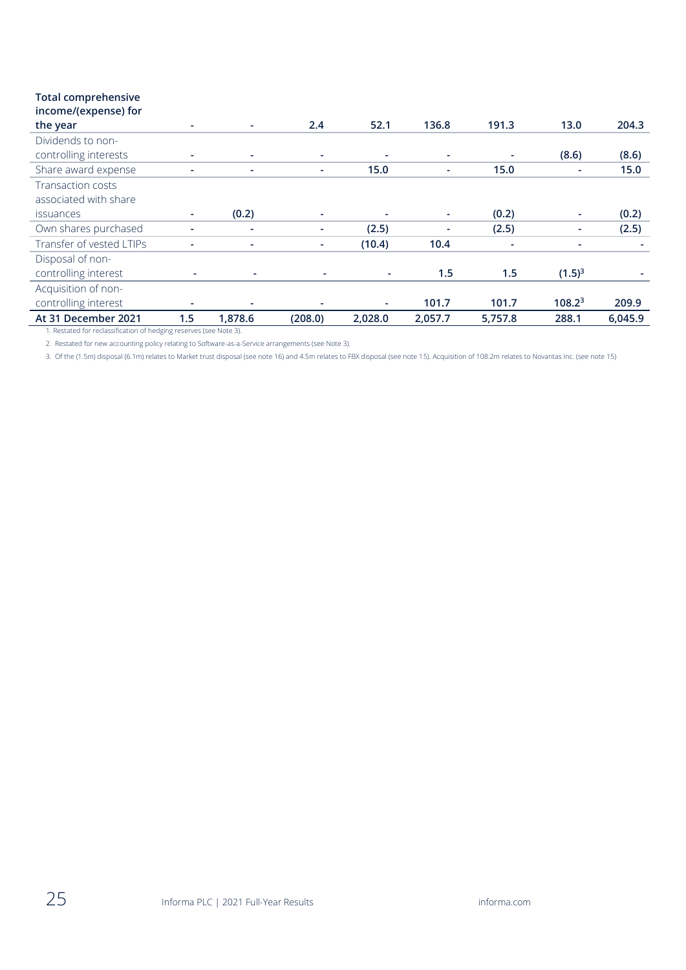# **Total comprehensive**

| income/(expense) for                                                                      |     |         |         |         |         |         |                    |         |
|-------------------------------------------------------------------------------------------|-----|---------|---------|---------|---------|---------|--------------------|---------|
| the year                                                                                  |     |         | 2.4     | 52.1    | 136.8   | 191.3   | 13.0               | 204.3   |
| Dividends to non-<br>controlling interests                                                |     |         | ٠       | ۰       | ٠       | ٠       | (8.6)              | (8.6)   |
| Share award expense                                                                       |     |         | ÷.      | 15.0    | ٠       | 15.0    | ٠                  | 15.0    |
| <b>Transaction costs</b><br>associated with share                                         |     |         |         |         |         |         |                    |         |
| issuances                                                                                 | ۰.  | (0.2)   | ۰.      |         | ۰       | (0.2)   | ٠                  | (0.2)   |
| Own shares purchased                                                                      |     | ٠       | ٠       | (2.5)   | ٠       | (2.5)   | ۰                  | (2.5)   |
| Transfer of vested LTIPs                                                                  |     |         | ٠       | (10.4)  | 10.4    |         | ٠                  |         |
| Disposal of non-<br>controlling interest                                                  |     |         |         |         | 1.5     | 1.5     | $(1.5)^3$          |         |
| Acquisition of non-<br>controlling interest                                               |     |         |         |         | 101.7   | 101.7   | 108.2 <sup>3</sup> | 209.9   |
| At 31 December 2021<br>1. Postated for reclassification of bodging resentes (see Note 2). | 1.5 | 1,878.6 | (208.0) | 2,028.0 | 2,057.7 | 5,757.8 | 288.1              | 6,045.9 |

1. Restated for reclassification of hedging reserves (see Note 3).

2. Restated for new accounting policy relating to Software-as-a-Service arrangements (see Note 3).

3. Of the (1.5m) disposal (6.1m) relates to Market trust disposal (see note 16) and 4.5m relates to FBX disposal (see note 15). Acquisition of 108.2m relates to Novantas Inc. (see note 15)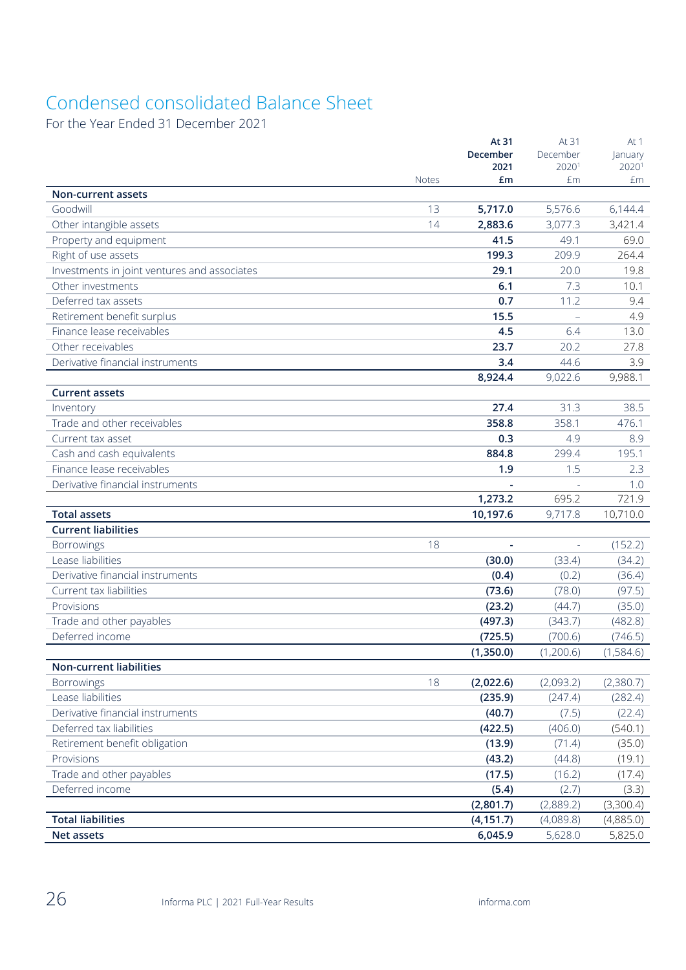# Condensed consolidated Balance Sheet

For the Year Ended 31 December 2021

|                                              |              | At 31<br>December | At 31<br>December | At 1<br>lanuary |
|----------------------------------------------|--------------|-------------------|-------------------|-----------------|
|                                              |              | 2021              | 2020 <sup>1</sup> | 20201           |
|                                              | <b>Notes</b> | £m                | £m                | £m              |
| <b>Non-current assets</b>                    |              |                   |                   |                 |
| Goodwill                                     | 13           | 5,717.0           | 5,576.6           | 6,144.4         |
| Other intangible assets                      | 14           | 2,883.6           | 3,077.3           | 3,421.4         |
| Property and equipment                       |              | 41.5              | 49.1              | 69.0            |
| Right of use assets                          |              | 199.3             | 209.9             | 264.4           |
| Investments in joint ventures and associates |              | 29.1              | 20.0              | 19.8            |
| Other investments                            |              | 6.1               | 7.3               | 10.1            |
| Deferred tax assets                          |              | 0.7               | 11.2              | 9.4             |
| Retirement benefit surplus                   |              | 15.5              |                   | 4.9             |
| Finance lease receivables                    |              | 4.5               | 6.4               | 13.0            |
| Other receivables                            |              | 23.7              | 20.2              | 27.8            |
| Derivative financial instruments             |              | 3.4               | 44.6              | 3.9             |
|                                              |              | 8,924.4           | 9,022.6           | 9,988.1         |
| <b>Current assets</b>                        |              |                   |                   |                 |
| Inventory                                    |              | 27.4              | 31.3              | 38.5            |
| Trade and other receivables                  |              | 358.8             | 358.1             | 476.1           |
| Current tax asset                            |              | 0.3               | 4.9               | 8.9             |
| Cash and cash equivalents                    |              | 884.8             | 299.4             | 195.1           |
| Finance lease receivables                    |              | 1.9               | 1.5               | 2.3             |
| Derivative financial instruments             |              |                   |                   | 1.0             |
|                                              |              | 1,273.2           | 695.2             | 721.9           |
| <b>Total assets</b>                          |              | 10,197.6          | 9,717.8           | 10,710.0        |
| <b>Current liabilities</b>                   |              |                   |                   |                 |
| Borrowings                                   | 18           |                   |                   | (152.2)         |
| Lease liabilities                            |              | (30.0)            | (33.4)            | (34.2)          |
| Derivative financial instruments             |              | (0.4)             | (0.2)             | (36.4)          |
| Current tax liabilities                      |              | (73.6)            | (78.0)            | (97.5)          |
| Provisions                                   |              | (23.2)            | (44.7)            | (35.0)          |
| Trade and other payables                     |              | (497.3)           | (343.7)           | (482.8)         |
| Deferred income                              |              | (725.5)           | (700.6)           | (746.5)         |
|                                              |              | (1,350.0)         | (1,200.6)         | (1,584.6)       |
| <b>Non-current liabilities</b>               |              |                   |                   |                 |
| <b>Borrowings</b>                            | 18           | (2,022.6)         | (2,093.2)         | (2,380.7)       |
| Lease liabilities                            |              | (235.9)           | (247.4)           | (282.4)         |
| Derivative financial instruments             |              | (40.7)            | (7.5)             | (22.4)          |
| Deferred tax liabilities                     |              | (422.5)           | (406.0)           | (540.1)         |
| Retirement benefit obligation                |              | (13.9)            | (71.4)            | (35.0)          |
| Provisions                                   |              | (43.2)            | (44.8)            | (19.1)          |
| Trade and other payables                     |              | (17.5)            | (16.2)            | (17.4)          |
| Deferred income                              |              | (5.4)             | (2.7)             | (3.3)           |
|                                              |              | (2,801.7)         | (2,889.2)         | (3,300.4)       |
| <b>Total liabilities</b>                     |              | (4, 151.7)        | (4,089.8)         | (4,885.0)       |
| <b>Net assets</b>                            |              | 6,045.9           | 5,628.0           | 5,825.0         |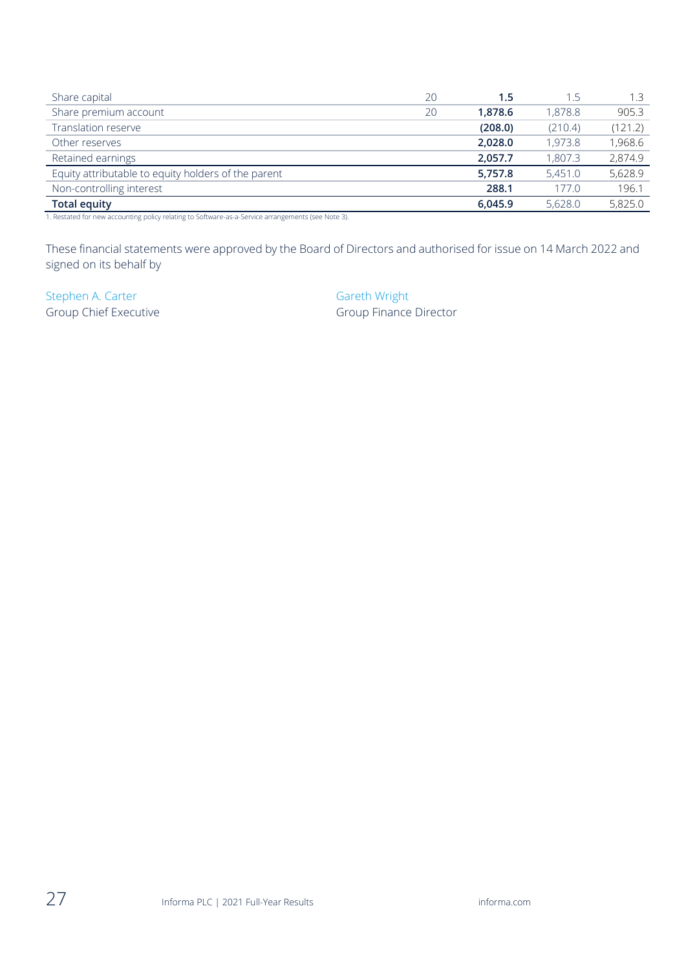| Share capital                                       | 20 | 1.5     | 1.5     | 1.3     |
|-----------------------------------------------------|----|---------|---------|---------|
| Share premium account                               | 20 | 1.878.6 | 1,878.8 | 905.3   |
| Translation reserve                                 |    | (208.0) | (210.4) | (121.2) |
| Other reserves                                      |    | 2,028.0 | 1,973.8 | 1,968.6 |
| Retained earnings                                   |    | 2,057.7 | 1,807.3 | 2,874.9 |
| Equity attributable to equity holders of the parent |    | 5,757.8 | 5,451.0 | 5,628.9 |
| Non-controlling interest                            |    | 288.1   | 177.0   | 196.1   |
| <b>Total equity</b>                                 |    | 6.045.9 | 5,628.0 | 5,825.0 |

1. Restated for new accounting policy relating to Software-as-a-Service arrangements (see Note 3).

These financial statements were approved by the Board of Directors and authorised for issue on 14 March 2022 and signed on its behalf by

Stephen A. Carter Gareth Wright

Group Chief Executive Group Finance Director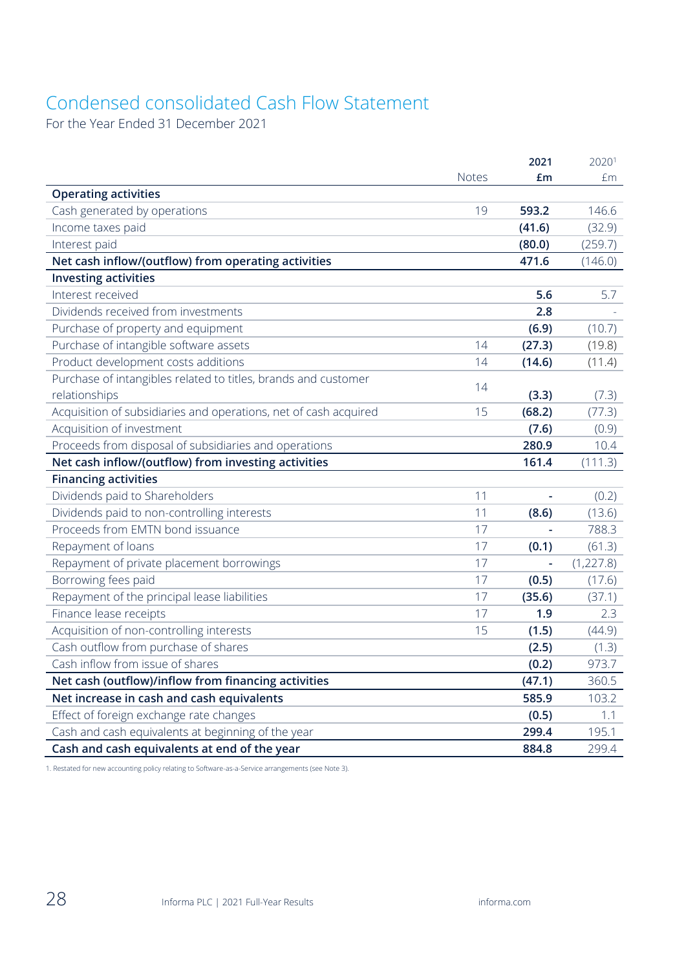# Condensed consolidated Cash Flow Statement

For the Year Ended 31 December 2021

|                                                                  |              | 2021   | 20201      |
|------------------------------------------------------------------|--------------|--------|------------|
|                                                                  | <b>Notes</b> | £m     | fm         |
| <b>Operating activities</b>                                      |              |        |            |
| Cash generated by operations                                     | 19           | 593.2  | 146.6      |
| Income taxes paid                                                |              | (41.6) | (32.9)     |
| Interest paid                                                    |              | (80.0) | (259.7)    |
| Net cash inflow/(outflow) from operating activities              |              | 471.6  | (146.0)    |
| <b>Investing activities</b>                                      |              |        |            |
| Interest received                                                |              | 5.6    | 5.7        |
| Dividends received from investments                              |              | 2.8    |            |
| Purchase of property and equipment                               |              | (6.9)  | (10.7)     |
| Purchase of intangible software assets                           | 14           | (27.3) | (19.8)     |
| Product development costs additions                              | 14           | (14.6) | (11.4)     |
| Purchase of intangibles related to titles, brands and customer   | 14           |        |            |
| relationships                                                    |              | (3.3)  | (7.3)      |
| Acquisition of subsidiaries and operations, net of cash acquired | 15           | (68.2) | (77.3)     |
| Acquisition of investment                                        |              | (7.6)  | (0.9)      |
| Proceeds from disposal of subsidiaries and operations            |              | 280.9  | 10.4       |
| Net cash inflow/(outflow) from investing activities              |              | 161.4  | (111.3)    |
| <b>Financing activities</b>                                      |              |        |            |
| Dividends paid to Shareholders                                   | 11           | ÷,     | (0.2)      |
| Dividends paid to non-controlling interests                      | 11           | (8.6)  | (13.6)     |
| Proceeds from EMTN bond issuance                                 | 17           |        | 788.3      |
| Repayment of loans                                               | 17           | (0.1)  | (61.3)     |
| Repayment of private placement borrowings                        | 17           |        | (1, 227.8) |
| Borrowing fees paid                                              | 17           | (0.5)  | (17.6)     |
|                                                                  |              |        |            |
| Repayment of the principal lease liabilities                     | 17           | (35.6) | (37.1)     |
| Finance lease receipts                                           | 17           | 1.9    | 2.3        |
| Acquisition of non-controlling interests                         | 15           | (1.5)  | (44.9)     |
| Cash outflow from purchase of shares                             |              | (2.5)  | (1.3)      |
| Cash inflow from issue of shares                                 |              | (0.2)  | 973.7      |
| Net cash (outflow)/inflow from financing activities              |              | (47.1) | 360.5      |
| Net increase in cash and cash equivalents                        |              | 585.9  | 103.2      |
| Effect of foreign exchange rate changes                          |              | (0.5)  | 1.1        |
| Cash and cash equivalents at beginning of the year               |              | 299.4  | 195.1      |

1. Restated for new accounting policy relating to Software-as-a-Service arrangements (see Note 3).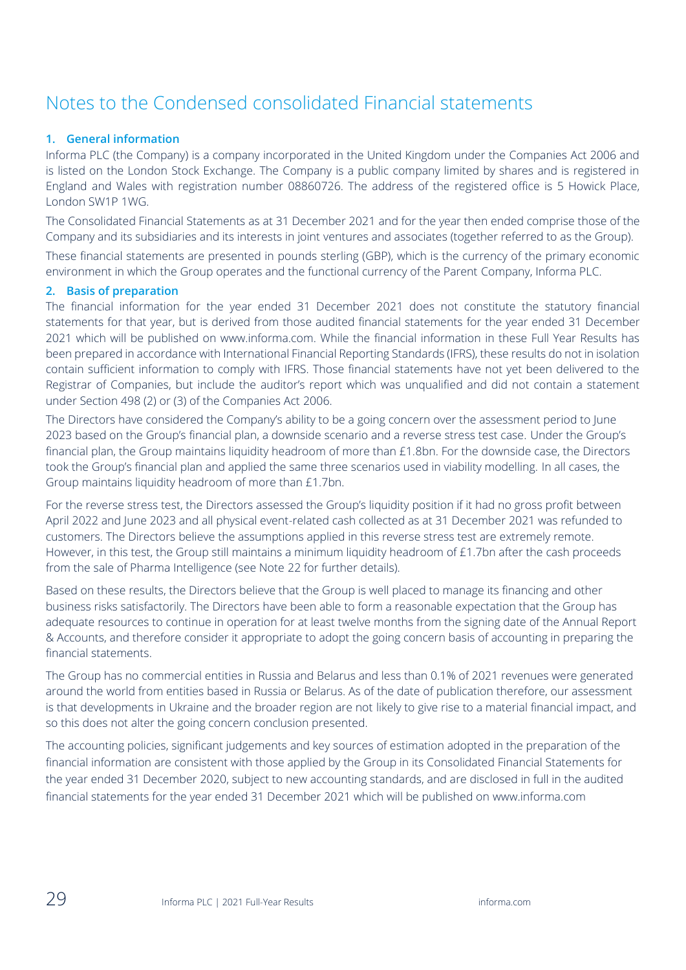# Notes to the Condensed consolidated Financial statements

## **1. General information**

Informa PLC (the Company) is a company incorporated in the United Kingdom under the Companies Act 2006 and is listed on the London Stock Exchange. The Company is a public company limited by shares and is registered in England and Wales with registration number 08860726. The address of the registered office is 5 Howick Place, London SW1P 1WG.

The Consolidated Financial Statements as at 31 December 2021 and for the year then ended comprise those of the Company and its subsidiaries and its interests in joint ventures and associates (together referred to as the Group).

These financial statements are presented in pounds sterling (GBP), which is the currency of the primary economic environment in which the Group operates and the functional currency of the Parent Company, Informa PLC.

## **2. Basis of preparation**

The financial information for the year ended 31 December 2021 does not constitute the statutory financial statements for that year, but is derived from those audited financial statements for the year ended 31 December 2021 which will be published on www.informa.com. While the financial information in these Full Year Results has been prepared in accordance with International Financial Reporting Standards (IFRS), these results do not in isolation contain sufficient information to comply with IFRS. Those financial statements have not yet been delivered to the Registrar of Companies, but include the auditor's report which was unqualified and did not contain a statement under Section 498 (2) or (3) of the Companies Act 2006.

The Directors have considered the Company's ability to be a going concern over the assessment period to June 2023 based on the Group's financial plan, a downside scenario and a reverse stress test case. Under the Group's financial plan, the Group maintains liquidity headroom of more than £1.8bn. For the downside case, the Directors took the Group's financial plan and applied the same three scenarios used in viability modelling. In all cases, the Group maintains liquidity headroom of more than £1.7bn.

For the reverse stress test, the Directors assessed the Group's liquidity position if it had no gross profit between April 2022 and June 2023 and all physical event-related cash collected as at 31 December 2021 was refunded to customers. The Directors believe the assumptions applied in this reverse stress test are extremely remote. However, in this test, the Group still maintains a minimum liquidity headroom of £1.7bn after the cash proceeds from the sale of Pharma Intelligence (see Note 22 for further details).

Based on these results, the Directors believe that the Group is well placed to manage its financing and other business risks satisfactorily. The Directors have been able to form a reasonable expectation that the Group has adequate resources to continue in operation for at least twelve months from the signing date of the Annual Report & Accounts, and therefore consider it appropriate to adopt the going concern basis of accounting in preparing the financial statements.

The Group has no commercial entities in Russia and Belarus and less than 0.1% of 2021 revenues were generated around the world from entities based in Russia or Belarus. As of the date of publication therefore, our assessment is that developments in Ukraine and the broader region are not likely to give rise to a material financial impact, and so this does not alter the going concern conclusion presented.

The accounting policies, significant judgements and key sources of estimation adopted in the preparation of the financial information are consistent with those applied by the Group in its Consolidated Financial Statements for the year ended 31 December 2020, subject to new accounting standards, and are disclosed in full in the audited financial statements for the year ended 31 December 2021 which will be published on [www.informa.com](http://www.informa.com/)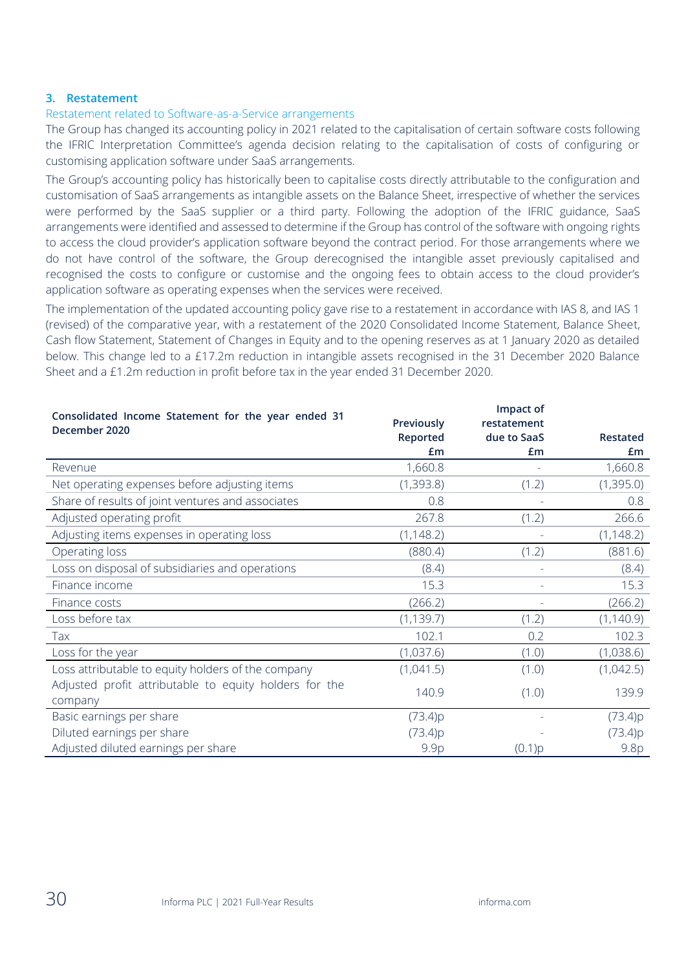#### **3. Restatement**

#### Restatement related to Software-as-a-Service arrangements

The Group has changed its accounting policy in 2021 related to the capitalisation of certain software costs following the IFRIC Interpretation Committee's agenda decision relating to the capitalisation of costs of configuring or customising application software under SaaS arrangements.

The Group's accounting policy has historically been to capitalise costs directly attributable to the configuration and customisation of SaaS arrangements as intangible assets on the Balance Sheet, irrespective of whether the services were performed by the SaaS supplier or a third party. Following the adoption of the IFRIC guidance, SaaS arrangements were identified and assessed to determine if the Group has control of the software with ongoing rights to access the cloud provider's application software beyond the contract period. For those arrangements where we do not have control of the software, the Group derecognised the intangible asset previously capitalised and recognised the costs to configure or customise and the ongoing fees to obtain access to the cloud provider's application software as operating expenses when the services were received.

The implementation of the updated accounting policy gave rise to a restatement in accordance with IAS 8, and IAS 1 (revised) of the comparative year, with a restatement of the 2020 Consolidated Income Statement, Balance Sheet, Cash flow Statement, Statement of Changes in Equity and to the opening reserves as at 1 January 2020 as detailed below. This change led to a £17.2m reduction in intangible assets recognised in the 31 December 2020 Balance Sheet and a £1.2m reduction in profit before tax in the year ended 31 December 2020.

| Consolidated Income Statement for the year ended 31    |            | Impact of   |            |
|--------------------------------------------------------|------------|-------------|------------|
| December 2020                                          | Previously | restatement |            |
|                                                        | Reported   | due to SaaS | Restated   |
|                                                        | Em         | £m          | Em         |
| Revenue                                                | 1,660.8    |             | 1,660.8    |
| Net operating expenses before adjusting items          | (1,393.8)  | (1.2)       | (1,395.0)  |
| Share of results of joint ventures and associates      | 0.8        |             | 0.8        |
| Adjusted operating profit                              | 267.8      | (1.2)       | 266.6      |
| Adjusting items expenses in operating loss             | (1, 148.2) |             | (1, 148.2) |
| Operating loss                                         | (880.4)    | (1.2)       | (881.6)    |
| Loss on disposal of subsidiaries and operations        | (8.4)      |             | (8.4)      |
| Finance income                                         | 15.3       | ÷.          | 15.3       |
| Finance costs                                          | (266.2)    |             | (266.2)    |
| Loss before tax                                        | (1, 139.7) | (1.2)       | (1, 140.9) |
| Tax                                                    | 102.1      | 0.2         | 102.3      |
| Loss for the year                                      | (1,037.6)  | (1.0)       | (1,038.6)  |
| Loss attributable to equity holders of the company     | (1,041.5)  | (1.0)       | (1,042.5)  |
| Adjusted profit attributable to equity holders for the | 140.9      | (1.0)       | 139.9      |
| company                                                |            |             |            |
| Basic earnings per share                               | (73.4)p    |             | (73.4)p    |
| Diluted earnings per share                             | (73.4)p    |             | (73.4)p    |
| Adjusted diluted earnings per share                    | 9.9p       | (0.1)p      | 9.8p       |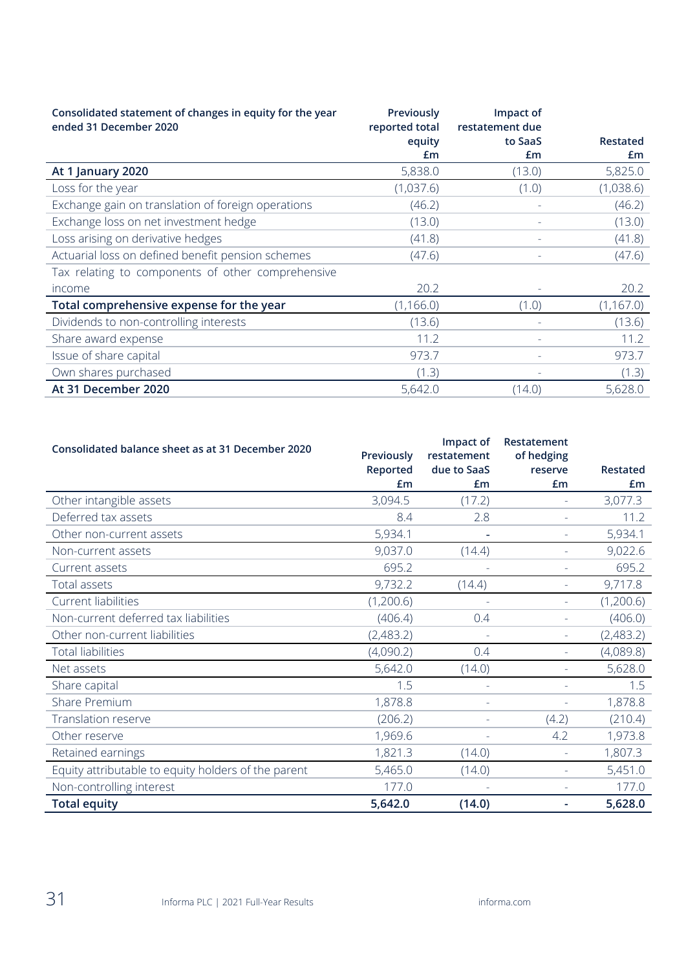| Consolidated statement of changes in equity for the year<br>ended 31 December 2020 | Previously<br>reported total | Impact of<br>restatement due |            |
|------------------------------------------------------------------------------------|------------------------------|------------------------------|------------|
|                                                                                    | equity                       | to SaaS                      | Restated   |
|                                                                                    | £m                           | £m                           | £m         |
| At 1 January 2020                                                                  | 5,838.0                      | (13.0)                       | 5,825.0    |
| Loss for the year                                                                  | (1,037.6)                    | (1.0)                        | (1,038.6)  |
| Exchange gain on translation of foreign operations                                 | (46.2)                       |                              | (46.2)     |
| Exchange loss on net investment hedge                                              | (13.0)                       |                              | (13.0)     |
| Loss arising on derivative hedges                                                  | (41.8)                       | $\overline{\phantom{a}}$     | (41.8)     |
| Actuarial loss on defined benefit pension schemes                                  | (47.6)                       |                              | (47.6)     |
| Tax relating to components of other comprehensive                                  |                              |                              |            |
| income                                                                             | 20.2                         |                              | 20.2       |
| Total comprehensive expense for the year                                           | (1, 166.0)                   | (1.0)                        | (1, 167.0) |
| Dividends to non-controlling interests                                             | (13.6)                       |                              | (13.6)     |
| Share award expense                                                                | 11.2                         |                              | 11.2       |
| Issue of share capital                                                             | 973.7                        |                              | 973.7      |
| Own shares purchased                                                               | (1.3)                        |                              | (1.3)      |
| At 31 December 2020                                                                | 5,642.0                      | (14.0)                       | 5,628.0    |

| Consolidated balance sheet as at 31 December 2020   | Previously<br>Reported | Impact of<br>restatement<br>due to SaaS | Restatement<br>of hedging<br>reserve | Restated  |
|-----------------------------------------------------|------------------------|-----------------------------------------|--------------------------------------|-----------|
|                                                     | £m                     | Em                                      | £m                                   | £m        |
| Other intangible assets                             | 3,094.5                | (17.2)                                  |                                      | 3,077.3   |
| Deferred tax assets                                 | 8.4                    | 2.8                                     | ä,                                   | 11.2      |
| Other non-current assets                            | 5,934.1                |                                         |                                      | 5,934.1   |
| Non-current assets                                  | 9,037.0                | (14.4)                                  |                                      | 9,022.6   |
| Current assets                                      | 695.2                  | $\overline{\phantom{a}}$                | u,                                   | 695.2     |
| Total assets                                        | 9,732.2                | (14.4)                                  |                                      | 9,717.8   |
| Current liabilities                                 | (1,200.6)              | $\sim$                                  |                                      | (1,200.6) |
| Non-current deferred tax liabilities                | (406.4)                | 0.4                                     | $\overline{\phantom{a}}$             | (406.0)   |
| Other non-current liabilities                       | (2,483.2)              |                                         |                                      | (2,483.2) |
| <b>Total liabilities</b>                            | (4,090.2)              | 0.4                                     |                                      | (4,089.8) |
| Net assets                                          | 5,642.0                | (14.0)                                  | ä,                                   | 5,628.0   |
| Share capital                                       | 1.5                    | $\sim$                                  |                                      | 1.5       |
| Share Premium                                       | 1,878.8                |                                         |                                      | 1,878.8   |
| Translation reserve                                 | (206.2)                | $\equiv$                                | (4.2)                                | (210.4)   |
| Other reserve                                       | 1,969.6                | $\sim$                                  | 4.2                                  | 1,973.8   |
| Retained earnings                                   | 1,821.3                | (14.0)                                  |                                      | 1,807.3   |
| Equity attributable to equity holders of the parent | 5,465.0                | (14.0)                                  | ÷.                                   | 5,451.0   |
| Non-controlling interest                            | 177.0                  |                                         | $\equiv$                             | 177.0     |
| <b>Total equity</b>                                 | 5,642.0                | (14.0)                                  |                                      | 5,628.0   |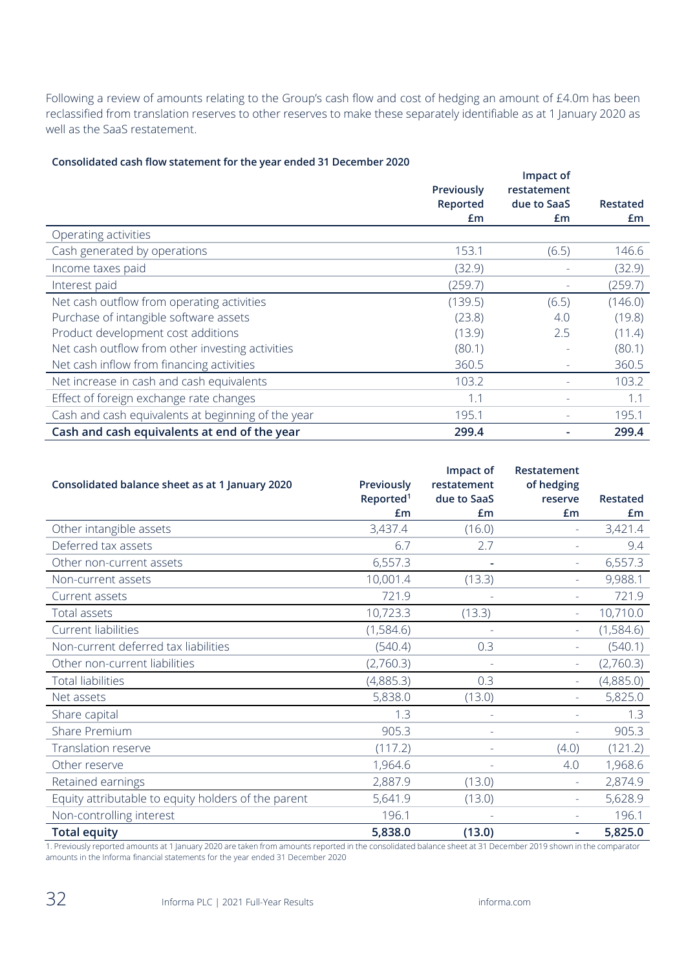Following a review of amounts relating to the Group's cash flow and cost of hedging an amount of £4.0m has been reclassified from translation reserves to other reserves to make these separately identifiable as at 1 January 2020 as well as the SaaS restatement.

#### **Consolidated cash flow statement for the year ended 31 December 2020**

|                                                    |            | Impact of   |          |
|----------------------------------------------------|------------|-------------|----------|
|                                                    | Previously | restatement |          |
|                                                    | Reported   | due to SaaS | Restated |
|                                                    | £m         | £m          | £m       |
| Operating activities                               |            |             |          |
| Cash generated by operations                       | 153.1      | (6.5)       | 146.6    |
| Income taxes paid                                  | (32.9)     |             | (32.9)   |
| Interest paid                                      | (259.7)    |             | (259.7)  |
| Net cash outflow from operating activities         | (139.5)    | (6.5)       | (146.0)  |
| Purchase of intangible software assets             | (23.8)     | 4.0         | (19.8)   |
| Product development cost additions                 | (13.9)     | 2.5         | (11.4)   |
| Net cash outflow from other investing activities   | (80.1)     |             | (80.1)   |
| Net cash inflow from financing activities          | 360.5      |             | 360.5    |
| Net increase in cash and cash equivalents          | 103.2      |             | 103.2    |
| Effect of foreign exchange rate changes            | 1.1        |             | 1.1      |
| Cash and cash equivalents at beginning of the year | 195.1      |             | 195.1    |
| Cash and cash equivalents at end of the year       | 299.4      |             | 299.4    |

| Consolidated balance sheet as at 1 January 2020     | Previously<br>Reported <sup>1</sup> | Impact of<br>restatement<br>due to SaaS | Restatement<br>of hedging<br>reserve | <b>Restated</b> |
|-----------------------------------------------------|-------------------------------------|-----------------------------------------|--------------------------------------|-----------------|
|                                                     | Em                                  | Em                                      | £m                                   | £m              |
| Other intangible assets                             | 3,437.4                             | (16.0)                                  | $\equiv$                             | 3,421.4         |
| Deferred tax assets                                 | 6.7                                 | 2.7                                     | $\bar{a}$                            | 9.4             |
| Other non-current assets                            | 6,557.3                             |                                         |                                      | 6,557.3         |
| Non-current assets                                  | 10,001.4                            | (13.3)                                  | L,                                   | 9,988.1         |
| Current assets                                      | 721.9                               |                                         | $\overline{\phantom{a}}$             | 721.9           |
| Total assets                                        | 10,723.3                            | (13.3)                                  | $\bar{a}$                            | 10,710.0        |
| Current liabilities                                 | (1,584.6)                           |                                         |                                      | (1,584.6)       |
| Non-current deferred tax liabilities                | (540.4)                             | 0.3                                     | $\overline{\phantom{a}}$             | (540.1)         |
| Other non-current liabilities                       | (2,760.3)                           |                                         |                                      | (2,760.3)       |
| <b>Total liabilities</b>                            | (4,885.3)                           | 0.3                                     |                                      | (4,885.0)       |
| Net assets                                          | 5,838.0                             | (13.0)                                  | L,                                   | 5,825.0         |
| Share capital                                       | 1.3                                 |                                         |                                      | 1.3             |
| Share Premium                                       | 905.3                               | $\overline{\phantom{a}}$                | $\equiv$                             | 905.3           |
| <b>Translation reserve</b>                          | (117.2)                             | ÷.                                      | (4.0)                                | (121.2)         |
| Other reserve                                       | 1,964.6                             |                                         | 4.0                                  | 1,968.6         |
| Retained earnings                                   | 2,887.9                             | (13.0)                                  | Ξ                                    | 2,874.9         |
| Equity attributable to equity holders of the parent | 5,641.9                             | (13.0)                                  | $\bar{a}$                            | 5,628.9         |
| Non-controlling interest                            | 196.1                               |                                         |                                      | 196.1           |
| <b>Total equity</b>                                 | 5,838.0                             | (13.0)                                  | ۰                                    | 5,825.0         |

1. Previously reported amounts at 1 January 2020 are taken from amounts reported in the consolidated balance sheet at 31 December 2019 shown in the comparator amounts in the Informa financial statements for the year ended 31 December 2020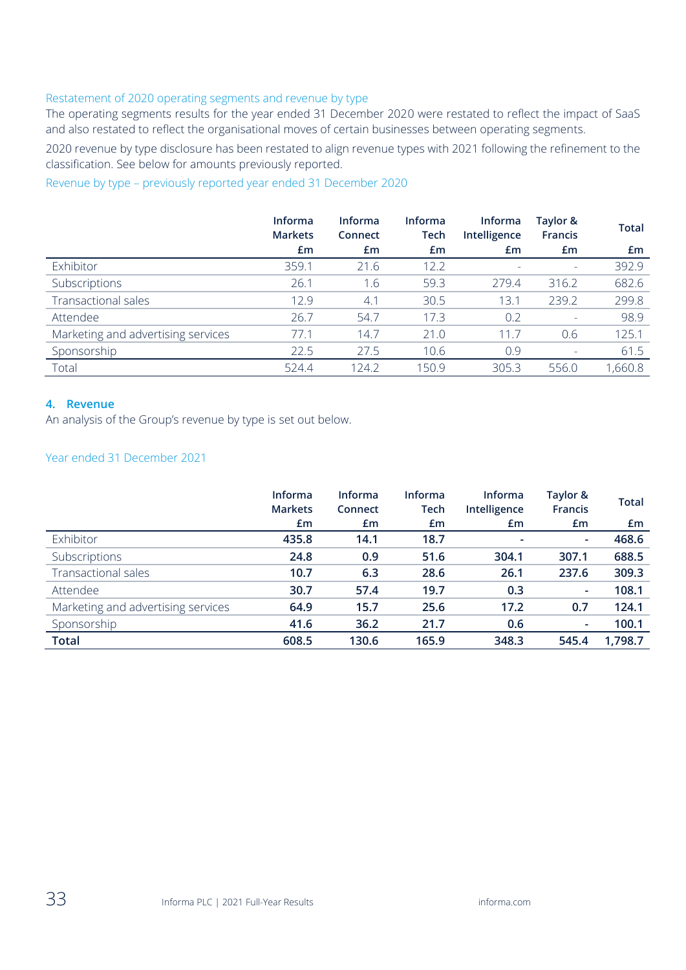#### Restatement of 2020 operating segments and revenue by type

The operating segments results for the year ended 31 December 2020 were restated to reflect the impact of SaaS and also restated to reflect the organisational moves of certain businesses between operating segments.

2020 revenue by type disclosure has been restated to align revenue types with 2021 following the refinement to the classification. See below for amounts previously reported.

Revenue by type – previously reported year ended 31 December 2020

|                                    | <b>Informa</b><br><b>Markets</b> | <b>Informa</b><br>Connect | <b>Informa</b><br>Tech | <b>Informa</b><br>Intelligence | Taylor &<br><b>Francis</b> | <b>Total</b> |
|------------------------------------|----------------------------------|---------------------------|------------------------|--------------------------------|----------------------------|--------------|
|                                    | £m                               | £m                        | £m                     | £m                             | £m                         | £m           |
| Exhibitor                          | 359.1                            | 21.6                      | 12.2                   | $\overline{\phantom{a}}$       | ۰                          | 392.9        |
| Subscriptions                      | 26.1                             | 1.6                       | 59.3                   | 279.4                          | 316.2                      | 682.6        |
| Transactional sales                | 12.9                             | 4.1                       | 30.5                   | 13.1                           | 239.2                      | 299.8        |
| Attendee                           | 26.7                             | 54.7                      | 17.3                   | 0.2                            | $\overline{\phantom{a}}$   | 98.9         |
| Marketing and advertising services | 77.1                             | 14.7                      | 21.0                   | 11.7                           | 0.6                        | 125.1        |
| Sponsorship                        | 22.5                             | 27.5                      | 10.6                   | 0.9                            | $\overline{\phantom{a}}$   | 61.5         |
| Total                              | 524.4                            | 124.2                     | 150.9                  | 305.3                          | 556.0                      | 1,660.8      |

# **4. Revenue**

An analysis of the Group's revenue by type is set out below.

#### Year ended 31 December 2021

|                                    | <b>Informa</b><br><b>Markets</b> | <b>Informa</b><br>Connect | <b>Informa</b><br>Tech | <b>Informa</b><br>Intelligence | Taylor &<br><b>Francis</b> | <b>Total</b> |
|------------------------------------|----------------------------------|---------------------------|------------------------|--------------------------------|----------------------------|--------------|
|                                    | £m                               | £m                        | £m                     | £m                             | £m                         | £m           |
| Exhibitor                          | 435.8                            | 14.1                      | 18.7                   | $\overline{\phantom{a}}$       | ٠                          | 468.6        |
| Subscriptions                      | 24.8                             | 0.9                       | 51.6                   | 304.1                          | 307.1                      | 688.5        |
| <b>Transactional sales</b>         | 10.7                             | 6.3                       | 28.6                   | 26.1                           | 237.6                      | 309.3        |
| Attendee                           | 30.7                             | 57.4                      | 19.7                   | 0.3                            | ٠                          | 108.1        |
| Marketing and advertising services | 64.9                             | 15.7                      | 25.6                   | 17.2                           | 0.7                        | 124.1        |
| Sponsorship                        | 41.6                             | 36.2                      | 21.7                   | 0.6                            | $\overline{\phantom{a}}$   | 100.1        |
| <b>Total</b>                       | 608.5                            | 130.6                     | 165.9                  | 348.3                          | 545.4                      | 1,798.7      |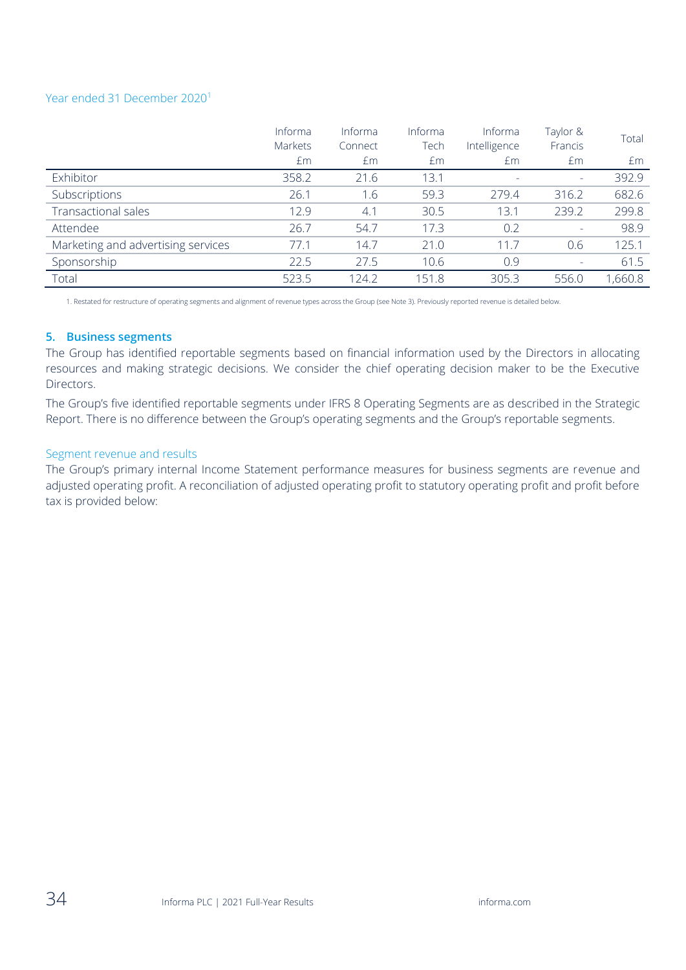#### Year ended 31 December 2020<sup>1</sup>

|                                    | Informa<br>Markets | Informa<br>Connect | Informa<br>Tech | Informa<br>Intelligence | Taylor &<br>Francis      | Total  |
|------------------------------------|--------------------|--------------------|-----------------|-------------------------|--------------------------|--------|
|                                    | £m                 | £m                 | £m              | £m                      | Em                       | £m     |
| Exhibitor                          | 358.2              | 21.6               | 13.1            |                         |                          | 392.9  |
| Subscriptions                      | 26.1               | 1.6                | 59.3            | 279.4                   | 316.2                    | 682.6  |
| <b>Transactional sales</b>         | 12.9               | 4.1                | 30.5            | 13.1                    | 239.2                    | 299.8  |
| Attendee                           | 26.7               | 54.7               | 17.3            | 0.2                     | $\overline{\phantom{a}}$ | 98.9   |
| Marketing and advertising services | 77.1               | 14.7               | 21.0            | 11.7                    | 0.6                      | 125.1  |
| Sponsorship                        | 22.5               | 27.5               | 10.6            | 0.9                     | $\equiv$                 | 61.5   |
| Total                              | 523.5              | 124.2              | 151.8           | 305.3                   | 556.0                    | ,660.8 |

1. Restated for restructure of operating segments and alignment of revenue types across the Group (see Note 3). Previously reported revenue is detailed below.

#### **5. Business segments**

The Group has identified reportable segments based on financial information used by the Directors in allocating resources and making strategic decisions. We consider the chief operating decision maker to be the Executive Directors.

The Group's five identified reportable segments under IFRS 8 Operating Segments are as described in the Strategic Report. There is no difference between the Group's operating segments and the Group's reportable segments.

#### Segment revenue and results

The Group's primary internal Income Statement performance measures for business segments are revenue and adjusted operating profit. A reconciliation of adjusted operating profit to statutory operating profit and profit before tax is provided below: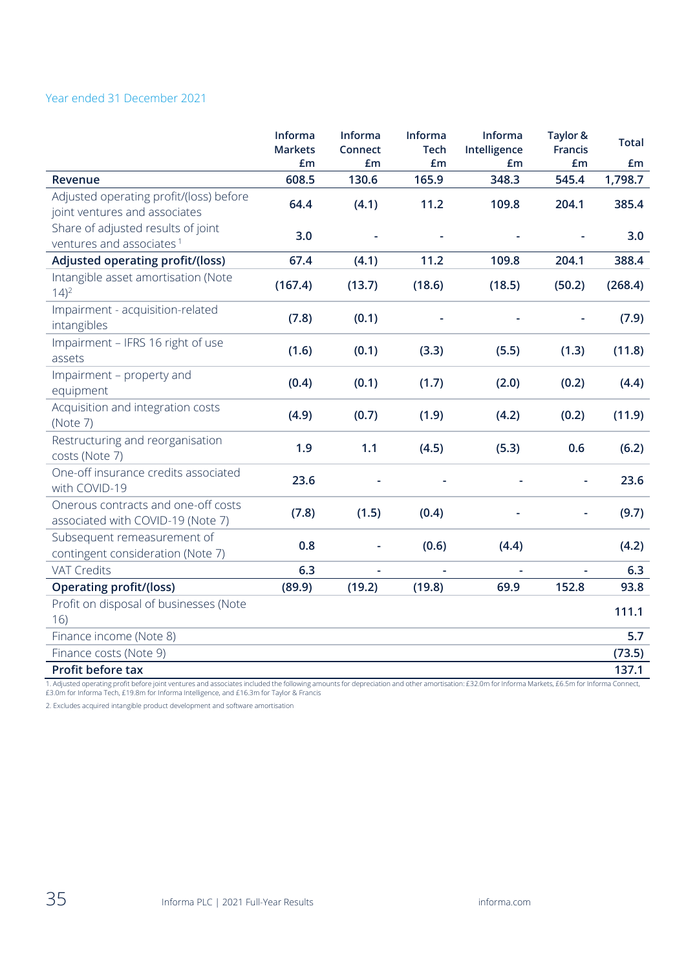# Year ended 31 December 2021

|                                                                            | Informa<br><b>Markets</b> | Informa<br>Connect | Informa<br><b>Tech</b> | Informa<br>Intelligence | Taylor &<br><b>Francis</b> | <b>Total</b> |
|----------------------------------------------------------------------------|---------------------------|--------------------|------------------------|-------------------------|----------------------------|--------------|
|                                                                            | £m                        | £m                 | £m                     | £m                      | £m                         | £m           |
| Revenue                                                                    | 608.5                     | 130.6              | 165.9                  | 348.3                   | 545.4                      | 1,798.7      |
| Adjusted operating profit/(loss) before<br>joint ventures and associates   | 64.4                      | (4.1)              | 11.2                   | 109.8                   | 204.1                      | 385.4        |
| Share of adjusted results of joint<br>ventures and associates <sup>1</sup> | 3.0                       |                    |                        |                         |                            | 3.0          |
| Adjusted operating profit/(loss)                                           | 67.4                      | (4.1)              | 11.2                   | 109.8                   | 204.1                      | 388.4        |
| Intangible asset amortisation (Note<br>$14)^2$                             | (167.4)                   | (13.7)             | (18.6)                 | (18.5)                  | (50.2)                     | (268.4)      |
| Impairment - acquisition-related<br>intangibles                            | (7.8)                     | (0.1)              |                        |                         |                            | (7.9)        |
| Impairment - IFRS 16 right of use<br>assets                                | (1.6)                     | (0.1)              | (3.3)                  | (5.5)                   | (1.3)                      | (11.8)       |
| Impairment - property and<br>equipment                                     | (0.4)                     | (0.1)              | (1.7)                  | (2.0)                   | (0.2)                      | (4.4)        |
| Acquisition and integration costs<br>(Note 7)                              | (4.9)                     | (0.7)              | (1.9)                  | (4.2)                   | (0.2)                      | (11.9)       |
| Restructuring and reorganisation<br>costs (Note 7)                         | 1.9                       | 1.1                | (4.5)                  | (5.3)                   | 0.6                        | (6.2)        |
| One-off insurance credits associated<br>with COVID-19                      | 23.6                      |                    |                        |                         |                            | 23.6         |
| Onerous contracts and one-off costs<br>associated with COVID-19 (Note 7)   | (7.8)                     | (1.5)              | (0.4)                  |                         |                            | (9.7)        |
| Subsequent remeasurement of<br>contingent consideration (Note 7)           | 0.8                       | $\blacksquare$     | (0.6)                  | (4.4)                   |                            | (4.2)        |
| <b>VAT Credits</b>                                                         | 6.3                       |                    |                        |                         |                            | 6.3          |
| <b>Operating profit/(loss)</b>                                             | (89.9)                    | (19.2)             | (19.8)                 | 69.9                    | 152.8                      | 93.8         |
| Profit on disposal of businesses (Note<br>16)                              |                           |                    |                        |                         |                            | 111.1        |
| Finance income (Note 8)                                                    |                           |                    |                        |                         |                            | 5.7          |
| Finance costs (Note 9)                                                     |                           |                    |                        |                         |                            | (73.5)       |
| Profit before tax                                                          |                           |                    |                        |                         |                            | 137.1        |

1. Adjusted operating profit before joint ventures and associates included the following amounts for depreciation and other amortisation: £32.0m for Informa Markets, £6.5m for Informa Connect, £3.0m for Informa Tech, £19.8m for Informa Intelligence, and £16.3m for Taylor & Francis

2. Excludes acquired intangible product development and software amortisation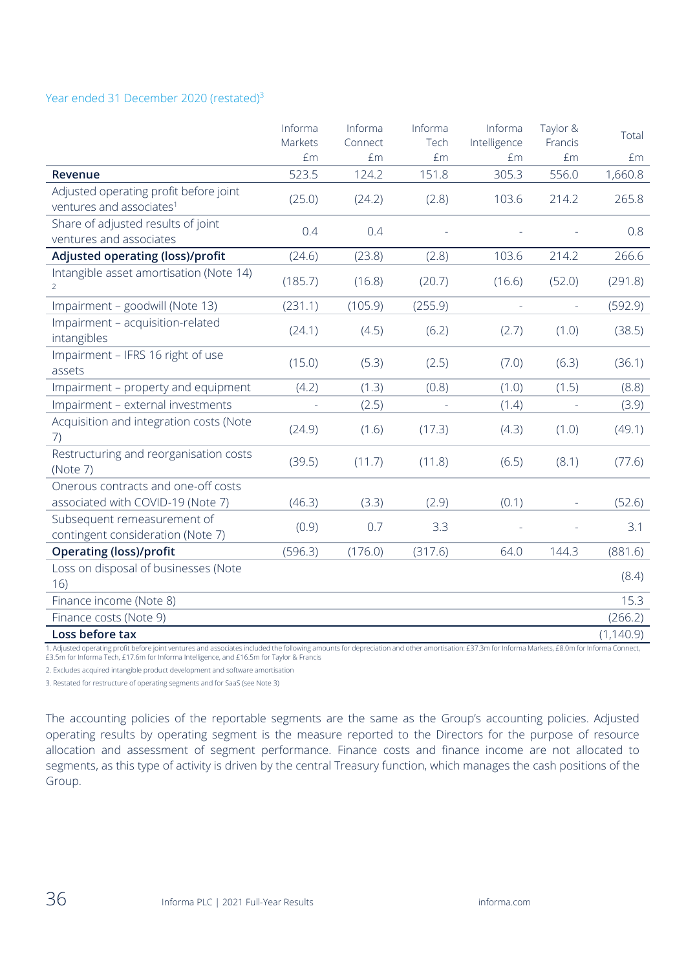#### Year ended 31 December 2020 (restated)<sup>3</sup>

|                                                                                | Informa       | Informa       | Informa    | Informa             | Taylor &       | Total      |
|--------------------------------------------------------------------------------|---------------|---------------|------------|---------------------|----------------|------------|
|                                                                                | Markets<br>£m | Connect<br>£m | Tech<br>£m | Intelligence<br>£m  | Francis<br>£m  | £m         |
| <b>Revenue</b>                                                                 | 523.5         | 124.2         | 151.8      | 305.3               | 556.0          | 1,660.8    |
| Adjusted operating profit before joint<br>ventures and associates <sup>1</sup> | (25.0)        | (24.2)        | (2.8)      | 103.6               | 214.2          | 265.8      |
| Share of adjusted results of joint<br>ventures and associates                  | 0.4           | 0.4           |            |                     |                | 0.8        |
| Adjusted operating (loss)/profit                                               | (24.6)        | (23.8)        | (2.8)      | 103.6               | 214.2          | 266.6      |
| Intangible asset amortisation (Note 14)<br>$\mathcal{P}$                       | (185.7)       | (16.8)        | (20.7)     | (16.6)              | (52.0)         | (291.8)    |
| Impairment - goodwill (Note 13)                                                | (231.1)       | (105.9)       | (255.9)    | $\bar{\phantom{a}}$ | $\blacksquare$ | (592.9)    |
| Impairment - acquisition-related<br>intangibles                                | (24.1)        | (4.5)         | (6.2)      | (2.7)               | (1.0)          | (38.5)     |
| Impairment - IFRS 16 right of use<br>assets                                    | (15.0)        | (5.3)         | (2.5)      | (7.0)               | (6.3)          | (36.1)     |
| Impairment - property and equipment                                            | (4.2)         | (1.3)         | (0.8)      | (1.0)               | (1.5)          | (8.8)      |
| Impairment - external investments                                              |               | (2.5)         |            | (1.4)               |                | (3.9)      |
| Acquisition and integration costs (Note<br>7)                                  | (24.9)        | (1.6)         | (17.3)     | (4.3)               | (1.0)          | (49.1)     |
| Restructuring and reorganisation costs<br>(Note 7)                             | (39.5)        | (11.7)        | (11.8)     | (6.5)               | (8.1)          | (77.6)     |
| Onerous contracts and one-off costs<br>associated with COVID-19 (Note 7)       | (46.3)        | (3.3)         | (2.9)      | (0.1)               |                | (52.6)     |
| Subsequent remeasurement of<br>contingent consideration (Note 7)               | (0.9)         | 0.7           | 3.3        |                     |                | 3.1        |
| <b>Operating (loss)/profit</b>                                                 | (596.3)       | (176.0)       | (317.6)    | 64.0                | 144.3          | (881.6)    |
| Loss on disposal of businesses (Note<br>16)                                    |               |               |            |                     |                | (8.4)      |
| Finance income (Note 8)                                                        |               |               |            |                     |                | 15.3       |
| Finance costs (Note 9)                                                         |               |               |            |                     |                | (266.2)    |
| Loss before tax                                                                |               |               |            |                     |                | (1, 140.9) |

1. Adjusted operating profit before joint ventures and associates included the following amounts for depreciation and other amortisation: £37.3m for Informa Markets, £8.0m for Informa Connect, £3.5m for Informa Tech, £17.6m for Informa Intelligence, and £16.5m for Taylor & Francis

2. Excludes acquired intangible product development and software amortisation

3. Restated for restructure of operating segments and for SaaS (see Note 3)

The accounting policies of the reportable segments are the same as the Group's accounting policies. Adjusted operating results by operating segment is the measure reported to the Directors for the purpose of resource allocation and assessment of segment performance. Finance costs and finance income are not allocated to segments, as this type of activity is driven by the central Treasury function, which manages the cash positions of the Group.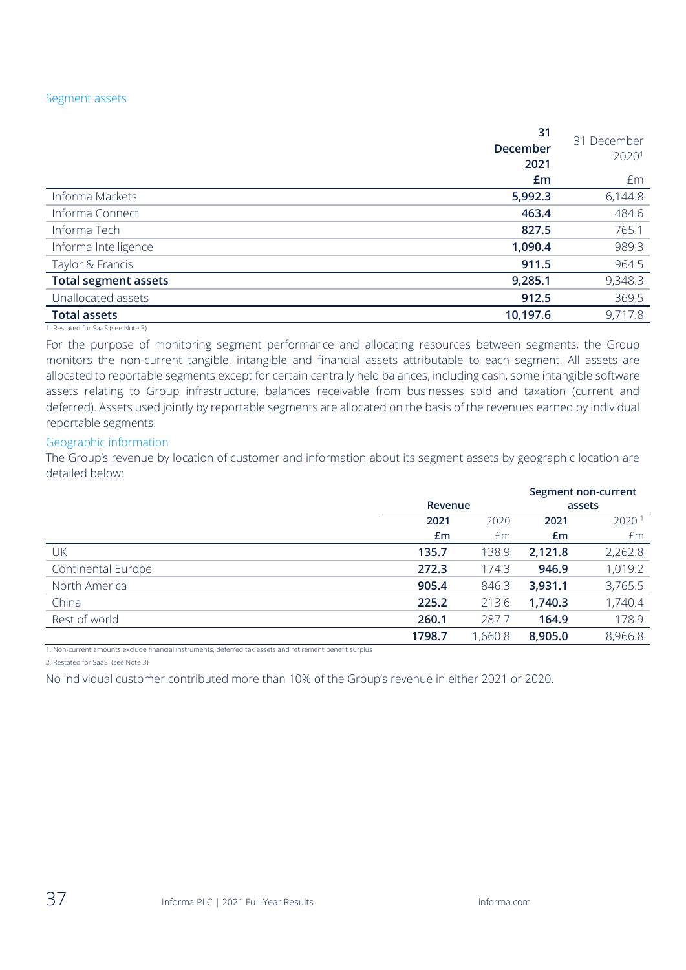#### Segment assets

|                             | 31<br>December<br>2021 | 31 December<br>2020 <sup>1</sup> |
|-----------------------------|------------------------|----------------------------------|
|                             | £m                     | £m                               |
| Informa Markets             | 5,992.3                | 6,144.8                          |
| Informa Connect             | 463.4                  | 484.6                            |
| Informa Tech                | 827.5                  | 765.1                            |
| Informa Intelligence        | 1,090.4                | 989.3                            |
| Taylor & Francis            | 911.5                  | 964.5                            |
| <b>Total segment assets</b> | 9,285.1                | 9,348.3                          |
| Unallocated assets          | 912.5                  | 369.5                            |
| <b>Total assets</b>         | 10,197.6               | 9,717.8                          |

1. Restated for SaaS (see Note 3)

For the purpose of monitoring segment performance and allocating resources between segments, the Group monitors the non-current tangible, intangible and financial assets attributable to each segment. All assets are allocated to reportable segments except for certain centrally held balances, including cash, some intangible software assets relating to Group infrastructure, balances receivable from businesses sold and taxation (current and deferred). Assets used jointly by reportable segments are allocated on the basis of the revenues earned by individual reportable segments.

#### Geographic information

The Group's revenue by location of customer and information about its segment assets by geographic location are detailed below:

|                           |         |         |         | Segment non-current |
|---------------------------|---------|---------|---------|---------------------|
|                           | Revenue |         |         | assets              |
|                           | 2021    | 2020    | 2021    | 2020 <sup>1</sup>   |
|                           | £m      | £m      | £m      | £m                  |
| UK                        | 135.7   | 138.9   | 2,121.8 | 2,262.8             |
| <b>Continental Europe</b> | 272.3   | 174.3   | 946.9   | 1,019.2             |
| North America             | 905.4   | 846.3   | 3,931.1 | 3,765.5             |
| China                     | 225.2   | 213.6   | 1,740.3 | 1,740.4             |
| Rest of world             | 260.1   | 287.7   | 164.9   | 178.9               |
|                           | 1798.7  | 1,660.8 | 8,905.0 | 8,966.8             |

1. Non-current amounts exclude financial instruments, deferred tax assets and retirement benefit surplus

2. Restated for SaaS (see Note 3)

No individual customer contributed more than 10% of the Group's revenue in either 2021 or 2020.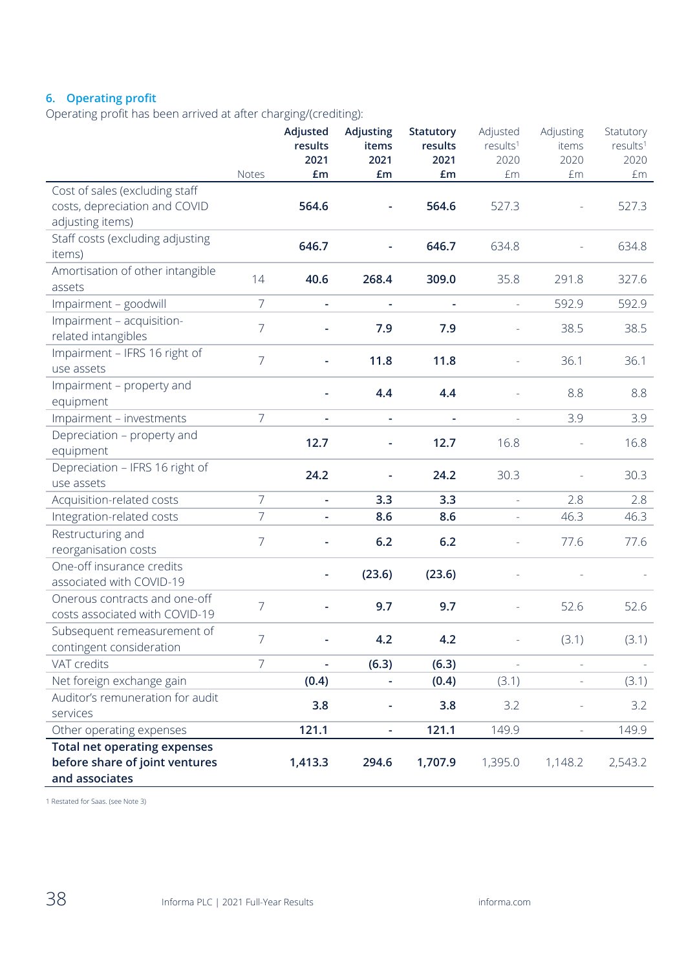## **6. Operating profit**

Operating profit has been arrived at after charging/(crediting):

|                                                                                         | Notes          | Adjusted<br>results<br>2021<br>£m | Adjusting<br>items<br>2021<br>£m | Statutory<br>results<br>2021<br>£m | Adjusted<br>results <sup>1</sup><br>2020<br>£m | Adjusting<br>items<br>2020<br>£m | Statutory<br>results <sup>1</sup><br>2020<br>£m |
|-----------------------------------------------------------------------------------------|----------------|-----------------------------------|----------------------------------|------------------------------------|------------------------------------------------|----------------------------------|-------------------------------------------------|
| Cost of sales (excluding staff<br>costs, depreciation and COVID<br>adjusting items)     |                | 564.6                             | $\frac{1}{2}$                    | 564.6                              | 527.3                                          |                                  | 527.3                                           |
| Staff costs (excluding adjusting<br>items)                                              |                | 646.7                             |                                  | 646.7                              | 634.8                                          |                                  | 634.8                                           |
| Amortisation of other intangible<br>assets                                              | 14             | 40.6                              | 268.4                            | 309.0                              | 35.8                                           | 291.8                            | 327.6                                           |
| Impairment - goodwill                                                                   | 7              | ÷                                 | $\overline{\phantom{a}}$         | ÷                                  | $\omega$                                       | 592.9                            | 592.9                                           |
| Impairment - acquisition-<br>related intangibles                                        | $\overline{7}$ |                                   | 7.9                              | 7.9                                |                                                | 38.5                             | 38.5                                            |
| Impairment - IFRS 16 right of<br>use assets                                             | $\overline{7}$ | L,                                | 11.8                             | 11.8                               |                                                | 36.1                             | 36.1                                            |
| Impairment - property and<br>equipment                                                  |                |                                   | 4.4                              | 4.4                                |                                                | 8.8                              | 8.8                                             |
| Impairment - investments                                                                | $\overline{7}$ | ÷                                 | $\overline{\phantom{a}}$         | $\overline{\phantom{a}}$           |                                                | 3.9                              | 3.9                                             |
| Depreciation - property and<br>equipment                                                |                | 12.7                              | $\overline{\phantom{a}}$         | 12.7                               | 16.8                                           |                                  | 16.8                                            |
| Depreciation - IFRS 16 right of<br>use assets                                           |                | 24.2                              |                                  | 24.2                               | 30.3                                           |                                  | 30.3                                            |
| Acquisition-related costs                                                               | $\overline{7}$ | L,                                | 3.3                              | 3.3                                | $\equiv$                                       | 2.8                              | 2.8                                             |
| Integration-related costs                                                               | $\overline{7}$ | $\overline{\phantom{0}}$          | 8.6                              | 8.6                                | $\overline{\phantom{a}}$                       | 46.3                             | 46.3                                            |
| Restructuring and<br>reorganisation costs                                               | $\overline{7}$ |                                   | 6.2                              | 6.2                                |                                                | 77.6                             | 77.6                                            |
| One-off insurance credits<br>associated with COVID-19                                   |                |                                   | (23.6)                           | (23.6)                             |                                                |                                  |                                                 |
| Onerous contracts and one-off<br>costs associated with COVID-19                         | $\overline{7}$ |                                   | 9.7                              | 9.7                                |                                                | 52.6                             | 52.6                                            |
| Subsequent remeasurement of<br>contingent consideration                                 | $\overline{7}$ |                                   | 4.2                              | 4.2                                |                                                | (3.1)                            | (3.1)                                           |
| VAT credits                                                                             | $\overline{7}$ | ÷,                                | (6.3)                            | (6.3)                              | $\equiv$                                       | $\equiv$                         |                                                 |
| Net foreign exchange gain                                                               |                | (0.4)                             |                                  | (0.4)                              | (3.1)                                          |                                  | (3.1)                                           |
| Auditor's remuneration for audit<br>services                                            |                | 3.8                               | $\overline{\phantom{0}}$         | 3.8                                | 3.2                                            |                                  | 3.2                                             |
| Other operating expenses                                                                |                | 121.1                             | $\overline{\phantom{a}}$         | 121.1                              | 149.9                                          | ÷,                               | 149.9                                           |
| <b>Total net operating expenses</b><br>before share of joint ventures<br>and associates |                | 1,413.3                           | 294.6                            | 1,707.9                            | 1,395.0                                        | 1,148.2                          | 2,543.2                                         |

1 Restated for Saas. (see Note 3)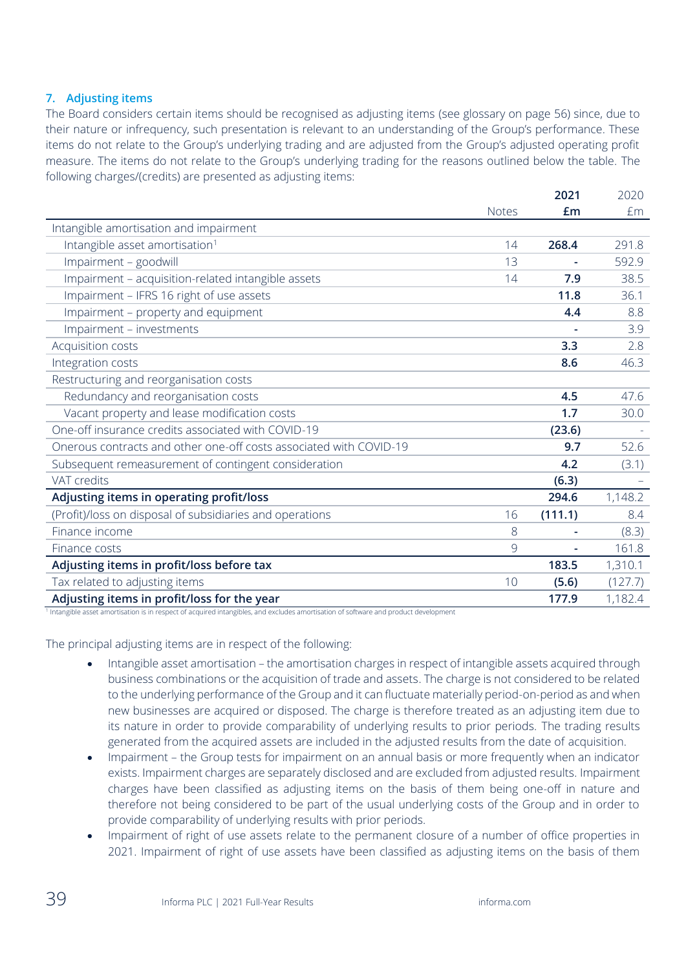## **7. Adjusting items**

The Board considers certain items should be recognised as adjusting items (see glossary on page 56) since, due to their nature or infrequency, such presentation is relevant to an understanding of the Group's performance. These items do not relate to the Group's underlying trading and are adjusted from the Group's adjusted operating profit measure. The items do not relate to the Group's underlying trading for the reasons outlined below the table. The following charges/(credits) are presented as adjusting items:

|                                                                    |              | 2021    | 2020    |
|--------------------------------------------------------------------|--------------|---------|---------|
|                                                                    | <b>Notes</b> | £m      | £m      |
| Intangible amortisation and impairment                             |              |         |         |
| Intangible asset amortisation <sup>1</sup>                         | 14           | 268.4   | 291.8   |
| Impairment - goodwill                                              | 13           |         | 592.9   |
| Impairment - acquisition-related intangible assets                 | 14           | 7.9     | 38.5    |
| Impairment - IFRS 16 right of use assets                           |              | 11.8    | 36.1    |
| Impairment - property and equipment                                |              | 4.4     | 8.8     |
| Impairment - investments                                           |              |         | 3.9     |
| Acquisition costs                                                  |              | 3.3     | 2.8     |
| Integration costs                                                  |              | 8.6     | 46.3    |
| Restructuring and reorganisation costs                             |              |         |         |
| Redundancy and reorganisation costs                                |              | 4.5     | 47.6    |
| Vacant property and lease modification costs                       |              | 1.7     | 30.0    |
| One-off insurance credits associated with COVID-19                 |              | (23.6)  |         |
| Onerous contracts and other one-off costs associated with COVID-19 |              | 9.7     | 52.6    |
| Subsequent remeasurement of contingent consideration               |              | 4.2     | (3.1)   |
| VAT credits                                                        |              | (6.3)   |         |
| Adjusting items in operating profit/loss                           |              | 294.6   | 1,148.2 |
| (Profit)/loss on disposal of subsidiaries and operations           | 16           | (111.1) | 8.4     |
| Finance income                                                     | 8            |         | (8.3)   |
| Finance costs                                                      | 9            |         | 161.8   |
| Adjusting items in profit/loss before tax                          |              | 183.5   | 1,310.1 |
| Tax related to adjusting items                                     | 10           | (5.6)   | (127.7) |
| Adjusting items in profit/loss for the year                        |              | 177.9   | 1,182.4 |

<sup>1</sup> Intangible asset amortisation is in respect of acquired intangibles, and excludes amortisation of software and product development

The principal adjusting items are in respect of the following:

- Intangible asset amortisation the amortisation charges in respect of intangible assets acquired through business combinations or the acquisition of trade and assets. The charge is not considered to be related to the underlying performance of the Group and it can fluctuate materially period-on-period as and when new businesses are acquired or disposed. The charge is therefore treated as an adjusting item due to its nature in order to provide comparability of underlying results to prior periods. The trading results generated from the acquired assets are included in the adjusted results from the date of acquisition.
- Impairment the Group tests for impairment on an annual basis or more frequently when an indicator exists. Impairment charges are separately disclosed and are excluded from adjusted results. Impairment charges have been classified as adjusting items on the basis of them being one-off in nature and therefore not being considered to be part of the usual underlying costs of the Group and in order to provide comparability of underlying results with prior periods.
- Impairment of right of use assets relate to the permanent closure of a number of office properties in 2021. Impairment of right of use assets have been classified as adjusting items on the basis of them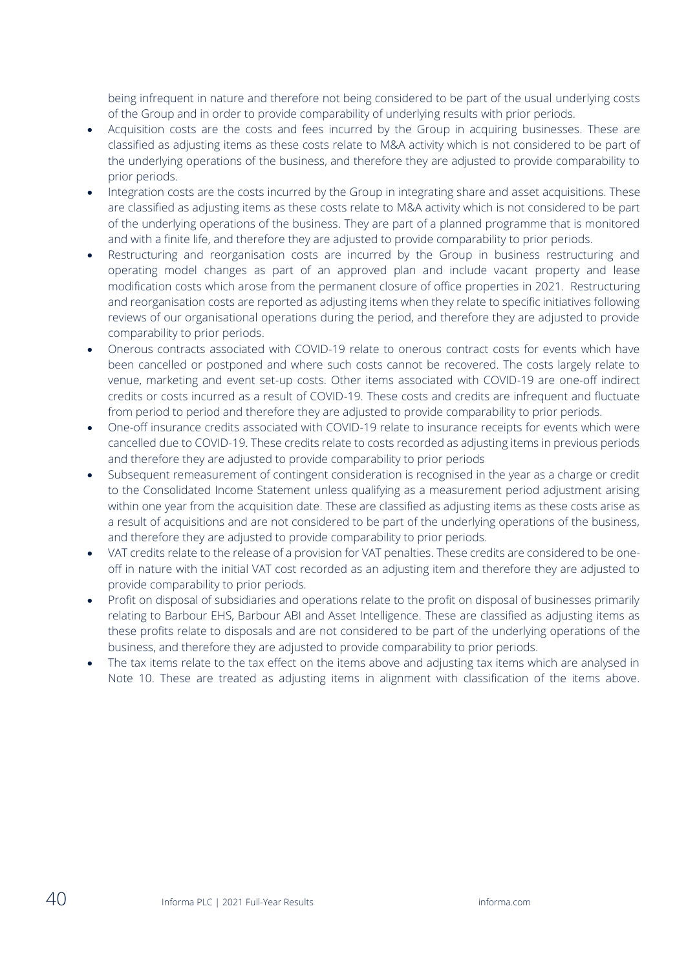being infrequent in nature and therefore not being considered to be part of the usual underlying costs of the Group and in order to provide comparability of underlying results with prior periods.

- Acquisition costs are the costs and fees incurred by the Group in acquiring businesses. These are classified as adjusting items as these costs relate to M&A activity which is not considered to be part of the underlying operations of the business, and therefore they are adjusted to provide comparability to prior periods.
- Integration costs are the costs incurred by the Group in integrating share and asset acquisitions. These are classified as adjusting items as these costs relate to M&A activity which is not considered to be part of the underlying operations of the business. They are part of a planned programme that is monitored and with a finite life, and therefore they are adjusted to provide comparability to prior periods.
- Restructuring and reorganisation costs are incurred by the Group in business restructuring and operating model changes as part of an approved plan and include vacant property and lease modification costs which arose from the permanent closure of office properties in 2021. Restructuring and reorganisation costs are reported as adjusting items when they relate to specific initiatives following reviews of our organisational operations during the period, and therefore they are adjusted to provide comparability to prior periods.
- Onerous contracts associated with COVID-19 relate to onerous contract costs for events which have been cancelled or postponed and where such costs cannot be recovered. The costs largely relate to venue, marketing and event set-up costs. Other items associated with COVID-19 are one-off indirect credits or costs incurred as a result of COVID-19. These costs and credits are infrequent and fluctuate from period to period and therefore they are adjusted to provide comparability to prior periods.
- One-off insurance credits associated with COVID-19 relate to insurance receipts for events which were cancelled due to COVID-19. These credits relate to costs recorded as adjusting items in previous periods and therefore they are adjusted to provide comparability to prior periods
- Subsequent remeasurement of contingent consideration is recognised in the year as a charge or credit to the Consolidated Income Statement unless qualifying as a measurement period adjustment arising within one year from the acquisition date. These are classified as adjusting items as these costs arise as a result of acquisitions and are not considered to be part of the underlying operations of the business, and therefore they are adjusted to provide comparability to prior periods.
- VAT credits relate to the release of a provision for VAT penalties. These credits are considered to be oneoff in nature with the initial VAT cost recorded as an adjusting item and therefore they are adjusted to provide comparability to prior periods.
- Profit on disposal of subsidiaries and operations relate to the profit on disposal of businesses primarily relating to Barbour EHS, Barbour ABI and Asset Intelligence. These are classified as adjusting items as these profits relate to disposals and are not considered to be part of the underlying operations of the business, and therefore they are adjusted to provide comparability to prior periods.
- The tax items relate to the tax effect on the items above and adjusting tax items which are analysed in Note 10. These are treated as adjusting items in alignment with classification of the items above.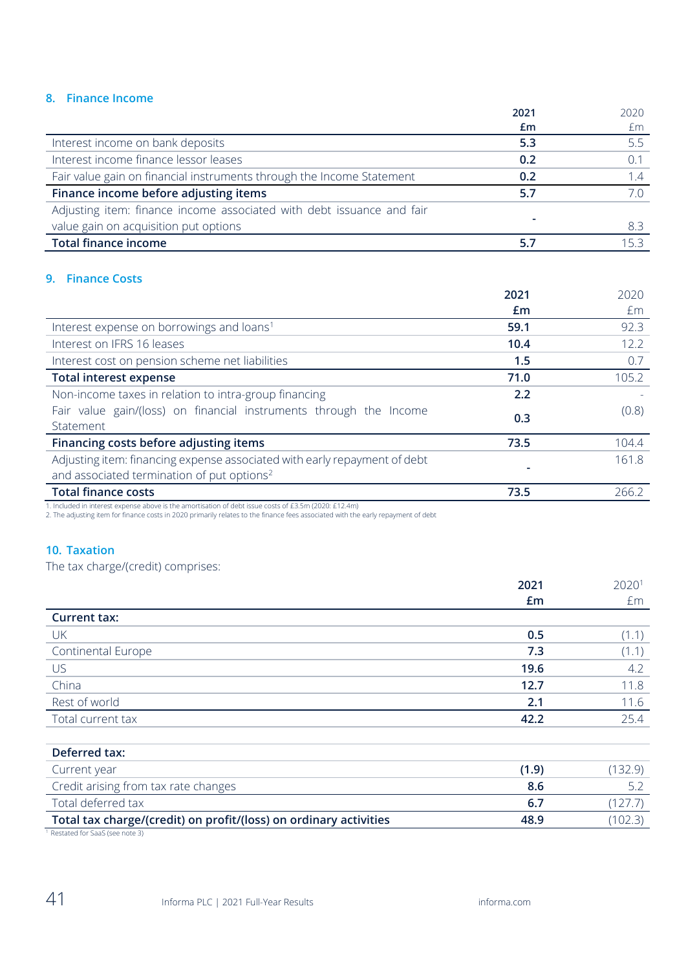# **8. Finance Income**

|                                                                       | 2021                     | 2020 |
|-----------------------------------------------------------------------|--------------------------|------|
|                                                                       | £m                       | £m   |
| Interest income on bank deposits                                      | 5.3                      | 5.5  |
| Interest income finance lessor leases                                 | 0.2                      |      |
| Fair value gain on financial instruments through the Income Statement | 0.2                      | 1.4  |
| Finance income before adjusting items                                 | 5.7                      |      |
| Adjusting item: finance income associated with debt issuance and fair |                          |      |
| value gain on acquisition put options                                 | $\overline{\phantom{a}}$ | -8.3 |
| <b>Total finance income</b>                                           |                          | 153  |

## **9. Finance Costs**

|                                                                           | 2021 | 2020  |
|---------------------------------------------------------------------------|------|-------|
|                                                                           | £m   | £m    |
| Interest expense on borrowings and loans <sup>1</sup>                     | 59.1 | 92.3  |
| Interest on IFRS 16 leases                                                | 10.4 | 12.2  |
| Interest cost on pension scheme net liabilities                           | 1.5  | 0.7   |
| <b>Total interest expense</b>                                             | 71.0 | 105.2 |
| Non-income taxes in relation to intra-group financing                     | 2.2  |       |
| Fair value gain/(loss) on financial instruments through the Income        | 0.3  | (0.8) |
| Statement                                                                 |      |       |
| Financing costs before adjusting items                                    | 73.5 | 104.4 |
| Adjusting item: financing expense associated with early repayment of debt |      | 161.8 |
| and associated termination of put options <sup>2</sup>                    |      |       |
| <b>Total finance costs</b>                                                | 73.5 | 266.2 |

1. Included in interest expense above is the amortisation of debt issue costs of £3.5m (2020: £12.4m)

2. The adjusting item for finance costs in 2020 primarily relates to the finance fees associated with the early repayment of debt

## **10. Taxation**

The tax charge/(credit) comprises:

|                           | 2021<br>£m | 20201<br>£m |
|---------------------------|------------|-------------|
| <b>Current tax:</b>       |            |             |
| UK                        | 0.5        | (1.1)       |
| <b>Continental Europe</b> | 7.3        | (1.1)       |
| US                        | 19.6       | 4.2         |
| China                     | 12.7       | 11.8        |
| Rest of world             | 2.1        | 11.6        |
| Total current tax         | 42.2       | 25.4        |
|                           |            |             |

| Deferred tax:                                                     |       |        |
|-------------------------------------------------------------------|-------|--------|
| Current year                                                      | (1.9) | 132.9) |
| Credit arising from tax rate changes                              | 8.6   | Γ.     |
| Total deferred tax                                                | 6.7   | 121.7  |
| Total tax charge/(credit) on profit/(loss) on ordinary activities | 48.9  | 102.3  |
| Restated for SaaS (see note 3)                                    |       |        |

Restated for SaaS (see note 3)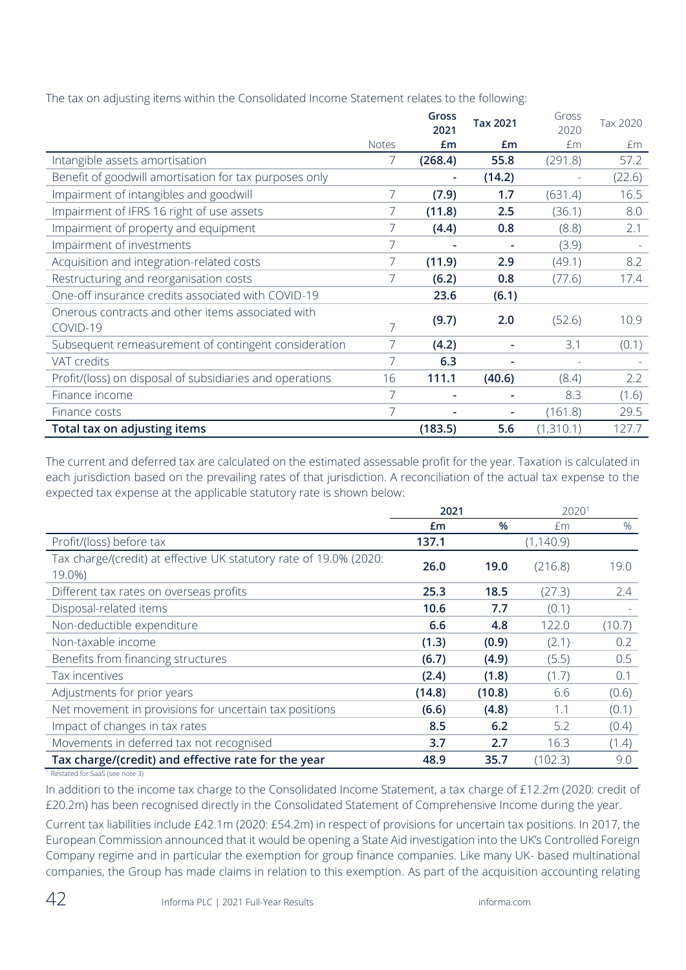|                                                               |              | Gross<br>2021 | Tax 2021 | Gross<br>2020 | Tax 2020 |
|---------------------------------------------------------------|--------------|---------------|----------|---------------|----------|
|                                                               | <b>Notes</b> | Em            | £m       | £m            | £m       |
| Intangible assets amortisation                                |              | (268.4)       | 55.8     | (291.8)       | 57.2     |
| Benefit of goodwill amortisation for tax purposes only        |              |               | (14.2)   |               | (22.6)   |
| Impairment of intangibles and goodwill                        | 7            | (7.9)         | 1.7      | (631.4)       | 16.5     |
| Impairment of IFRS 16 right of use assets                     | 7            | (11.8)        | 2.5      | (36.1)        | 8.0      |
| Impairment of property and equipment                          |              | (4.4)         | 0.8      | (8.8)         | 2.1      |
| Impairment of investments                                     | 7            |               |          | (3.9)         |          |
| Acquisition and integration-related costs                     | 7            | (11.9)        | 2.9      | (49.1)        | 8.2      |
| Restructuring and reorganisation costs                        |              | (6.2)         | 0.8      | (77.6)        | 17.4     |
| One-off insurance credits associated with COVID-19            |              | 23.6          | (6.1)    |               |          |
| Onerous contracts and other items associated with<br>COVID-19 |              | (9.7)         | 2.0      | (52.6)        | 10.9     |
| Subsequent remeasurement of contingent consideration          |              | (4.2)         |          | 3.1           | (0.1)    |
| VAT credits                                                   | 7            | 6.3           |          |               |          |
| Profit/(loss) on disposal of subsidiaries and operations      | 16           | 111.1         | (40.6)   | (8.4)         | 2.2      |
| Finance income                                                | 7            |               |          | 8.3           | (1.6)    |
| Finance costs                                                 | 7            |               |          | (161.8)       | 29.5     |
| Total tax on adjusting items                                  |              | (183.5)       | 5.6      | (1,310.1)     | 127.7    |

The tax on adjusting items within the Consolidated Income Statement relates to the following:

The current and deferred tax are calculated on the estimated assessable profit for the year. Taxation is calculated in each jurisdiction based on the prevailing rates of that jurisdiction. A reconciliation of the actual tax expense to the expected tax expense at the applicable statutory rate is shown below:

|                                                                              | 2021   |        | 20201      |        |
|------------------------------------------------------------------------------|--------|--------|------------|--------|
|                                                                              | Em     | $\%$   | £m         | %      |
| Profit/(loss) before tax                                                     | 137.1  |        | (1, 140.9) |        |
| Tax charge/(credit) at effective UK statutory rate of 19.0% (2020:<br>19.0%) | 26.0   | 19.0   | (216.8)    | 19.0   |
| Different tax rates on overseas profits                                      | 25.3   | 18.5   | (27.3)     | 2.4    |
| Disposal-related items                                                       | 10.6   | 7.7    | (0.1)      |        |
| Non-deductible expenditure                                                   | 6.6    | 4.8    | 122.0      | (10.7) |
| Non-taxable income                                                           | (1.3)  | (0.9)  | (2.1)      | 0.2    |
| Benefits from financing structures                                           | (6.7)  | (4.9)  | (5.5)      | 0.5    |
| Tax incentives                                                               | (2.4)  | (1.8)  | (1.7)      | 0.1    |
| Adjustments for prior years                                                  | (14.8) | (10.8) | 6.6        | (0.6)  |
| Net movement in provisions for uncertain tax positions                       | (6.6)  | (4.8)  | 1.1        | (0.1)  |
| Impact of changes in tax rates                                               | 8.5    | 6.2    | 5.2        | (0.4)  |
| Movements in deferred tax not recognised                                     | 3.7    | 2.7    | 16.3       | (1.4)  |
| Tax charge/(credit) and effective rate for the year                          | 48.9   | 35.7   | (102.3)    | 9.0    |

<sup>1</sup> Restated for SaaS (see note 3)

In addition to the income tax charge to the Consolidated Income Statement, a tax charge of £12.2m (2020: credit of £20.2m) has been recognised directly in the Consolidated Statement of Comprehensive Income during the year.

Current tax liabilities include £42.1m (2020: £54.2m) in respect of provisions for uncertain tax positions. In 2017, the European Commission announced that it would be opening a State Aid investigation into the UK's Controlled Foreign Company regime and in particular the exemption for group finance companies. Like many UK- based multinational companies, the Group has made claims in relation to this exemption. As part of the acquisition accounting relating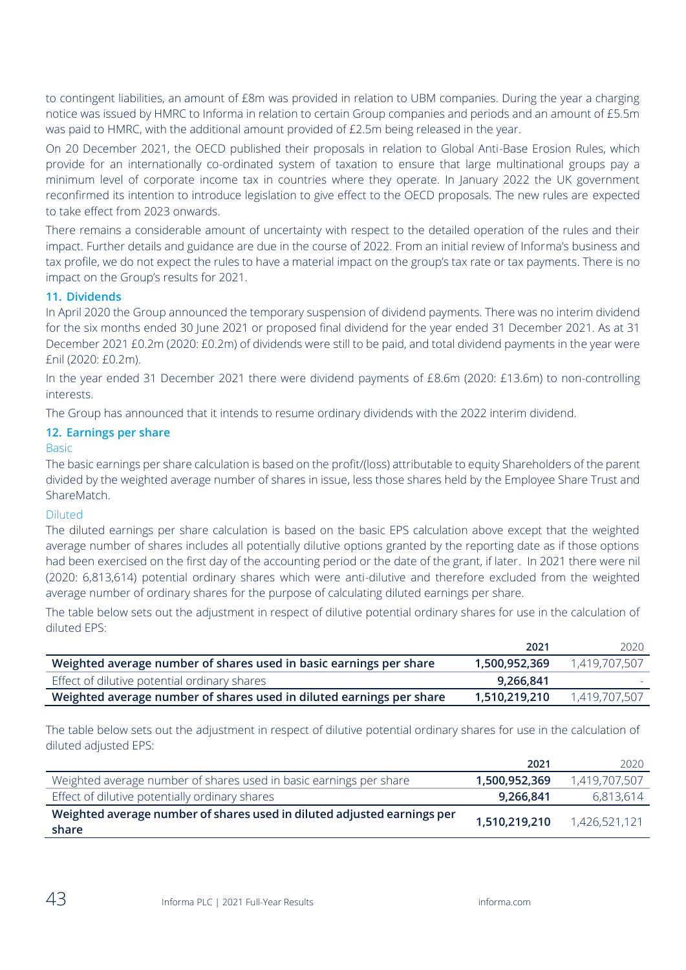to contingent liabilities, an amount of £8m was provided in relation to UBM companies. During the year a charging notice was issued by HMRC to Informa in relation to certain Group companies and periods and an amount of £5.5m was paid to HMRC, with the additional amount provided of £2.5m being released in the year.

On 20 December 2021, the OECD published their proposals in relation to Global Anti-Base Erosion Rules, which provide for an internationally co-ordinated system of taxation to ensure that large multinational groups pay a minimum level of corporate income tax in countries where they operate. In January 2022 the UK government reconfirmed its intention to introduce legislation to give effect to the OECD proposals. The new rules are expected to take effect from 2023 onwards.

There remains a considerable amount of uncertainty with respect to the detailed operation of the rules and their impact. Further details and guidance are due in the course of 2022. From an initial review of Informa's business and tax profile, we do not expect the rules to have a material impact on the group's tax rate or tax payments. There is no impact on the Group's results for 2021.

## **11. Dividends**

In April 2020 the Group announced the temporary suspension of dividend payments. There was no interim dividend for the six months ended 30 June 2021 or proposed final dividend for the year ended 31 December 2021. As at 31 December 2021 £0.2m (2020: £0.2m) of dividends were still to be paid, and total dividend payments in the year were £nil (2020: £0.2m).

In the year ended 31 December 2021 there were dividend payments of £8.6m (2020: £13.6m) to non-controlling interests.

The Group has announced that it intends to resume ordinary dividends with the 2022 interim dividend.

#### **12. Earnings per share**

#### Basic

The basic earnings per share calculation is based on the profit/(loss) attributable to equity Shareholders of the parent divided by the weighted average number of shares in issue, less those shares held by the Employee Share Trust and ShareMatch.

#### Diluted

The diluted earnings per share calculation is based on the basic EPS calculation above except that the weighted average number of shares includes all potentially dilutive options granted by the reporting date as if those options had been exercised on the first day of the accounting period or the date of the grant, if later. In 2021 there were nil (2020: 6,813,614) potential ordinary shares which were anti-dilutive and therefore excluded from the weighted average number of ordinary shares for the purpose of calculating diluted earnings per share.

The table below sets out the adjustment in respect of dilutive potential ordinary shares for use in the calculation of diluted EPS:

|                                                                      | 2021          | 2020          |
|----------------------------------------------------------------------|---------------|---------------|
| Weighted average number of shares used in basic earnings per share   | 1,500,952,369 | 1,419,707,507 |
| Effect of dilutive potential ordinary shares                         | 9.266.841     |               |
| Weighted average number of shares used in diluted earnings per share | 1,510,219,210 | 1,419,707,507 |

The table below sets out the adjustment in respect of dilutive potential ordinary shares for use in the calculation of diluted adjusted EPS:

|                                                                                  | 2021          | 2020          |
|----------------------------------------------------------------------------------|---------------|---------------|
| Weighted average number of shares used in basic earnings per share               | 1,500,952,369 | 1,419,707,507 |
| Effect of dilutive potentially ordinary shares                                   | 9,266,841     | 6,813,614     |
| Weighted average number of shares used in diluted adjusted earnings per<br>share | 1,510,219,210 | 1,426,521,121 |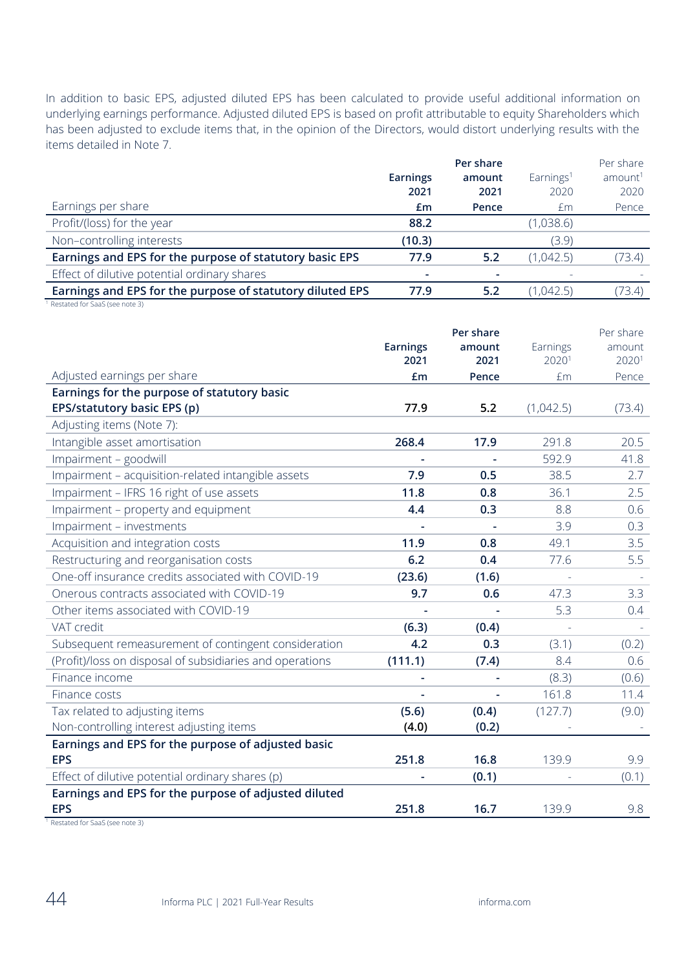In addition to basic EPS, adjusted diluted EPS has been calculated to provide useful additional information on underlying earnings performance. Adjusted diluted EPS is based on profit attributable to equity Shareholders which has been adjusted to exclude items that, in the opinion of the Directors, would distort underlying results with the items detailed in Note 7.

|                                                           |                 | Per share |                       | Per share           |
|-----------------------------------------------------------|-----------------|-----------|-----------------------|---------------------|
|                                                           | <b>Earnings</b> | amount    | Earnings <sup>1</sup> | amount <sup>1</sup> |
|                                                           | 2021            | 2021      | 2020                  | 2020                |
| Earnings per share                                        | £m              | Pence     | £m                    | Pence               |
| Profit/(loss) for the year                                | 88.2            |           | (1,038.6)             |                     |
| Non-controlling interests                                 | (10.3)          |           | (3.9)                 |                     |
| Earnings and EPS for the purpose of statutory basic EPS   | 77.9            | 5.2       | (1,042.5)             | (73.4)              |
| Effect of dilutive potential ordinary shares              |                 |           |                       |                     |
| Earnings and EPS for the purpose of statutory diluted EPS | 77.9            | 5.2       | (1,042.5)             | (73.4)              |

<sup>&</sup>lt;sup>1</sup> Restated for SaaS (see note 3)

|                                                          |                          | Per share |                          | Per share |
|----------------------------------------------------------|--------------------------|-----------|--------------------------|-----------|
|                                                          | <b>Earnings</b>          | amount    | Earnings                 | amount    |
|                                                          | 2021                     | 2021      | 20201                    | 20201     |
| Adjusted earnings per share                              | £m                       | Pence     | £m                       | Pence     |
| Earnings for the purpose of statutory basic              |                          |           |                          |           |
| EPS/statutory basic EPS (p)                              | 77.9                     | 5.2       | (1,042.5)                | (73.4)    |
| Adjusting items (Note 7):                                |                          |           |                          |           |
| Intangible asset amortisation                            | 268.4                    | 17.9      | 291.8                    | 20.5      |
| Impairment - goodwill                                    |                          |           | 592.9                    | 41.8      |
| Impairment - acquisition-related intangible assets       | 7.9                      | 0.5       | 38.5                     | 2.7       |
| Impairment - IFRS 16 right of use assets                 | 11.8                     | 0.8       | 36.1                     | 2.5       |
| Impairment - property and equipment                      | 4.4                      | 0.3       | 8.8                      | 0.6       |
| Impairment - investments                                 |                          |           | 3.9                      | 0.3       |
| Acquisition and integration costs                        | 11.9                     | 0.8       | 49.1                     | 3.5       |
| Restructuring and reorganisation costs                   | 6.2                      | 0.4       | 77.6                     | 5.5       |
| One-off insurance credits associated with COVID-19       | (23.6)                   | (1.6)     |                          | $\sim$    |
| Onerous contracts associated with COVID-19               | 9.7                      | 0.6       | 47.3                     | 3.3       |
| Other items associated with COVID-19                     |                          |           | 5.3                      | 0.4       |
| VAT credit                                               | (6.3)                    | (0.4)     |                          |           |
| Subsequent remeasurement of contingent consideration     | 4.2                      | 0.3       | (3.1)                    | (0.2)     |
| (Profit)/loss on disposal of subsidiaries and operations | (111.1)                  | (7.4)     | 8.4                      | 0.6       |
| Finance income                                           | $\overline{\phantom{a}}$ |           | (8.3)                    | (0.6)     |
| Finance costs                                            |                          |           | 161.8                    | 11.4      |
| Tax related to adjusting items                           | (5.6)                    | (0.4)     | (127.7)                  | (9.0)     |
| Non-controlling interest adjusting items                 | (4.0)                    | (0.2)     |                          |           |
| Earnings and EPS for the purpose of adjusted basic       |                          |           |                          |           |
| <b>EPS</b>                                               | 251.8                    | 16.8      | 139.9                    | 9.9       |
| Effect of dilutive potential ordinary shares (p)         | $\overline{\phantom{a}}$ | (0.1)     | $\overline{\phantom{a}}$ | (0.1)     |
| Earnings and EPS for the purpose of adjusted diluted     |                          |           |                          |           |
| <b>EPS</b>                                               | 251.8                    | 16.7      | 139.9                    | 9.8       |

<sup>1</sup> Restated for SaaS (see note 3)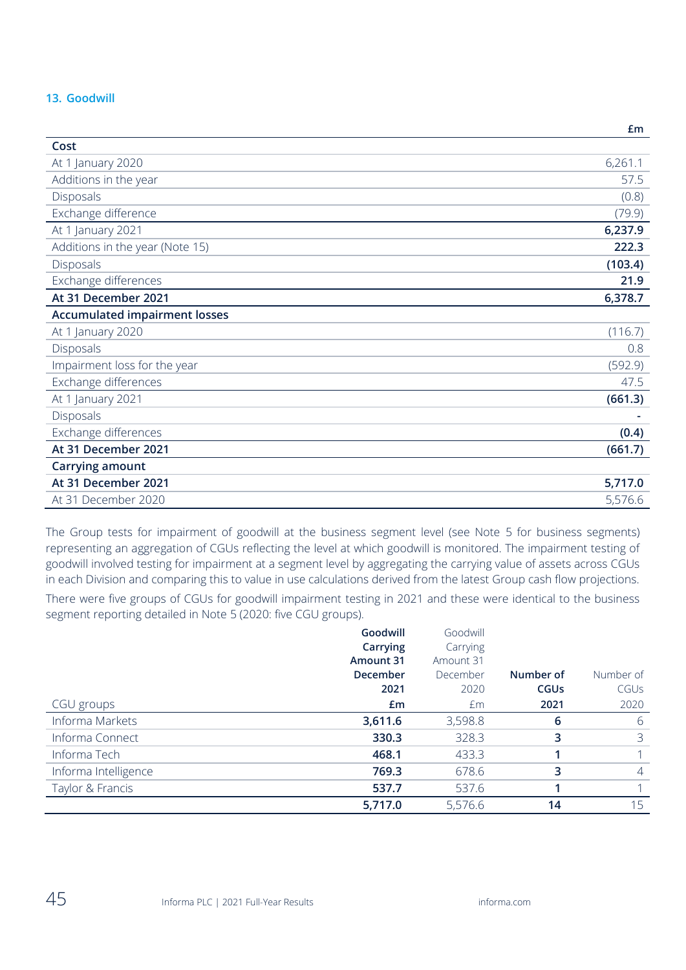# **13. Goodwill**

|                                      | பய      |
|--------------------------------------|---------|
| Cost                                 |         |
| At 1 January 2020                    | 6,261.1 |
| Additions in the year                | 57.5    |
| Disposals                            | (0.8)   |
| Exchange difference                  | (79.9)  |
| At 1 January 2021                    | 6,237.9 |
| Additions in the year (Note 15)      | 222.3   |
| Disposals                            | (103.4) |
| Exchange differences                 | 21.9    |
| At 31 December 2021                  | 6,378.7 |
| <b>Accumulated impairment losses</b> |         |
| At 1 January 2020                    | (116.7) |
| Disposals                            | 0.8     |
| Impairment loss for the year         | (592.9) |
| Exchange differences                 | 47.5    |
| At 1 January 2021                    | (661.3) |
| Disposals                            |         |
| Exchange differences                 | (0.4)   |
| At 31 December 2021                  | (661.7) |
| Carrying amount                      |         |
| At 31 December 2021                  | 5,717.0 |
| At 31 December 2020                  | 5,576.6 |

The Group tests for impairment of goodwill at the business segment level (see Note 5 for business segments) representing an aggregation of CGUs reflecting the level at which goodwill is monitored. The impairment testing of goodwill involved testing for impairment at a segment level by aggregating the carrying value of assets across CGUs in each Division and comparing this to value in use calculations derived from the latest Group cash flow projections.

There were five groups of CGUs for goodwill impairment testing in 2021 and these were identical to the business segment reporting detailed in Note 5 (2020: five CGU groups).

|                      | Goodwill<br>Carrying<br>Amount 31<br>December<br>2021 | Goodwill<br>Carrying<br>Amount 31<br>December<br>2020 | Number of<br><b>CGUs</b> | Number of<br>CGUS |
|----------------------|-------------------------------------------------------|-------------------------------------------------------|--------------------------|-------------------|
| CGU groups           | £m                                                    | £m                                                    | 2021                     | 2020              |
| Informa Markets      | 3,611.6                                               | 3,598.8                                               | 6                        | 6                 |
| Informa Connect      | 330.3                                                 | 328.3                                                 | 3                        | 3                 |
| Informa Tech         | 468.1                                                 | 433.3                                                 |                          |                   |
| Informa Intelligence | 769.3                                                 | 678.6                                                 | 3                        | $\overline{4}$    |
| Taylor & Francis     | 537.7                                                 | 537.6                                                 |                          |                   |
|                      | 5,717.0                                               | 5,576.6                                               | 14                       | 15                |

**£m**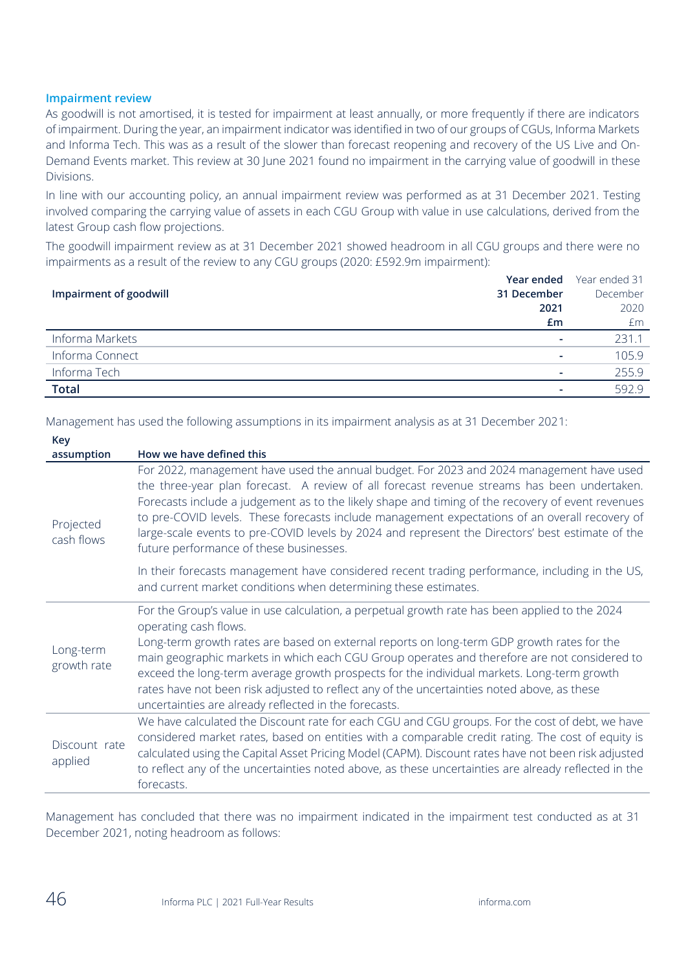#### **Impairment review**

As goodwill is not amortised, it is tested for impairment at least annually, or more frequently if there are indicators of impairment. During the year, an impairment indicator was identified in two of our groups of CGUs, Informa Markets and Informa Tech. This was as a result of the slower than forecast reopening and recovery of the US Live and On-Demand Events market. This review at 30 June 2021 found no impairment in the carrying value of goodwill in these Divisions.

In line with our accounting policy, an annual impairment review was performed as at 31 December 2021. Testing involved comparing the carrying value of assets in each CGU Group with value in use calculations, derived from the latest Group cash flow projections.

The goodwill impairment review as at 31 December 2021 showed headroom in all CGU groups and there were no impairments as a result of the review to any CGU groups (2020: £592.9m impairment):

|                        |                          | <b>Year ended</b> Year ended 31 |
|------------------------|--------------------------|---------------------------------|
| Impairment of goodwill | 31 December              | December                        |
|                        | 2021                     | 2020                            |
|                        | Em                       | £m                              |
| Informa Markets        | $\overline{\phantom{0}}$ | 231.1                           |
| Informa Connect        |                          | 105.9                           |
| Informa Tech           |                          | 255.9                           |
| <b>Total</b>           |                          | 592.9                           |

Management has used the following assumptions in its impairment analysis as at 31 December 2021:

| Key                      |                                                                                                                                                                                                                                                                                                                                                                                                                                                                                                                                                                             |
|--------------------------|-----------------------------------------------------------------------------------------------------------------------------------------------------------------------------------------------------------------------------------------------------------------------------------------------------------------------------------------------------------------------------------------------------------------------------------------------------------------------------------------------------------------------------------------------------------------------------|
| assumption               | How we have defined this                                                                                                                                                                                                                                                                                                                                                                                                                                                                                                                                                    |
| Projected<br>cash flows  | For 2022, management have used the annual budget. For 2023 and 2024 management have used<br>the three-year plan forecast. A review of all forecast revenue streams has been undertaken.<br>Forecasts include a judgement as to the likely shape and timing of the recovery of event revenues<br>to pre-COVID levels. These forecasts include management expectations of an overall recovery of<br>large-scale events to pre-COVID levels by 2024 and represent the Directors' best estimate of the<br>future performance of these businesses.                               |
|                          | In their forecasts management have considered recent trading performance, including in the US,<br>and current market conditions when determining these estimates.                                                                                                                                                                                                                                                                                                                                                                                                           |
| Long-term<br>growth rate | For the Group's value in use calculation, a perpetual growth rate has been applied to the 2024<br>operating cash flows.<br>Long-term growth rates are based on external reports on long-term GDP growth rates for the<br>main geographic markets in which each CGU Group operates and therefore are not considered to<br>exceed the long-term average growth prospects for the individual markets. Long-term growth<br>rates have not been risk adjusted to reflect any of the uncertainties noted above, as these<br>uncertainties are already reflected in the forecasts. |
| Discount rate<br>applied | We have calculated the Discount rate for each CGU and CGU groups. For the cost of debt, we have<br>considered market rates, based on entities with a comparable credit rating. The cost of equity is<br>calculated using the Capital Asset Pricing Model (CAPM). Discount rates have not been risk adjusted<br>to reflect any of the uncertainties noted above, as these uncertainties are already reflected in the<br>forecasts.                                                                                                                                           |

Management has concluded that there was no impairment indicated in the impairment test conducted as at 31 December 2021, noting headroom as follows: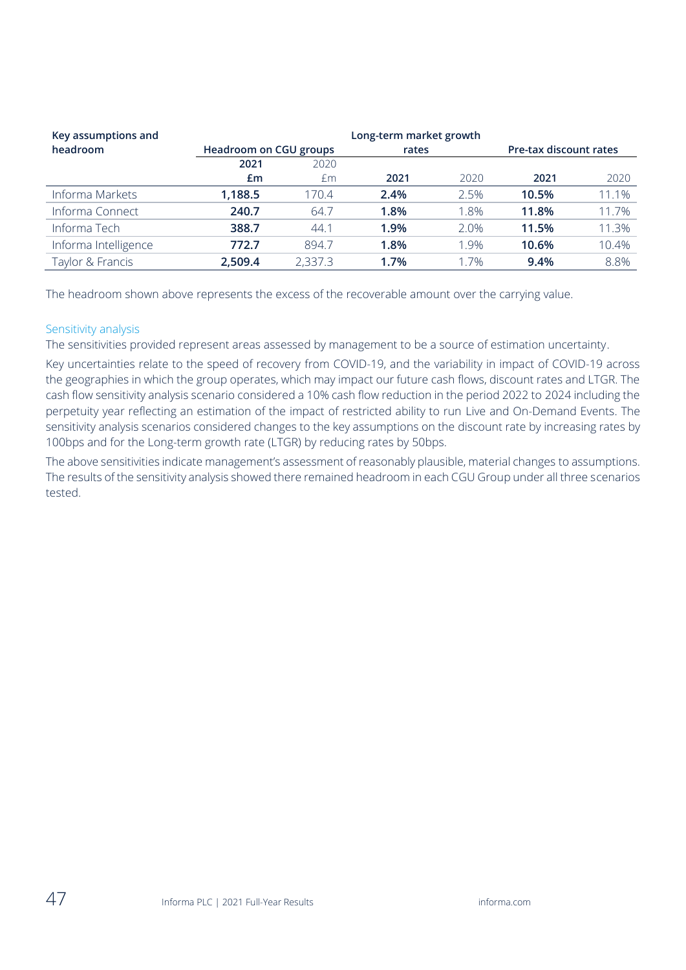| Key assumptions and  |                        |         | Long-term market growth |      |       |                        |
|----------------------|------------------------|---------|-------------------------|------|-------|------------------------|
| headroom             | Headroom on CGU groups |         | rates                   |      |       | Pre-tax discount rates |
|                      | 2021                   | 2020    |                         |      |       |                        |
|                      | £m                     | £m      | 2021                    | 2020 | 2021  | 2020                   |
| Informa Markets      | 1,188.5                | 170.4   | 2.4%                    | 2.5% | 10.5% | 11.1%                  |
| Informa Connect      | 240.7                  | 64.7    | 1.8%                    | 1.8% | 11.8% | 11.7%                  |
| Informa Tech         | 388.7                  | 44.1    | 1.9%                    | 2.0% | 11.5% | 11.3%                  |
| Informa Intelligence | 772.7                  | 894.7   | 1.8%                    | 1.9% | 10.6% | 10.4%                  |
| Taylor & Francis     | 2,509.4                | 2,337.3 | 1.7%                    | 1.7% | 9.4%  | 8.8%                   |

The headroom shown above represents the excess of the recoverable amount over the carrying value.

## Sensitivity analysis

The sensitivities provided represent areas assessed by management to be a source of estimation uncertainty.

Key uncertainties relate to the speed of recovery from COVID-19, and the variability in impact of COVID-19 across the geographies in which the group operates, which may impact our future cash flows, discount rates and LTGR. The cash flow sensitivity analysis scenario considered a 10% cash flow reduction in the period 2022 to 2024 including the perpetuity year reflecting an estimation of the impact of restricted ability to run Live and On-Demand Events. The sensitivity analysis scenarios considered changes to the key assumptions on the discount rate by increasing rates by 100bps and for the Long-term growth rate (LTGR) by reducing rates by 50bps.

The above sensitivities indicate management's assessment of reasonably plausible, material changes to assumptions. The results of the sensitivity analysis showed there remained headroom in each CGU Group under all three scenarios tested.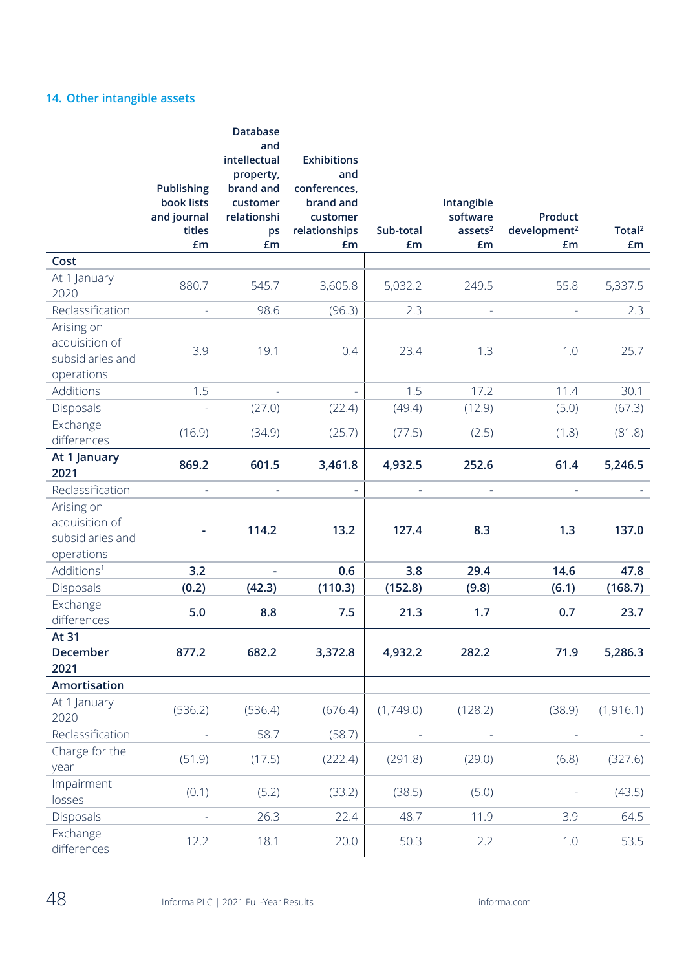# **14. Other intangible assets**

|                                                                | Publishing<br>book lists<br>and journal<br>titles<br>£m | Database<br>and<br>intellectual<br>property,<br>brand and<br>customer<br>relationshi<br>ps<br>£m | <b>Exhibitions</b><br>and<br>conferences,<br>brand and<br>customer<br>relationships<br>£m | Sub-total<br>£m          | Intangible<br>software<br>assets <sup>2</sup><br>£m | Product<br>development <sup>2</sup><br>£m | Total <sup>2</sup><br>£m |
|----------------------------------------------------------------|---------------------------------------------------------|--------------------------------------------------------------------------------------------------|-------------------------------------------------------------------------------------------|--------------------------|-----------------------------------------------------|-------------------------------------------|--------------------------|
| Cost                                                           |                                                         |                                                                                                  |                                                                                           |                          |                                                     |                                           |                          |
| At 1 January<br>2020                                           | 880.7                                                   | 545.7                                                                                            | 3,605.8                                                                                   | 5,032.2                  | 249.5                                               | 55.8                                      | 5,337.5                  |
| Reclassification                                               |                                                         | 98.6                                                                                             | (96.3)                                                                                    | 2.3                      | ä,                                                  |                                           | 2.3                      |
| Arising on<br>acquisition of<br>subsidiaries and<br>operations | 3.9                                                     | 19.1                                                                                             | 0.4                                                                                       | 23.4                     | 1.3                                                 | 1.0                                       | 25.7                     |
| Additions                                                      | 1.5                                                     | ÷,                                                                                               |                                                                                           | 1.5                      | 17.2                                                | 11.4                                      | 30.1                     |
| Disposals                                                      |                                                         | (27.0)                                                                                           | (22.4)                                                                                    | (49.4)                   | (12.9)                                              | (5.0)                                     | (67.3)                   |
| Exchange<br>differences                                        | (16.9)                                                  | (34.9)                                                                                           | (25.7)                                                                                    | (77.5)                   | (2.5)                                               | (1.8)                                     | (81.8)                   |
| At 1 January<br>2021                                           | 869.2                                                   | 601.5                                                                                            | 3,461.8                                                                                   | 4,932.5                  | 252.6                                               | 61.4                                      | 5,246.5                  |
| Reclassification                                               | $\overline{\phantom{a}}$                                | ÷                                                                                                | $\overline{\phantom{a}}$                                                                  | $\overline{\phantom{a}}$ | $\overline{\phantom{a}}$                            | $\overline{\phantom{a}}$                  |                          |
| Arising on<br>acquisition of<br>subsidiaries and<br>operations |                                                         | 114.2                                                                                            | 13.2                                                                                      | 127.4                    | 8.3                                                 | 1.3                                       | 137.0                    |
| Additions <sup>1</sup>                                         | 3.2                                                     |                                                                                                  | 0.6                                                                                       | 3.8                      | 29.4                                                | 14.6                                      | 47.8                     |
| Disposals                                                      | (0.2)                                                   | (42.3)                                                                                           | (110.3)                                                                                   | (152.8)                  | (9.8)                                               | (6.1)                                     | (168.7)                  |
| Exchange<br>differences                                        | 5.0                                                     | 8.8                                                                                              | 7.5                                                                                       | 21.3                     | 1.7                                                 | 0.7                                       | 23.7                     |
| At 31<br>December<br>2021                                      | 877.2                                                   | 682.2                                                                                            | 3,372.8                                                                                   | 4,932.2                  | 282.2                                               | 71.9                                      | 5,286.3                  |
| Amortisation                                                   |                                                         |                                                                                                  |                                                                                           |                          |                                                     |                                           |                          |
| At 1 January<br>2020                                           | (536.2)                                                 | (536.4)                                                                                          | (676.4)                                                                                   | (1,749.0)                | (128.2)                                             | (38.9)                                    | (1, 916.1)               |
| Reclassification                                               |                                                         | 58.7                                                                                             | (58.7)                                                                                    |                          |                                                     |                                           |                          |
| Charge for the<br>year                                         | (51.9)                                                  | (17.5)                                                                                           | (222.4)                                                                                   | (291.8)                  | (29.0)                                              | (6.8)                                     | (327.6)                  |
| Impairment<br>losses                                           | (0.1)                                                   | (5.2)                                                                                            | (33.2)                                                                                    | (38.5)                   | (5.0)                                               |                                           | (43.5)                   |
| Disposals                                                      |                                                         | 26.3                                                                                             | 22.4                                                                                      | 48.7                     | 11.9                                                | 3.9                                       | 64.5                     |
| Exchange<br>differences                                        | 12.2                                                    | 18.1                                                                                             | 20.0                                                                                      | 50.3                     | 2.2                                                 | 1.0                                       | 53.5                     |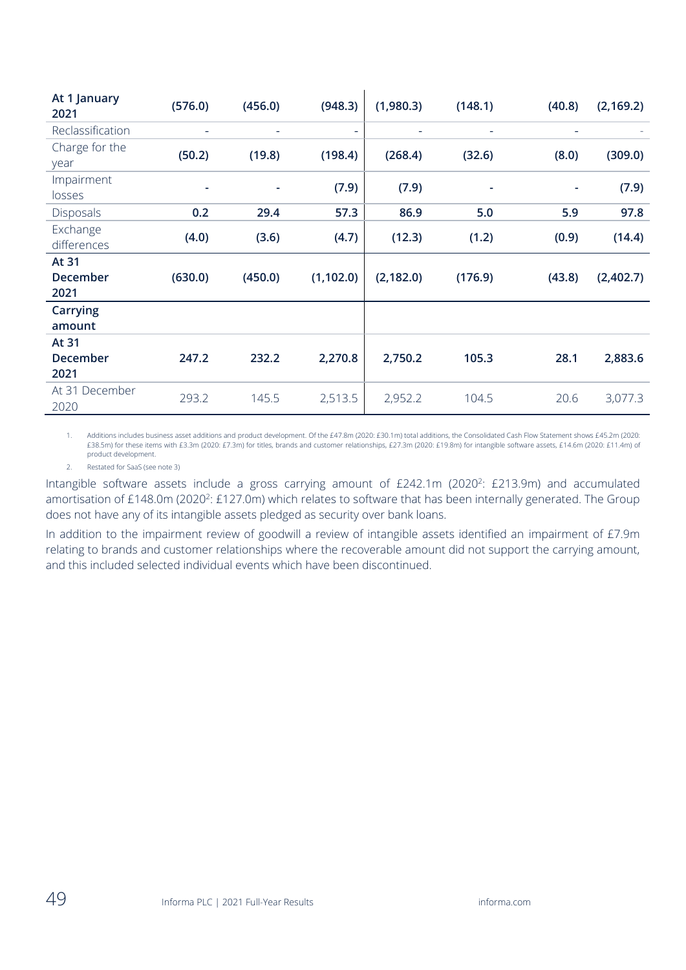| At 1 January<br>2021      | (576.0) | (456.0) | (948.3)    | (1,980.3)  | (148.1) | (40.8) | (2, 169.2) |
|---------------------------|---------|---------|------------|------------|---------|--------|------------|
| Reclassification          | ۰       | ۰       | ۰          | ÷          | ۰       | ۰      |            |
| Charge for the<br>year    | (50.2)  | (19.8)  | (198.4)    | (268.4)    | (32.6)  | (8.0)  | (309.0)    |
| Impairment<br>losses      | ٠       | ۰       | (7.9)      | (7.9)      | ۰       | ٠      | (7.9)      |
| Disposals                 | 0.2     | 29.4    | 57.3       | 86.9       | 5.0     | 5.9    | 97.8       |
| Exchange<br>differences   | (4.0)   | (3.6)   | (4.7)      | (12.3)     | (1.2)   | (0.9)  | (14.4)     |
| At 31<br>December<br>2021 | (630.0) | (450.0) | (1, 102.0) | (2, 182.0) | (176.9) | (43.8) | (2,402.7)  |
| <b>Carrying</b><br>amount |         |         |            |            |         |        |            |
| At 31<br>December<br>2021 | 247.2   | 232.2   | 2,270.8    | 2,750.2    | 105.3   | 28.1   | 2,883.6    |
| At 31 December<br>2020    | 293.2   | 145.5   | 2,513.5    | 2,952.2    | 104.5   | 20.6   | 3,077.3    |

1. Additions includes business asset additions and product development. Of the £47.8m (2020: £30.1m) total additions, the Consolidated Cash Flow Statement shows £45.2m (2020: £38.5m) for these items with £3.3m (2020: £7.3m) for titles, brands and customer relationships, £27.3m (2020: £19.8m) for intangible software assets, £14.6m (2020: £11.4m) of product development.

2. Restated for SaaS (see note 3)

Intangible software assets include a gross carrying amount of  $E242.1m$  (2020<sup>2</sup>: £213.9m) and accumulated amortisation of £148.0m (2020<sup>2</sup>: £127.0m) which relates to software that has been internally generated. The Group does not have any of its intangible assets pledged as security over bank loans.

In addition to the impairment review of goodwill a review of intangible assets identified an impairment of £7.9m relating to brands and customer relationships where the recoverable amount did not support the carrying amount, and this included selected individual events which have been discontinued.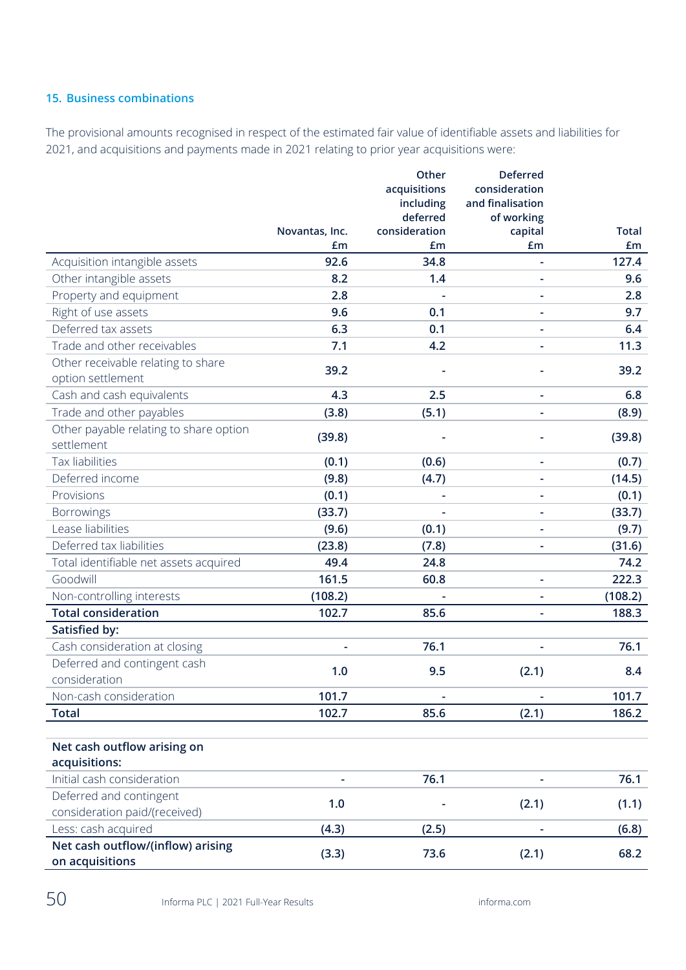# **15. Business combinations**

The provisional amounts recognised in respect of the estimated fair value of identifiable assets and liabilities for 2021, and acquisitions and payments made in 2021 relating to prior year acquisitions were:

|                                        |                      | Other               | <b>Deferred</b>          |                    |
|----------------------------------------|----------------------|---------------------|--------------------------|--------------------|
|                                        |                      | acquisitions        | consideration            |                    |
|                                        |                      | including           | and finalisation         |                    |
|                                        |                      | deferred            | of working               |                    |
|                                        | Novantas, Inc.<br>£m | consideration<br>£m | capital<br>£m            | <b>Total</b><br>£m |
| Acquisition intangible assets          | 92.6                 | 34.8                |                          | 127.4              |
| Other intangible assets                | 8.2                  | 1.4                 | ÷,                       | 9.6                |
| Property and equipment                 | 2.8                  |                     | $\overline{\phantom{a}}$ | 2.8                |
| Right of use assets                    | 9.6                  | 0.1                 | ÷,                       | 9.7                |
| Deferred tax assets                    | 6.3                  | 0.1                 | ÷,                       | 6.4                |
| Trade and other receivables            | 7.1                  | 4.2                 |                          | 11.3               |
| Other receivable relating to share     |                      |                     |                          |                    |
| option settlement                      | 39.2                 |                     |                          | 39.2               |
| Cash and cash equivalents              | 4.3                  | 2.5                 |                          | 6.8                |
| Trade and other payables               | (3.8)                | (5.1)               |                          | (8.9)              |
| Other payable relating to share option | (39.8)               |                     |                          | (39.8)             |
| settlement                             |                      |                     |                          |                    |
| Tax liabilities                        | (0.1)                | (0.6)               | ۰                        | (0.7)              |
| Deferred income                        | (9.8)                | (4.7)               |                          | (14.5)             |
| Provisions                             | (0.1)                | ÷                   | L,                       | (0.1)              |
| <b>Borrowings</b>                      | (33.7)               |                     |                          | (33.7)             |
| Lease liabilities                      | (9.6)                | (0.1)               | ÷                        | (9.7)              |
| Deferred tax liabilities               | (23.8)               | (7.8)               |                          | (31.6)             |
| Total identifiable net assets acquired | 49.4                 | 24.8                |                          | 74.2               |
| Goodwill                               | 161.5                | 60.8                | ÷,                       | 222.3              |
| Non-controlling interests              | (108.2)              |                     |                          | (108.2)            |
| <b>Total consideration</b>             | 102.7                | 85.6                | $\overline{\phantom{a}}$ | 188.3              |
| Satisfied by:                          |                      |                     |                          |                    |
| Cash consideration at closing          |                      | 76.1                | ÷                        | 76.1               |
| Deferred and contingent cash           | 1.0                  | 9.5                 | (2.1)                    | 8.4                |
| consideration                          |                      |                     |                          |                    |
| Non-cash consideration                 | 101.7                | ÷,                  |                          | 101.7              |
| <b>Total</b>                           | 102.7                | 85.6                | (2.1)                    | 186.2              |
|                                        |                      |                     |                          |                    |
| Net cash outflow arising on            |                      |                     |                          |                    |
| acquisitions:                          |                      |                     |                          |                    |
| Initial cash consideration             |                      | 76.1                |                          | 76.1               |
| Deferred and contingent                | 1.0                  |                     | (2.1)                    | (1.1)              |
| consideration paid/(received)          |                      |                     |                          |                    |
| Less: cash acquired                    | (4.3)                | (2.5)               |                          | (6.8)              |
| Net cash outflow/(inflow) arising      | (3.3)                | 73.6                | (2.1)                    | 68.2               |
| on acquisitions                        |                      |                     |                          |                    |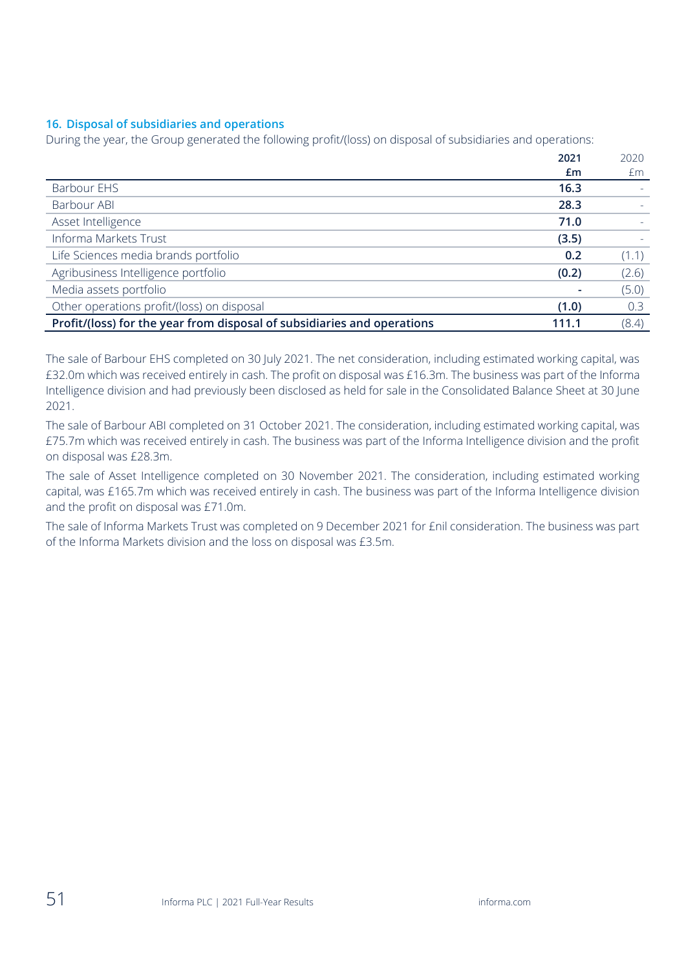## **16. Disposal of subsidiaries and operations**

During the year, the Group generated the following profit/(loss) on disposal of subsidiaries and operations:

|                                                                         | 2021  | 2020  |
|-------------------------------------------------------------------------|-------|-------|
|                                                                         | £m    | £m    |
| Barbour EHS                                                             | 16.3  |       |
| Barbour ABI                                                             | 28.3  |       |
| Asset Intelligence                                                      | 71.0  |       |
| Informa Markets Trust                                                   | (3.5) |       |
| Life Sciences media brands portfolio                                    | 0.2   | (1.1) |
| Agribusiness Intelligence portfolio                                     | (0.2) | (2.6) |
| Media assets portfolio                                                  |       | (5.0) |
| Other operations profit/(loss) on disposal                              | (1.0) | 0.3   |
| Profit/(loss) for the year from disposal of subsidiaries and operations | 111.1 | (8.4) |

The sale of Barbour EHS completed on 30 July 2021. The net consideration, including estimated working capital, was £32.0m which was received entirely in cash. The profit on disposal was £16.3m. The business was part of the Informa Intelligence division and had previously been disclosed as held for sale in the Consolidated Balance Sheet at 30 June 2021.

The sale of Barbour ABI completed on 31 October 2021. The consideration, including estimated working capital, was £75.7m which was received entirely in cash. The business was part of the Informa Intelligence division and the profit on disposal was £28.3m.

The sale of Asset Intelligence completed on 30 November 2021. The consideration, including estimated working capital, was £165.7m which was received entirely in cash. The business was part of the Informa Intelligence division and the profit on disposal was £71.0m.

The sale of Informa Markets Trust was completed on 9 December 2021 for £nil consideration. The business was part of the Informa Markets division and the loss on disposal was £3.5m.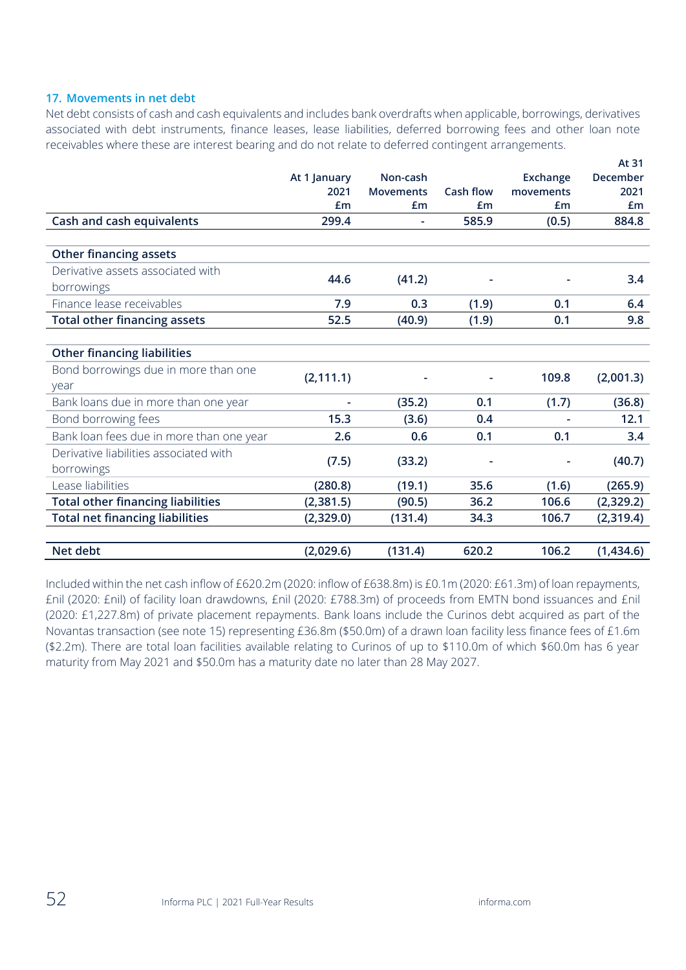### **17. Movements in net debt**

Net debt consists of cash and cash equivalents and includes bank overdrafts when applicable, borrowings, derivatives associated with debt instruments, finance leases, lease liabilities, deferred borrowing fees and other loan note receivables where these are interest bearing and do not relate to deferred contingent arrangements.

|                                          |                          |                  |           |           | AL 3 I    |
|------------------------------------------|--------------------------|------------------|-----------|-----------|-----------|
|                                          | At 1 January             | Non-cash         |           | Exchange  | December  |
|                                          | 2021                     | <b>Movements</b> | Cash flow | movements | 2021      |
|                                          | £m                       | £m               | £m        | £m        | £m        |
| Cash and cash equivalents                | 299.4                    |                  | 585.9     | (0.5)     | 884.8     |
|                                          |                          |                  |           |           |           |
| <b>Other financing assets</b>            |                          |                  |           |           |           |
| Derivative assets associated with        |                          |                  |           |           |           |
| borrowings                               | 44.6                     | (41.2)           |           |           | 3.4       |
| Finance lease receivables                | 7.9                      | 0.3              | (1.9)     | 0.1       | 6.4       |
| <b>Total other financing assets</b>      | 52.5                     | (40.9)           | (1.9)     | 0.1       | 9.8       |
|                                          |                          |                  |           |           |           |
| <b>Other financing liabilities</b>       |                          |                  |           |           |           |
| Bond borrowings due in more than one     |                          |                  |           |           |           |
| year                                     | (2, 111.1)               |                  |           | 109.8     | (2,001.3) |
| Bank loans due in more than one year     | $\overline{\phantom{a}}$ | (35.2)           | 0.1       | (1.7)     | (36.8)    |
| Bond borrowing fees                      | 15.3                     | (3.6)            | 0.4       |           | 12.1      |
| Bank loan fees due in more than one year | 2.6                      | 0.6              | 0.1       | 0.1       | 3.4       |
| Derivative liabilities associated with   |                          |                  |           |           |           |
| borrowings                               | (7.5)                    | (33.2)           |           |           | (40.7)    |
| Lease liabilities                        | (280.8)                  | (19.1)           | 35.6      | (1.6)     | (265.9)   |
| <b>Total other financing liabilities</b> | (2,381.5)                | (90.5)           | 36.2      | 106.6     | (2,329.2) |
| <b>Total net financing liabilities</b>   | (2,329.0)                | (131.4)          | 34.3      | 106.7     | (2,319.4) |
|                                          |                          |                  |           |           |           |
| Net debt                                 | (2,029.6)                | (131.4)          | 620.2     | 106.2     | (1,434.6) |

Included within the net cash inflow of £620.2m (2020: inflow of £638.8m) is £0.1m (2020: £61.3m) of loan repayments, £nil (2020: £nil) of facility loan drawdowns, £nil (2020: £788.3m) of proceeds from EMTN bond issuances and £nil (2020: £1,227.8m) of private placement repayments. Bank loans include the Curinos debt acquired as part of the Novantas transaction (see note 15) representing £36.8m (\$50.0m) of a drawn loan facility less finance fees of £1.6m (\$2.2m). There are total loan facilities available relating to Curinos of up to \$110.0m of which \$60.0m has 6 year maturity from May 2021 and \$50.0m has a maturity date no later than 28 May 2027.

**At 31**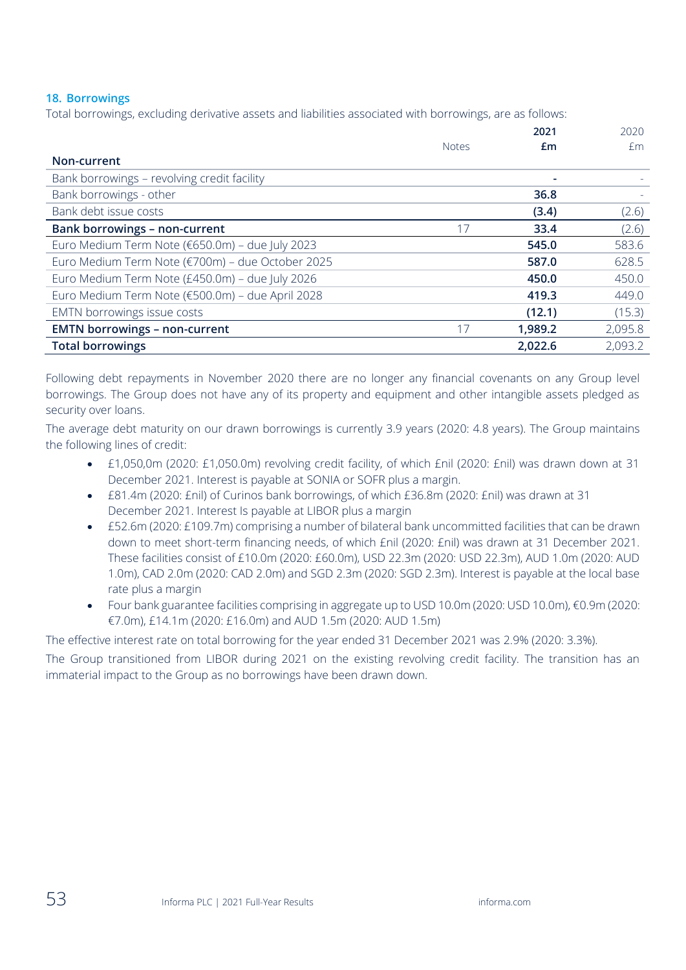## **18. Borrowings**

Total borrowings, excluding derivative assets and liabilities associated with borrowings, are as follows:

|                                                  |              | 2021    | 2020    |
|--------------------------------------------------|--------------|---------|---------|
|                                                  | <b>Notes</b> | £m      | £m.     |
| Non-current                                      |              |         |         |
| Bank borrowings - revolving credit facility      |              |         |         |
| Bank borrowings - other                          |              | 36.8    |         |
| Bank debt issue costs                            |              | (3.4)   | (2.6)   |
| <b>Bank borrowings - non-current</b>             | 17           | 33.4    | (2.6)   |
| Euro Medium Term Note (€650.0m) - due July 2023  |              | 545.0   | 583.6   |
| Euro Medium Term Note (€700m) - due October 2025 |              | 587.0   | 628.5   |
| Euro Medium Term Note (£450.0m) - due July 2026  |              | 450.0   | 450.0   |
| Euro Medium Term Note (€500.0m) - due April 2028 |              | 419.3   | 449.0   |
| EMTN borrowings issue costs                      |              | (12.1)  | (15.3)  |
| <b>EMTN borrowings - non-current</b>             | 17           | 1,989.2 | 2,095.8 |
| <b>Total borrowings</b>                          |              | 2,022.6 | 2,093.2 |

Following debt repayments in November 2020 there are no longer any financial covenants on any Group level borrowings. The Group does not have any of its property and equipment and other intangible assets pledged as security over loans.

The average debt maturity on our drawn borrowings is currently 3.9 years (2020: 4.8 years). The Group maintains the following lines of credit:

- £1,050,0m (2020: £1,050.0m) revolving credit facility, of which £nil (2020: £nil) was drawn down at 31 December 2021. Interest is payable at SONIA or SOFR plus a margin.
- £81.4m (2020: £nil) of Curinos bank borrowings, of which £36.8m (2020: £nil) was drawn at 31 December 2021. Interest Is payable at LIBOR plus a margin
- £52.6m (2020: £109.7m) comprising a number of bilateral bank uncommitted facilities that can be drawn down to meet short-term financing needs, of which £nil (2020: £nil) was drawn at 31 December 2021. These facilities consist of £10.0m (2020: £60.0m), USD 22.3m (2020: USD 22.3m), AUD 1.0m (2020: AUD 1.0m), CAD 2.0m (2020: CAD 2.0m) and SGD 2.3m (2020: SGD 2.3m). Interest is payable at the local base rate plus a margin
- Four bank guarantee facilities comprising in aggregate up to USD 10.0m (2020: USD 10.0m), €0.9m (2020: €7.0m), £14.1m (2020: £16.0m) and AUD 1.5m (2020: AUD 1.5m)

The effective interest rate on total borrowing for the year ended 31 December 2021 was 2.9% (2020: 3.3%).

The Group transitioned from LIBOR during 2021 on the existing revolving credit facility. The transition has an immaterial impact to the Group as no borrowings have been drawn down.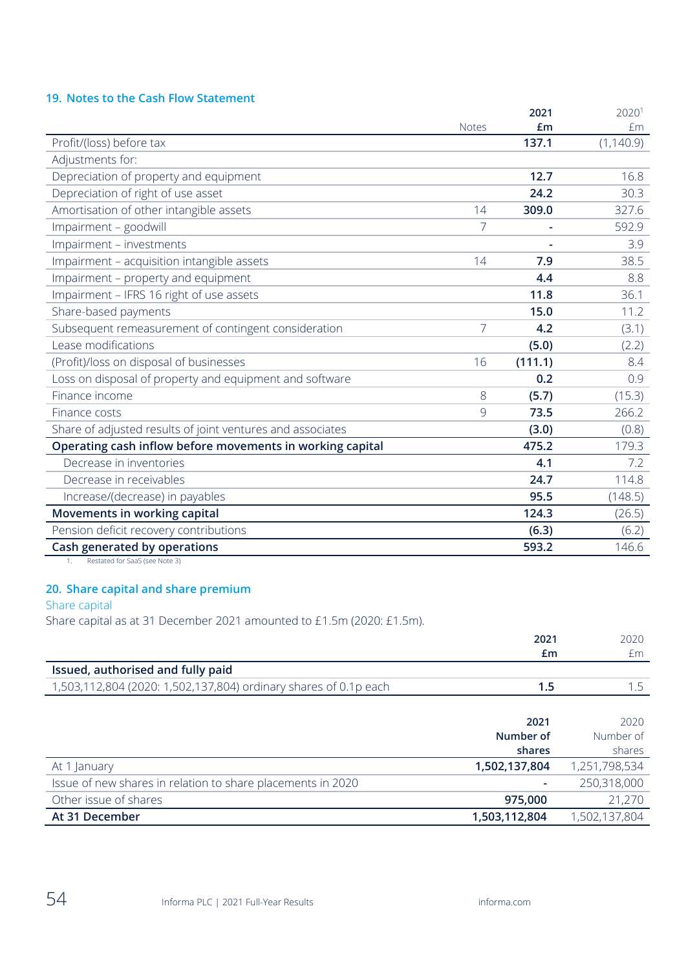# **19. Notes to the Cash Flow Statement**

|                                                            |                | 2021    | 20201      |
|------------------------------------------------------------|----------------|---------|------------|
|                                                            | <b>Notes</b>   | £m      | £m         |
| Profit/(loss) before tax                                   |                | 137.1   | (1, 140.9) |
| Adjustments for:                                           |                |         |            |
| Depreciation of property and equipment                     |                | 12.7    | 16.8       |
| Depreciation of right of use asset                         |                | 24.2    | 30.3       |
| Amortisation of other intangible assets                    | 14             | 309.0   | 327.6      |
| Impairment - goodwill                                      | 7              |         | 592.9      |
| Impairment - investments                                   |                |         | 3.9        |
| Impairment - acquisition intangible assets                 | 14             | 7.9     | 38.5       |
| Impairment - property and equipment                        |                | 4.4     | 8.8        |
| Impairment - IFRS 16 right of use assets                   |                | 11.8    | 36.1       |
| Share-based payments                                       |                | 15.0    | 11.2       |
| Subsequent remeasurement of contingent consideration       | $\overline{7}$ | 4.2     | (3.1)      |
| Lease modifications                                        |                | (5.0)   | (2.2)      |
| (Profit)/loss on disposal of businesses                    | 16             | (111.1) | 8.4        |
| Loss on disposal of property and equipment and software    |                | 0.2     | 0.9        |
| Finance income                                             | 8              | (5.7)   | (15.3)     |
| Finance costs                                              | 9              | 73.5    | 266.2      |
| Share of adjusted results of joint ventures and associates |                | (3.0)   | (0.8)      |
| Operating cash inflow before movements in working capital  |                | 475.2   | 179.3      |
| Decrease in inventories                                    |                | 4.1     | 7.2        |
| Decrease in receivables                                    |                | 24.7    | 114.8      |
| Increase/(decrease) in payables                            |                | 95.5    | (148.5)    |
| Movements in working capital                               |                | 124.3   | (26.5)     |
| Pension deficit recovery contributions                     |                | (6.3)   | (6.2)      |
| Cash generated by operations                               |                | 593.2   | 146.6      |

1. Restated for SaaS (see Note 3)

## **20. Share capital and share premium**

Share capital

Share capital as at 31 December 2021 amounted to £1.5m (2020: £1.5m).

|                                                                  | 2021          | 2020          |
|------------------------------------------------------------------|---------------|---------------|
|                                                                  | £m            | £m            |
| Issued, authorised and fully paid                                |               |               |
| 1,503,112,804 (2020: 1,502,137,804) ordinary shares of 0.1p each | 1.5           | 1.5           |
|                                                                  |               |               |
|                                                                  | 2021          | 2020          |
|                                                                  | Number of     | Number of     |
|                                                                  | shares        | shares        |
| At 1 January                                                     | 1,502,137,804 | 1,251,798,534 |
| Issue of new shares in relation to share placements in 2020      |               | 250,318,000   |
| Other issue of shares                                            | 975,000       | 21,270        |
| At 31 December                                                   | 1,503,112,804 | 1,502,137,804 |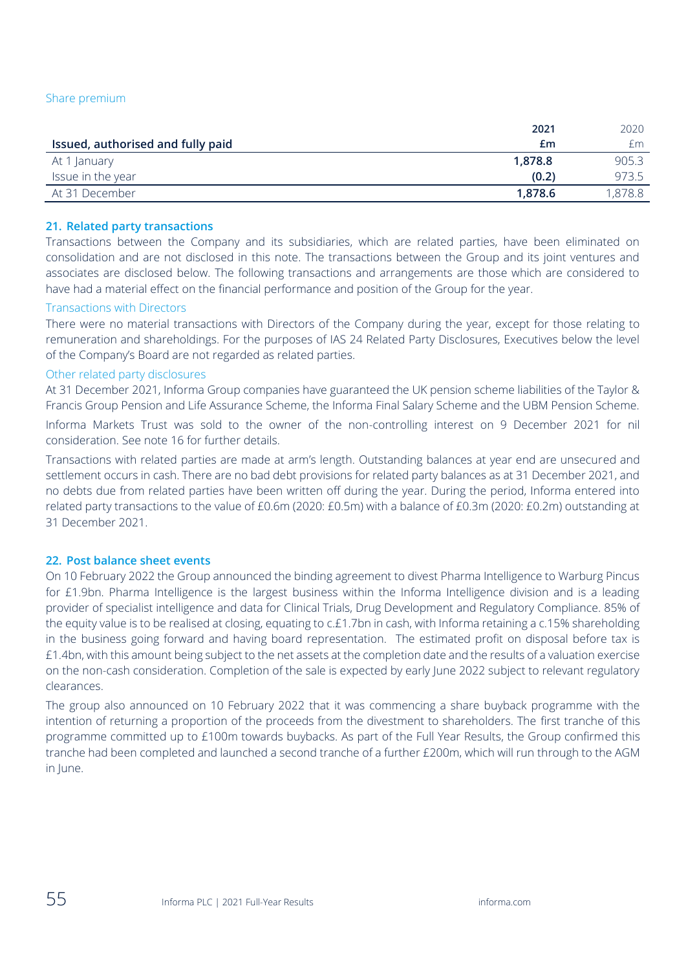|                                   | 2021    | 2020    |
|-----------------------------------|---------|---------|
| Issued, authorised and fully paid | £m      | £m      |
| At 1 January                      | 1.878.8 | 905.3   |
| Issue in the year                 | (0.2)   | 973.5   |
| At 31 December                    | 1.878.6 | 1,878.8 |

#### **21. Related party transactions**

Transactions between the Company and its subsidiaries, which are related parties, have been eliminated on consolidation and are not disclosed in this note. The transactions between the Group and its joint ventures and associates are disclosed below. The following transactions and arrangements are those which are considered to have had a material effect on the financial performance and position of the Group for the year.

#### Transactions with Directors

There were no material transactions with Directors of the Company during the year, except for those relating to remuneration and shareholdings. For the purposes of IAS 24 Related Party Disclosures, Executives below the level of the Company's Board are not regarded as related parties.

#### Other related party disclosures

At 31 December 2021, Informa Group companies have guaranteed the UK pension scheme liabilities of the Taylor & Francis Group Pension and Life Assurance Scheme, the Informa Final Salary Scheme and the UBM Pension Scheme.

Informa Markets Trust was sold to the owner of the non-controlling interest on 9 December 2021 for nil consideration. See note 16 for further details.

Transactions with related parties are made at arm's length. Outstanding balances at year end are unsecured and settlement occurs in cash. There are no bad debt provisions for related party balances as at 31 December 2021, and no debts due from related parties have been written off during the year. During the period, Informa entered into related party transactions to the value of £0.6m (2020: £0.5m) with a balance of £0.3m (2020: £0.2m) outstanding at 31 December 2021.

#### **22. Post balance sheet events**

On 10 February 2022 the Group announced the binding agreement to divest Pharma Intelligence to Warburg Pincus for £1.9bn. Pharma Intelligence is the largest business within the Informa Intelligence division and is a leading provider of specialist intelligence and data for Clinical Trials, Drug Development and Regulatory Compliance. 85% of the equity value is to be realised at closing, equating to c.£1.7bn in cash, with Informa retaining a c.15% shareholding in the business going forward and having board representation. The estimated profit on disposal before tax is £1.4bn, with this amount being subject to the net assets at the completion date and the results of a valuation exercise on the non-cash consideration. Completion of the sale is expected by early June 2022 subject to relevant regulatory clearances.

The group also announced on 10 February 2022 that it was commencing a share buyback programme with the intention of returning a proportion of the proceeds from the divestment to shareholders. The first tranche of this programme committed up to £100m towards buybacks. As part of the Full Year Results, the Group confirmed this tranche had been completed and launched a second tranche of a further £200m, which will run through to the AGM in June.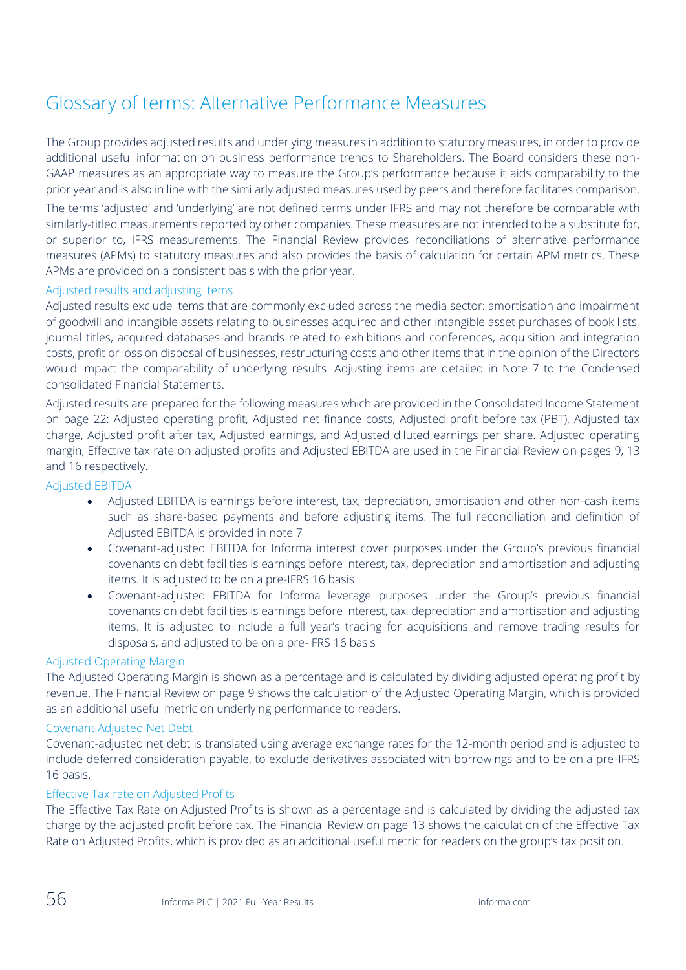# Glossary of terms: Alternative Performance Measures

The Group provides adjusted results and underlying measures in addition to statutory measures, in order to provide additional useful information on business performance trends to Shareholders. The Board considers these non-GAAP measures as an appropriate way to measure the Group's performance because it aids comparability to the prior year and is also in line with the similarly adjusted measures used by peers and therefore facilitates comparison.

The terms 'adjusted' and 'underlying' are not defined terms under IFRS and may not therefore be comparable with similarly-titled measurements reported by other companies. These measures are not intended to be a substitute for, or superior to, IFRS measurements. The Financial Review provides reconciliations of alternative performance measures (APMs) to statutory measures and also provides the basis of calculation for certain APM metrics. These APMs are provided on a consistent basis with the prior year.

#### Adjusted results and adjusting items

Adjusted results exclude items that are commonly excluded across the media sector: amortisation and impairment of goodwill and intangible assets relating to businesses acquired and other intangible asset purchases of book lists, journal titles, acquired databases and brands related to exhibitions and conferences, acquisition and integration costs, profit or loss on disposal of businesses, restructuring costs and other items that in the opinion of the Directors would impact the comparability of underlying results. Adjusting items are detailed in Note 7 to the Condensed consolidated Financial Statements.

Adjusted results are prepared for the following measures which are provided in the Consolidated Income Statement on page 22: Adjusted operating profit, Adjusted net finance costs, Adjusted profit before tax (PBT), Adjusted tax charge, Adjusted profit after tax, Adjusted earnings, and Adjusted diluted earnings per share. Adjusted operating margin, Effective tax rate on adjusted profits and Adjusted EBITDA are used in the Financial Review on pages 9, 13 and 16 respectively.

#### Adjusted EBITDA

- Adjusted EBITDA is earnings before interest, tax, depreciation, amortisation and other non-cash items such as share-based payments and before adjusting items. The full reconciliation and definition of Adjusted EBITDA is provided in note 7
- Covenant-adjusted EBITDA for Informa interest cover purposes under the Group's previous financial covenants on debt facilities is earnings before interest, tax, depreciation and amortisation and adjusting items. It is adjusted to be on a pre-IFRS 16 basis
- Covenant-adjusted EBITDA for Informa leverage purposes under the Group's previous financial covenants on debt facilities is earnings before interest, tax, depreciation and amortisation and adjusting items. It is adjusted to include a full year's trading for acquisitions and remove trading results for disposals, and adjusted to be on a pre-IFRS 16 basis

#### Adjusted Operating Margin

The Adjusted Operating Margin is shown as a percentage and is calculated by dividing adjusted operating profit by revenue. The Financial Review on page 9 shows the calculation of the Adjusted Operating Margin, which is provided as an additional useful metric on underlying performance to readers.

#### Covenant Adjusted Net Debt

Covenant-adjusted net debt is translated using average exchange rates for the 12-month period and is adjusted to include deferred consideration payable, to exclude derivatives associated with borrowings and to be on a pre-IFRS 16 basis.

#### Effective Tax rate on Adjusted Profits

The Effective Tax Rate on Adjusted Profits is shown as a percentage and is calculated by dividing the adjusted tax charge by the adjusted profit before tax. The Financial Review on page 13 shows the calculation of the Effective Tax Rate on Adjusted Profits, which is provided as an additional useful metric for readers on the group's tax position.